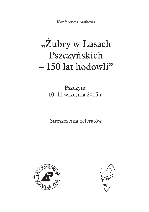Konferencja naukowa

# "Zubry w Lasach Pszczyńskich -150 lat hodowli"

Pszczyna 10-11 września 2015 r.

Streszczenia referatów



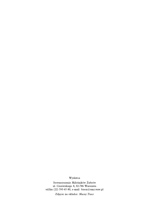#### Wydawca

Stowarzyszenie Miłośników Żubrów ul. Ciszewskiego 8, 02-786 Warszawa tel/fax (22) 593-65-80, e-mail: bison@smz.waw.pl

Zdjęcie na okładce: Maciej Tracz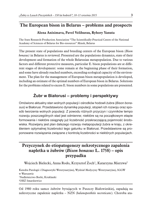# **The European bison in Belarus – problems and prospects**

#### **Alena Anisimava, Pavel Velihurau, Ryhory Yanuta**

The State Research-Production Association "The Scientifically-Practical Centre of the National Academy of Sciences of Belarus for Bio-resources" Minsk, Belarus

The present state of populations and breeding centers of the European bison *(Bison bonasus)* in Belarus is reviewed. Presented are the populations dynamics, state of their development and formation of the whole Belarusian metapopulation. Due to various factors and different protective measures, particular E. bison populations are at different stages of development: some remain at the beginning phase of their formation, and some have already reached numbers, exceeding ecological capacity of the environment. The plan for the management of European bison metapopulation is developed, including an estimate of the optimal numbers of European bison in Belarus. Solutions for the problems related to excess E. bison numbers in some populations are presented.

# **Żubr w Białorusi – problemy i perspektywy**

Omówiono aktualny stan wolnych populacji i ośrodków hodowli żubra (*Bison bonasus*) w Białorusi. Przedstawiono dynamikę populacji, stopień ich rozwoju oraz sposób tworzenia wolnych populacji. Z powodu różnych przyczyn i czynników tempo rozwoju poszczególnych stad jest odmienne; niektóre są na początkowym etapie formowania i niektóre osiągnęły już liczebność przekraczającą pojemność środowiska. Rozwijany jest plan dalszego rozwoju metapopulacji żubra w kraju, z określeniem optymalnej liczebności tego gatunku w Białorusi. Przedstawione są proponowane rozwiązania związane z kontrolą liczebności w niektórych populacjach.

# **Przyczynek do etiopatogenezy nekrotycznego zapalenia napletka u żubrów (***Bison bonasus* **L. 1758) – opis przypadku**

Wojciech Bielecki, Anna Rodo, Krzysztof Żoch<sup>1</sup>, Katarzyna Mierzwa<sup>2</sup>

Katedra Patologii i Diagnostyki Weterynaryjnej, Wydział Medycyny Weterynaryjnej, SGGW w Warszawie <sup>1</sup>Nadleśnictwo Borki, Kruklanki <sup>2</sup>OHŻ Smardzewice

Od 1980 roku samce żubrów bytujących w Puszczy Białowieskiej, zapadają na nekrotyczne zapalenie napletka – NZN (*balanoposthitis necroticans*). Choroba ata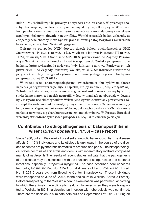kuje 5–15% osobników, a jej przyczyna dotychczas nie jest znana. W przebiegu choroby obserwuje się martwicowo-ropne zmiany skóry napletka i prącia. W obrazie histopatologicznym stwierdza się martwicę naskórka i skóry właściwej z naciekiem zapalnym złożonym głównie z neutrofilów. Wyniki ostatnich badań wskazują, że etiopatogeneza choroby może być związana z inwazją ektopasożytów i zakażeniem bakteriami, szczególnie *Trueperella pyogenes.*

Opisany tu przypadek NZN dotyczy dwóch byków pochodzących z OHŻ Smardzewice: Pospałek nr rod. 11521, w wieku 4 lat oraz Posłaniec III nr rod. 11254, w wieku, 5 lat. Osobniki te 6.05.2013r. przewieziono do Zagrody Pokazowej w Wolisku (Puszcza Borecka). Przed transportem do Woliska przeprowadzono badanie, które wykazało, że zwierzęta były klinicznie zdrowe. Ponieważ po ich przewiezieniu do Zagrody Pokazowej Wolisko, w OHŻ Smardzewice stwierdzono przypadek gruźlicy, dlatego zdecydowano o eliminacji diagnostycznej obu byków przeprowadzonej 17.09.2013 r.

W trakcie sekcji anatomopatologicznej stwierdzono u obu byków na skórze napletka (w dogłowowej części ujścia napletka) strupy średnicy 0,7–0,9 cm (*posthitis*). W badaniu histopatologicznym w miejscu, gdzie makroskopowo widoczny był strup, stwierdzono martwicę i naciek neutrofilów, lecz w tkankach na obwodzie widoczne były masywne nacieki eozynofilów. Wskazuje to wyraźnie, iż zmiany powstałe na skórze napletka u obu osobników mogły być wywołane przez owady. W okresie 4 miesięcy bytowania w Zagrodzie pokazowej Wolisko, byki zachorowały na NZN. Na skórze napletka rozwinęły się charakterystyczne zmiany chorobowe. W Puszczy Boreckiej wcześniej stwierdzono tylko jeden przypadek NZN, u 8 miesięcznego cielęcia.

## **Contribiution to ethiopathogenesis of balanoposthitis in wisent (***Bison bonasus* **L. 1758) – case report**

Since 1980, bulls in Białowieża Forest suffer necrotic balanoposthitis. The disease affects 5 – 15% individuals and its etiology is unknown. In the course of the disease observed are pyonecrotic dermatitis of prepuce and penis. The histopathological states necrosis of epidermis and dermis with inflammatory infiltrate composed mainly of neutrophils The results of recent studies indicate that the pathogenesis of the disease may be associated with the invasion of ectoparasites and bacterial infections, especially *Trueperella pyogenes.* The case described here concerns two bulls, Pospałek Ped.No. 11521 ur. at 4 years old and Posłaniec III Ped. No. 11254 5 years old from Breeding Center Smardzewice. These individuals were transported on June  $5<sup>th</sup>$ , 2013, to the enclosure in Wolisko (Borecka Forest). Before transporting to the Wolisko a health examination was performed, according to which the animals were clinically healthy. However when they were transported to Wolisko in BC Smardzewice an infection with tuberculosis was confirmed. Therefore the decision to eliminate both bulls on September  $17<sup>th</sup>$ , 2013. During an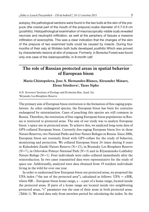autopsy, the pathological sections were found in the two bulls at the skin of the prepuce (the cranial part of the mouth of the prepuce) scabs diameter of 0.7-0.9 cm (*posthitis*). Histopathological examination of macroscopically visible scab,revealed necrosis and neutrophil infiltration, as well at the periphery of tissues a massive infiltration of eosinophils. This was a clear indication that the changes of the skin of the prepuce of two examined bulls could be caused by insects. During four months of their saty at Wolisko both bulls developed *posthitis* Which was proved by characteristic lesions at skin of prepuce. Formerly, in Borecka Forest was found only one case of the *balanoposthitis*, in 8-month calf.

# **The role of Russian protected areas in spatial behavior of European bison**

#### **Maria Chistopolova, Jose A. Hernandez-Blanco, Alexander Minaev, Elena Sitnikova**<sup>2</sup>**, Taras Sipko**

A.N. Severtsov Institute of Ecology and Evolution Rus. Acad. Sci. <sup>1</sup>Bryansky Les Biosphere Reserve

The primary aim of European bison restitution is the formation of free-raging populations. As other endangered species, the European bison has been for centuries endangered by extermination. Cases of poaching this species are still common in Russia. Therefore, the restitution of free-raging European bison populations in Russia is restricted to protected areas. The aim of our study was to analyze European bison´s space use in protected areas. To achieve this, we analyzed long-term data of GPS-collared European bison. Currently free-raging European bison live in three Nature Reserves, two National Parks and four Nature Refuges in Russia. Since 2008, European bison are routinely fitted with GPS-collars for the study of behavior, monitoring and protection. We collared European bison 24 times during 8 years in Kaluzhskie Zaseki Nature Reserve (N=15), in Bryansky Les Biosphere Reserve  $(N=7)$ , in Orlovskoe Polesye National Park  $(N=3)$  and in Klyazminsko-Lukhskiy Nature Refuge  $(N=1)$ . Four individuals were radio-collared immediately after the reintroduction. In two cases transmitted data were representative for the study of space use. Additionally, analyzed were data obtained from 19 resident individuals living in the wild for over one year.

In order to understand how European bison use protected areas, we proposed the UPA index ("the use of the protected area"), calculated as follows: UPA =  $s/HR$ , where  $HR$  – European bison home range,  $s$  – a part of a home range, located inside the protected areas. If parts of a home range are located inside two neighboring protected areas, "s" parameter was the sum of their areas in both protected areas. (Table 1). We used data only from snowless period for calculating the index. In the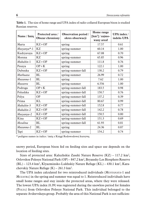| Name / Imie    | Protected area /<br><b>Obszar chroniony</b> | Observation period /<br>okres obserwacji | Home range<br>$[km2]$ / zajmo-<br>wany areał | <b>UPA</b> index /<br>indeks UPA |
|----------------|---------------------------------------------|------------------------------------------|----------------------------------------------|----------------------------------|
| Marta          | $KZ+OP$                                     | spring                                   | 17.57                                        | 0.61                             |
| $Musyanya$ *-1 | <b>KZ</b>                                   | spring-summer                            | 60.14                                        | 1.00                             |
| Kudryavaya     | $KZ+OP$                                     | spring                                   | 67.08                                        | 0.70                             |
| Morena         | <b>KZ</b>                                   | spring-summer                            | 65.85                                        | 0.96                             |
| Mukaltin-1     | $KZ+OP$                                     | spring-summer                            | 111.8                                        | 0.76                             |
| Pesnya         | $OP + K$                                    | spring                                   | 122.1                                        | 1.00                             |
| Dubenka        | $KZ+OP$                                     | spring-summer-fall                       | 130.2                                        | 0.79                             |
| Murkuaza       | BL                                          | spring-summer                            | 26.99                                        | 0.72                             |
| Muzanna-1      | <b>BL</b>                                   | spring                                   | 7.62                                         | 1.00                             |
| Muzavra        | BL                                          | spring-summer                            | 6.556                                        | 1.00                             |
| Podruga        | $OP + K$                                    | spring-summer-fall                       | 183.5                                        | 0.98                             |
| Polushka       | $KZ+OP$                                     | spring-summer-fall                       | 150.7                                        | 0.76                             |
| Polya          | <b>OP</b>                                   | spring-summer-fall                       | 137.2                                        | 0.39                             |
| Prima          | <b>KL</b>                                   | spring-summer-fall                       | 80.67                                        | 0.99                             |
| Mukaltin-3     | $KZ+OP$                                     | spring-summer-fall                       | 152.8                                        | 0.77                             |
| Mukaltin-2     | $KZ+OP$                                     | spring-summer-fall                       | 142.2                                        | 0.78                             |
| Musyanya-2     | $KZ+OP$                                     | spring-summer-fall                       | 150.5                                        | 0.80                             |
| Kina           | $KZ+OP$                                     | spring-summer-fall                       | 151.3                                        | 0.69                             |
| Mesalina       | BL                                          | spring-summer-fall                       | 61.93                                        | 0.81                             |
| Muzanna-2      | BL                                          | spring                                   | 24.36                                        | 0.87                             |
| Tapi           | $KZ+OP$                                     | spring-summer                            | 154.2                                        | 0.74                             |

**Table 1.** The size of home range and UPA index of radio-collared European bison is studied Russian reserves.

*\** pedigree names in italics / imię z Księgi Rodowodowej kursywą

snowy period, European bison fed on feeding sites and space use depends on the location of feeding sites.

Sizes of protected area: Kaluzhskie Zaseki Nature Reserve  $(KZ) - 117.2 \text{ km}^2$ , Orlovskoe Polesye National Park (OP) – 847.2 km<sup>2</sup>, Bryansky Les Biosphere Reserve (BL) – 123.4 km2, Klyazminsko-Lukhskiy Nature Refuge (KL) – 430.1 km2, Karachevskiy Nature Refuge  $(K) - 261.3 \text{ km}^2$ .

The UPA index calculated for two reintroduced individuals (Musyanaya-1 and Muzavra) in the spring and summer was equal to 1. Reintroduced individuals have small home ranges and stay inside the protected areas, where they were released. The lowest UPA index (0.39) was registered during the snowless period for females (Polya) from Orlovskoe Polesye National Park. This individual belonged to the separate Avdeevskaya group. Probably the area of this National Park is not sufficien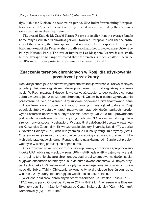tly suitable for E. bison in the snowless period. UPA index for remaining European bison exceed 0.6, which means that the protected areas inhabited by these animals were adequate to their requirements.

The area of Kaluzhskie Zaseki Nature Reserve is smaller than the average female home range estimated in snowless period. However, European bison use the entire area of the Reserve; therefore apparently it is suitable for this species. If European bison move out of the Reserve, they usually reach another protected area (Orlovskoe Polesye National Park). The area of Bryansky Les Biosphere Reserve is also small, but the average home range estimated there for females is much smaller. The value of UPA index in this protected area remains between 0.72 and 1.

## **Znaczenie terenów chronionych w Rosji dla użytkowania przestrzeni przez żubry**

Restytucja żubra jako podstawową potrzebę wskazuje tworzenie i rozwój wolnych populacji. Jak inne zagrożone gatunki przez wieki żubr był zagrożony eksterminacją. W Rosji przypadki kłusownictwa są wciąż częste i z tego względu ochrona żubra związana jest z obszarami chronionymi. Celem była ocena wykorzystania przestrzeni na tych obszarach. Aby uzyskać odpowiedź przeanalizowano dane z długo terminowych obserwacji zaobrożowanych zwierząt. Aktualnie w Rosji populacje żubrów bytują w trzech rezerwatach przyrody, dwóch parkach narodowych i czterech obszarach o innym reżimie ochrony. Od 2008 roku prowadzone jest regularne śledzenie żubrów przy użyciu obroży GPS w celu monitoringu, lepszej ochrony oraz oceny behawioru. W ciągu 8 lat założono 24 obroże w rezerwacie Kaluzhskie Zaseki (N=15), w rezerwacie biosfery Bryansky Les (N=7), w parku Orlovskoe Polesye (N=3) oraz w Klyazminsko-Lukhskiy refugium przyrody (N=1). Czterem zwierzętom założono obroże bezpośrednio przed wypuszczeniem, z których dwie przekazywały dane. Ponadto dane uzyskiwano od 19 zwierząt przebywających w wolnej populacji co najmniej rok.

Aby zrozumieć w jaki sposób żubry użytkują tereny chronione zaproponowano indeks UPA, obliczany według wzoru: UPA = s/HR, gdzie HR – zajmowany areał, s – areał na terenie obszaru chronionego. Jeśli areał występował na dwóch sąsiadujących obszarach chronionych "s" było sumą dwóch obszarów. W innych przypadkach indeks UPA wskazywał na optymalne umiejscowienie obszaru chronionego dla żubra (Tabl.). Obliczenia wykonano tylko dla okresu bez śniegu, gdyż w okresie zimy żubry koncentrują się wokół miejsc dokarmiania.

Wielkość obszarów chronionych to: w rezerwacie Kaluzhskie Zaseki (KZ) – 117.2 km<sup>2</sup>, w parku Orlovskoe Polesye (OP) - 847.2 km<sup>2</sup>, w rezerwacie Biosfery Bryansky Les (BL) – 123.4 km<sup>2</sup>, obszarze Klyazminsko-Lukhskiy (KL) – 430.1 km<sup>2</sup>, Karachevskiy  $(K)$  – 261.3 km<sup>2</sup>.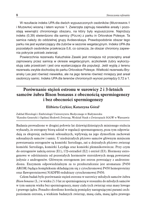W rezultacie indeks UPA dla dwóch wypuszczonych osobników (Musyanaya-1 i Muzavra) wiosną i latem wynosi 1. Zwierzęta zajmują niewielkie areały i pozostają wewnątrz chronionego obszaru, na który były wypuszczone. Najniższy indeks (0,39) stwierdzono dla samicy (Polya) z parku in Orlovskoe Polesye. Ta samica należy do oddzielnej grupy Avdeevskaya. Prawdopodobnie obszar tego parku nie jest wystarczający dla żubrów w sezonie wegetacyjnym. Indeks UPA dla pozostałych osobników przekracza 0,6, co oznacza, że obszar chroniony zapewnia pokrycie potrzeb zwierząt.

Powierzchnia rezerwatu Kaluzhskie Zaseki jest mniejsza niż przeciętny areał zajmowany przez samicę w okresie wegetacyjnym, aczkolwiek żubry wykorzystują cała przestrzeń i jest ona wystarczająca dla populacji. Jeśli wyjdą z terenu rezerwatu zwykle dochodzą do parku Orlovskoe Polesye. Wielkość rezerwatu Bryansky Les jest również niewielka, ale na jego terenie również mniejszy jest areał osobniczy samic. Indeks UPA dla terenów chronionych wynosi pomiędzy 0,72 a 1.

# **Porównanie stężeń estronu w surowicy 2 i 3-letnich samców żubra Bison bonasus z obecnością spermiogenezy i bez obecności spermiogenezy**

#### **Elżbieta Czykier, Katarzyna Góral**<sup>1</sup>

Zakład Histologii i Embriologii Uniwersytetu Medycznego w Białymstoku <sup>1</sup>Katedra Genetyki i Ogólnej Hodowli Zwierząt, Wydział Nauk o Zwierzętach SGGW w Warszawie

Badania prowadzone w drugiej połowie lat dziewięćdziesiątych minionego stulecia wykazały, że estrogeny biorą udział w regulacji spermatogenezy, poza tym odpowiadają za ekspresję zachowań seksualnych, wpływają na jego dymorfizm zachowań seksualnych samców i samic. U niedojrzałych płciowo samców głównym miejscem powstawania estrogenów są komórki Sertoliego, zaś u dojrzałych płciowo zwierząt komórki Sertoliego, komórki Leydiga oraz komórki plemnikotwórcze. Przy czym do estrogenów należą estron (E1), 17β-estradiol (E2) i estriol (E3). Hormony estrogenowe w odróżnieniu od pozostałych hormonów steroidowych mogą powstawać jedynie z androgenów. Głównym estrogenem jest estron powstający z androstendionu. Enzymem odpowiedzialnym za to przekształcenie jest aromataza (P450 AROM) będąca kompleksem składającym się z cytochromowej P450 hemoproteiny oraz flawoproteinowej NADPH-reduktazy cytochromowej P450.

Celem badań było porównanie stężeń estronu w surowicy młodych samców żubra *Bison bonasus* (L.) w wieku 2 i 3 lat ze spermiogenezą w stosunku do młodych samców w tym samym wieku bez spermiogenezy, masy ciała tych zwierząt oraz masy lewego i prawego jądra. Ponadto określono korelację pomiędzy następującymi parami cech: poziomem estronu, a wiekiem badanych zwierząt, masą ciała, masą jądra prawego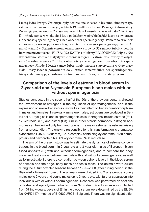i masą jądra lewego. Zwierzęta były odstrzelone w sezonie jesienno-zimowym (po zakończeniu okresu rujowego) w latach 1995–2008 na terenie Puszczy Białowieskiej. Zwierzęta podzielono na 2 klasy wiekowe: klasa I – osobniki w wieku do 2 lat, klasa II – młode samce w wieku do 3 lat, z podziałem w obrębie każdej klasy na zwierzęta z obecnością spermiogenezy i bez obecności spermiogenezy. Pobierano wycinek z lewego i prawego jądra oraz fragment trzonu lewego i prawego najądrza od 37 samców żubrów. Stężenie estronu oznaczono w surowicy 37 samców żubrów metodą immunoenzymatyczną (ELISA) (No KAPD4174) firmy BIOSOURCE (Belgia). Nie stwierdzono istotnych statystycznie różnic w stężeniu estronu w surowicy młodych samców żubra w wieku 2 i 3 lat z obecnością spermiogenezy i bez obecności spermiogenezy. Młode 2-letnie samce żubra miały istotnie statystycznie wyższe masy ciała i masy jąder w porównaniu do 2 letnich samców żubra bez spermiogenezy. Masy ciała i masy jąder żubrów 3-letnich nie różniły się istotnie statystycznie.

## **Comparison of the levels of estrone in blood serum in 2-year-old and 3-year-old European bison males with or without spermiogenesis**

Studies conducted in the second half of the 90s of the previous century, showed the involvement of estrogens in the regulation of spermatogenesis, and in the expression of sexual behaviours, as well as their effect on behavioural dimorphism in males and females. In sexually immature males, estrogens are produced in Sertoli cells, Leydig cells and in spermatogenic cells. Estrogens include estrone (E1), 17β-estradiol (E2) and estriol (E3). Unlike other steroid hormones, estrogen hormones can be derived only from androgens. The major estrogen is estrone arising from androstendion. The enzyme responsible for this transformation is aromatase cytochrome P450 (P450arom), i.e. a complex containing cytochrome P450 hemoprotein and flavoprotein NADPH-cytochrome P450 reductase.

The aim of the present study was to estimate the dynamics of estrone concentrations in the blood serum in 2-year-old and 3-year-old males of European bison *Bison bonasus* (L.) with and without spermiogenesis, and to compare the body mass and testis mass between animals with and without spermiogenesis, as well as to investigate if there is a correlation between estrone levels in the blood serum of animals and their age, body mass and testis mass. The animals were culled during the autumn-winter seasons between 1995–2008 (after rutting period) in the Białowieża Primeval Forest. The animals were divided into 2 age groups: young males up to 2 years and young males up to 3 years old, with further separation into individuals with or without spermiogenesis. Research was performed on sections of testes and epididymes collected from 37 males. Blood serum was collected from 37 individuals. Levels of E1 in the blood serum were determined by the ELISA No KAPD4174 method of BIOSOURCE (Belgium). There was no significant diffe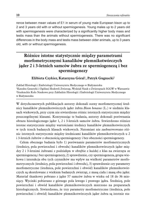rence between mean values of E1 in serum of young male European bison up to 2 and 3 years old with or without spermiogenesis. Young males up to 2 years old with spermiogenesis were characterized by a significantly higher body mass and testis mass than the animals without spermiogenesis. There was no significant differences in the body mass and testis mass between older animals, up to 3 years old, with or without spermiogenesis.

# **Różnice istotne statystycznie między parametrami morfometrycznymi kanalików plemnikotwórczych jąder 2 i 3-letnich samców żubra ze spermiogenezą i bez spermiogenezy**

#### **Elżbieta Czykier, Katarzyna Góral**<sup>1</sup>**, Patryk Gugnacki**<sup>2</sup>

Zakład Histologii i Embriologii Uniwersytetu Medycznego w Białymstoku <sup>1</sup>Katedra Genetyki i Ogólnej Hodowli Zwierząt, Wydział Nauk o Zwierzętach SGGW w Warszawie <sup>2</sup>Studenckie Koło Naukowe przy Zakładzie Histologii i Embriologii Uniwersytetu Medycznego w Białymstoku

W dotychczasowych publikacjach autorzy dokonali oceny morfometrycznej średnicy kanalików plemnikotwórczych jąder żubra *Bison bonasus* (L.) w siedmiu klasach wiekowych, przy czym nie stwierdzono różnic istotnych statystycznie między poszczególnymi klasami. Kontynuując te badania, autorzy dokonali porównania obrazu histologicznego jąder 1, 2 i 3-letnich samców żubra. Stwierdzono różnice istotne statystycznie między wartościami średnicy kanalików plemnikotwórczych w tych trzech badanych klasach wiekowych. Natomiast nie zaobserwowano różnic istotnych statystycznie między średnicami kanalików plemnikotwórczych u 2 i 3-letnich żubrów z obecnością spermiogenezy i bez obecności spermiogenezy.

Celem obecnego badania było 1) porównanie parametrów morfometrycznych (średnicy, pola powierzchni i obwodu) kanalików plemnikotwórczych jąder między 2 i 3-letnimi żubrami z podziałęm w obrębie z każdej z klas na zwierzęta ze spermiogenezą i bez spermiogenezy, 2) sprawdzenie, czy spermiogeneza, grupa wiekowa i interakcja obu tych czynników ma wpływ na wielkość parametrów morfometrycznych (średnicy, pola powierzchni i obwodu), 3) sprawdzenie czy parametry morfometryczne (średnica, pole powierzchni i obwód) kanalików plemnikotwórczych są skorelowane z wiekiem badanych zwierząt, z masą ciała i masą obu jąder. Materiał tkankowy pobrano z jąder 57 samców żubra w wieku od 18 do 36 miesięcy. Wycinki pobierano z górnego pola lewego i prawego jądra. Średnicę, pole powierzchni i obwód kanalików plemnikotwórczych mierzono na preparatach histologicznych. Stwierdzono, że trzy parametry morfometryczne (średnica, pole powierzchni i obwód) kanalików plemnikotwórczych jąder żubra są istotnie sta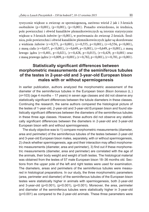tystycznie większe u zwierząt ze spermiogenezą, zarówno wśród 2 jak i 3-letnich osobników (p<0,001), (p<0,001), (p<0,001). Ponadto stwierdzono, że średnica, pole powierzchni i obwód kanalików plemnikotwórczych są istotnie statystycznie większe u 3-letnich żubrów (p<0,001), w porównaniu do zwierząt 2-letnich. Średnica, pole powierzchni i obwód kanalików plemnikotwórczych jąder są skorelowane z wiekiem żubrów (r=0,571, p<0,001), (r=0,555, p<0,001), (r=0,556, p<0,001), z masą ciała (r=0,657, p<0,001), (r=0,649, p<0,001), (r=0,649, p<0,001), z masą lewego jądra (r=0,401, p<0,021), (r=0,428, p<0,013), (r=0,429, p<0,001) oraz z masą prawego jądra (r=0,809, p<0,001), (r=0,782, p<0,001), (r=0,781, p<0,001).

## **Statistically significant differences between morphometric measurements of the seminiferous tubules of the testes in 2-year-old and 3-year-old European bison males with or without spermiogenesis**

In earlier publication, authors analyzed the morphometric assessment of the diameter of the seminiferous tubules in the European bison *Bison bonasus* (L.) (*n*=103) (age 4 months – 17 years) in seven age classes and did not observe any statistically significant differences between the tubule diameters in these classes. Continuing the research, the same authors compared the histological picture of the testes of 1-year-old, 2-year-old and 3-year-old European bison and found statistically significant differences between the diameters of the seminiferous tubules in these three age classes. However, these authors did not observe any statistically significant differences between the diameters in 2-year-old and 3-year-old European bison with and without spermiogenesis.

The study objective was to 1) compare morphometric measurements (diameter, area and perimeter) of the seminiferous tubules of the testes between 2-year-old and 3-year-old European bison males, separately, with or without spermiogenesis, 2) check whether spermiogenesis, age and their interaction may affect morphometric measurements (diameter, area and perimeter), 3) find out if these morphometric measurements (diameter, area and perimeter) are correlated with the age of the animals, their body weight and weight of both testes. The histological material was obtained from the testes of 57 male European bison 18–36 months old. Sections from the upper pole of the left and right testes were used for examination. The diameters, areas and perimeters of the seminiferous tubules were measured in histological preparations. In our study, the three morphometric parameters (area, perimeter and diameter) of the seminiferous tubules of the European bison testes were statistically higher in animals with spermiogenesis, both 2-year-old and 3-year-old (p<0.001), (p<0.001), (p<0.001). Moreover, the area, perimeter and diameter of the seminiferous tubules were statistically higher in 3-year-old (p<0.001) as compared to the 2-year-old animals. These three parameters were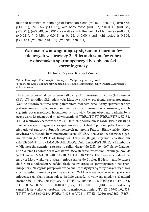found to correlate with the age of European bison ( $r=0.571$ ,  $p<0.001$ ), ( $r=0.555$ , p<0.001), (r=0.556, p<0.001), with body mass (r=0.657, p<0.001), (r=0.649, p<0.001), (r=0.649, p<0.001), as well as with the weight of left testes (r=0.401, p<0.021), (r=0.428, p<0.013), (r=0.429, p<0.001) and right testes (r=0.809, p<0.001), (r=0.782, p<0.001), (r=0.781, p<0.001).

# **Wartość równowagi między stężeniami hormonów płciowych w surowicy 2 i 3-letnich samców żubra z obecnością spermiogenezy i bez obecności spermiogenezy**

**Elżbieta Czykier, Konrad Zuzda**<sup>1</sup>

Zakład Histologii i Embriologii Uniwersytetu Medycznego w Białymstoku <sup>1</sup>Studenckie Koło Naukowe przy Zakładzie Histologii i Embriologii Uniwersytetu Medycznego w Białymstoku

Hormony płciowe jak testosteron całkowity (TT), testosteron wolny (FT), estron (E1), 17β-estradiol (E2) odgrywają kluczową rolę w przebiegu spermatogenezy. Według autorów istotniejszym parametrem biochemicznej oceny spermatogenezy jest równowaga między stężeniami wymienionych hormonów w surowicy, aniżeli stężenie poszczególnych hormonów w surowicy. Celem obecnego badania była ocena wartości równowagi między stężeniami TT:E2, TT:FT, FT:E2, FT:E1, E2:E1, TT:E1 w surowicy samców żubra 2 i 3–letnich z podziałem w każdej klasie wieku na zwierzęta ze spermiogenezą i bez spermiogenezy. Do badań pobrano pełną krew z tętnicy udowej samców żubra odstrzelonych na terenie Puszczy Białowieskiej. Krew odwirowano. Metodą immunoenzymatyczną (ELISA) oznaczono w surowicy stężenie estronu (No KAPD4174) firmy BIOSOURCE (Belgia), stężenie 17β-estradiolu (No RE 52041) firmy IMMUNO-BIOLOGICAL LABORATORIES z Hamburga w Niemczech, stężenie testosteronu całkowitego (No DSL-10-4000) firmy Diagnostic Systems Laboratories z Webster w USA, stężenie testosteronu wolnego (No RE 52171) firmy IMMUNO-BIOLOGICAL LABORATORIES. Zwierzęta podzielono na dwie klasy wiekowe: I klasa – młode samce do 2 roku, II klasa – młode samce do 3 roku z podziałem w każdej klasie na zwierzęta ze spermiogenezą i bez spermiogenezy. Następnie przeprowadzono analizę statystyczną otrzymanych wyników stosując jednoczynnikową analizę wariancji. W I klasie wiekowej u zwierząt ze spermiogenezą uzyskano następujące średnie wartości równowagi między stężeniami hormonów: TT:E2  $0,0645\pm0,0914$ , TT:FT  $0,0106\pm0,0125$ , FT:E2  $0,1704\pm0,154$ , FT:E1 0,057±0,058, E2:E1 0,4008±0,125, TT:E1 0,0161±0,0189, natomiast w tej samej klasie wiekowej osobniki bez spermiogenezy miały TT:E2 0,0747±0,0853, TT:FT 0,0385±0,0819, FT:E2 0,4231±0,7731, FT:E1 0,0506±0,0569, E2:E1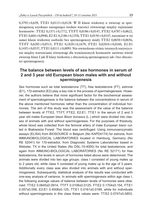$0,3792 \pm 0,639$ , TT:E1  $0,0113 \pm 0,0128$ . W II klasie wiekowej u zwierząt ze spermiogenezą uzyskano następujące średnie wartości równowagi między stężeniami hormonów: TT:E2 0,1371±0,1772, TT:FT 0,0186±0,0147, FT:E2 0,4787±0,8622, FT:E1 0,604±0,0940, E2:E1 0,2186±0,1358, TT:E1 0,0150±0,0147, natomiast w tej samej klasie wiekowej osobniki bez spermiogenezy miały TT:E2  $0,0650\pm0,0656$ , TT:FT 0,0285±0,0513, FT:E2 0,1820±0,1679, FT:E1 0,02016±0,0160, E2:E1  $0,1435\pm0,0537$ , TT:E1  $0,0111\pm0,0093$ . Nie stwierdzono różnic istotnych statystycznie między wartościami równowagi dla wymienionych hormonów zarówno wśród zwierząt klasy I jak II klasy wiekowej z obecnością spermiogenezy jak i bez obecności spermiogenezy.

## **The balance between levels of sex hormones in serum of 2 and 3 year old European bison males with and without spermiogenesis**

Sex hormones such as total testosterone (TT), free testosterone (FT), estrone (E1), 17β-estradiol (E2) play a key role in the process of spermatogenesis. However, the authors believe that more significant factor for the biochemical assessment of spermatogenesis is the balance between the concentrations in serum of the above mentioned hormones rather than the concentration of individual hormones. The aim of this study was the assessment of the value of the balance between levels of TT:E2, TT:FT, FT:E2, E2:E1, TT:E1 in the serum of 2 and 3 year old males European bison *Bison bonasus* (L.) which were divided into classes of animals with and without spermiogenesis. For the purposes of thisstudy, whole blood was collected from the femoral artery of male European bison culled in Białowieża Forest. The blood was centrifuged. Using immunoenzymatic assays (ELISA) from BIOSOURCE in Belgium (No KAPD4174) for estrone, from IMMUNOBIOLOGICAL LABORATORIES located in Hamburg, Germany (No RE 52041) for 17β-estradiol, from Diagnostic Systems Laboratories based in Webster, TX in the United States (No DSL-10-4000) for total testosterone, and again from IMMUNO-BIOLOGICAL LABORATORIES (No RE 52171) for free testosterone, the levels in serum of hormones listed above were determined. The animals were divided into two age groups: class I consisted of young males up to 2 years old, while class II consisted of young males up to the age of 3 years. Additionally every class was also divided into animals with and without spermiogenesis. Subsequently, statistical analysis of the results was conducted with one-way analysis of variance. In animals with spermiogenesis within age class I, the following average values of balance between levels of hormones were obtained: TT:E2 0.0645±0.0914, TT:FT 0.0106±0.0125, FT:E2 0.1704±0.154, FT:E1 0.057±0.058, E2:E1 0.4008±0.125, TT:E1 0.0161±0.0189, while for individuals without spermiogenesis in this class these values were: TT:E2 0.0747±0.0853,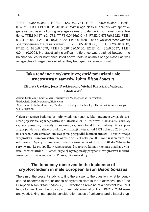TT:FT 0.0385±0.0819, FT:E2 0.4231±0.7731, FT:E1 0.0506±0.0569, E2:E1 0.3792±0.639, TT:E1 0.0113±0.0128. Within age class II, animals with spermiogenesis displayed following average values of balance in hormone concentrations: TT:E2 0.1371±0.1772, TT:FT 0.0186±0.0147, FT:E2 0.4787±0.8622, FT:E1 0.604±0.0940, E2:E1 0.2186±0.1358, TT:E1 0.0150±0.0147, while for those without spermiogenesis the results were: TT:E2 0.0650±0.0656, TT:FT 0.0285±0.0513, FT:E2 0.1820±0.1679, FT:E1 0.02016±0.0160, E2:E1 0.1435±0.0537, TT:E1 0.0111±0.0093. No statistically significant difference was obtained between the balance values for hormones listed above, both in animals of age class I as well as age class II, regardless whether they had spermiogenesis or not.

# **Jaką tendencję wykazuje częstość pojawiania się wnętrostwa u samców żubra** *Bison bonasus*

**Elżbieta Czykier, Jerzy Dackiewicz**<sup>1</sup>**, Michał Krzysiak**<sup>1</sup>**, Mateusz Cholewski**<sup>2</sup>

Zakład Histologii i Embriologii Uniwersytetu Medycznego w Białymstoku <sup>1</sup>Białowieski Park Narodowy, Białowieża <sup>2</sup>Studenckie Koło Naukowe przy Zakładzie Histologii i Embriologii Uniwersytetu Medycznego w Białymstoku

Celem obecnego badania jest odpowiedź na pytanie, jaką tendencję wykazuje częstość pojawiania się wnętrostwa w białowieskiej linii żubrów *Bison bonasus bonasus*, czy utrzymuje się na stałym poziomie, czy ma charakter wzrostowy. W związku z tym poddano analizie protokoły eliminacji zwierząt od 1971 roku do 2014 roku, ze szczególnym zwróceniem uwagi na przypadki jednostronnego i obustronnego wnętrostwa u samców żubra. W okresie od 1971 roku do 2000 roku u samców żubra odnotowano 6 przypadków wnętrostwa. Natomiast w okresie od 2001 do 2014 zaobserwowano 12 przypadków wnętrostwa. Przeprowadzona przez nas analiza wykazała, że w ostatnich 13 latach częściej występowały przypadki wnętrostwa u eliminowanych żubrów na terenie Puszczy Białowieskiej.

## **The tendency observed in the incidence of cryptorchidism in male European bison** *Bison bonasus*

The aim of the present study is to find the answer to the question: what tendency can be observed in the incidence of cryptorchidism in the Białowieża line of the European bison *Bison bonasus* (L.) – whether it remains at a constant level or it tends to rise. Thus, the protocols of animals' elimination from 1971 to 2014 were analysed, taking into special consideration cases of unilateral and bilateral cryp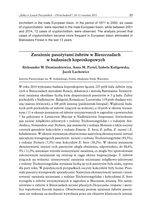torchidism in the male European bison. In the period of 1971 to 2000, six cases of cryptorchidism. were reported in the male European bison, while between 2001 and 2014, 12 cases of cryptorchidism. were observed. The analysis proved that cases of cryptorchidism became more frequent in European bison eliminated in Bialowieża Forest in the last 13 years.

# **Zarażenie pasożytami żubrów w Bieszczadach w badaniach koproskopowych**

#### **Aleksander W. Demiaszkiewicz, Anna M. Pyziel, Izabela Kuligowska, Jacek Lachowicz**

Instytut Parazytologii im. W. Stefańskiego, Polska Akademia Nauk, Warszawa

W roku 2014 wykonano badania koproskopowe łącznie 225 prób kału żubrów żyjących w Bieszczadach metodami flotacji, dekantacji i metodą Baermanna. Intensywność zarażenia określano liczbą form dyspersyjnych pasożytów w 3 g kału. Żubry pochodziły z Nadleśnictw: Baligród, Komańcza i Lutowiska. 119 prób zbadano wiosną (marzec-kwiecień), a 108 prób jesienią (październik-listopad). Większość badanych prób pochodziła od żubrów żyjących na wolności, a 10 prób w okresie wiosennym i 11 w okresie jesiennym od żubrów utrzymywanych w zagrodzie o powierzchni 7 ha położonej w Leśnictwie Muczne w Nadleśnictwie Stuposiany. Stwierdzono jaja nicieni żołądkowo-jelitowych z rodziny Trichostrongylidae i z rodzajów *Aonchotheca, Nematodirus* oraz *Trichuris,* jaja tasiemców z rodzaju *Moniezia* a także oocysty czterech gatunków kokcydiów z rodzaju *Eimeria: E. bovis, E. pellita, E. zuernii* i *E. bukidnonensis.* W okresie wiosennym obserwowano najwyższą ekstensywność inwazji najczęściej występujących pasożytów: nicieni z rodziny Trichostrongylidae (93,5%), z rodzaju *Trichuris* (7,3%) oraz kokcydiów *E. bovis* (30,2%). W okresie jesiennym ekstensywność inwazji tych pasożytów uległa obniżeniu, odpowiednio, do 88,6%, 3% i 11,3%, natomiast wzrosła intensywność zarażenia, co mogło być spowodowane sukcesywnym zarażaniem się zwierząt w ciągu okresu wegetacyjnego. U żubrów żyjących na wolności intensywność zarażenia nicieniami żołądkowo-jelitowymi z rodziny Trichostrongylidae wyrażona liczbą jaj tych pasożytów była niska, typowa dla pory roku. W pojedynczych przypadkach oocysty kokcydiów były liczne. Pozostałe pasożyty występowały sporadycznie. Najwyższa ekstensywność inwazji i intensywność zarażenia nicieniami z rodziny Trichostrongylidae i kokcydiami *E. bovis* wystąpiła u żubrów utrzymywanych w zagrodzie w Mucznem, jesienią. Nie zarejestrowano u żubrów w Bieszczadach nicieni płucnych *Dictyocaulus viviparus* i motylicy wątrobowej *Fasciola hepatica.* Obserwowany poziom zarażenia żubrów pasożytami nie wskazuje na możliwość wywołania przez nie objawów klinicznych inwazji.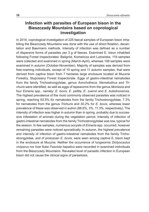## **Infection with parasites of European bison in the Bieszczady Mountains based on coprological investigation**

In 2014, coprological investigation of 225 faecal samples of European bison inhabiting the Bieszczady Mountains was done with the use of direct flotation, decantation and Baermann methods. Intensity of infection was defined as a number of dispersive forms of parasites per 3 g of faeces. Examined E. bison inhabited following Forest Inspectorates: Baligród, Komańcza and Lutowiska. 119 samples were collected and examined in spring (March-April), whereas 108 samples were examined in autumn (October-November). Majority of samples was derived from free-roaming individuals, except of 10 spring and 11 autumn samples, that were derived from captive bison from 7 hectares large enclosure located at Muczne Forestry, Stuposiany Forest Inspectorate. Eggs of gastro-intestinal nematodes from the family Trichostrongylidae, genus *Aonchotheca, Nematodirus* and *Trichuris* were identified*,* as well as eggs of tapeworms from the genus *Moniezia* and four *Eimeria* spp., namely: *E. bovis, E. pellita, E. zuernii* and *E. bukidnonensis.*  The highest prevalence of the most commonly observed parasites was noticed in spring, reaching 93.5% for nematodes from the family Trichostrongylidae, 7.3% for nematodes from the genus *Trichuris* and 30.2% for *E. bovis*, whereas lower prevalence of these was observed in autmn (88.6%, 3%, 11.3%, respectively). The intensity of infection was higher in autumn than in spring, probably due to successive infestation of animals during the vegetation period. Intensity of infection of gastro-intestinal nematodes from the family Trichostrongylidae was low, typical for the season. In few samples, numerous oocysts of *Eimeria* spp. occurred, however remaining parasites were noticed sporadically. In autumn, the highest prevalence and intensity of infection of gastro-intestinal nematodes from the family Trichostrongylidae, and of protozoan *E. bovis*, were seen among captive E. bison kept in the enclosure at Muczne. Neither the occurrence of lungworms *Dictyocaulus viviparus* nor liver fluke *Fasciola hepatica* were recorded in examined individuals from the Bieszczady Mountains. Revealed level of parasitic infection in European bison did not cause the clinical signs of parasitosis.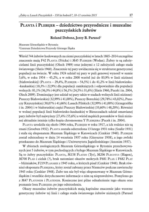# **Planta i Plebejer – dziedzictwo przyrodnicze i muzealne pszczyńskich żubrów**

#### **Roland Dobosz, Jerzy B. Parusel**<sup>2</sup>

Muzeum Górnośląskie w Bytomiu <sup>2</sup>Centrum Dziedzictwa Przyrody Górnego Śląska

Wśród 744 żubrów hodowanych na ziemi pszczyńskiej w latach 1865–2014 szczególne znaczenie mają F42 Planta (Fricka) i M45 Plebejer (Wodan). Żubry te są założycielami linii pszczyńskiej (Olech 1989) oraz jednymi z 12 założycieli całego stada światowego (Slatis 1960). Znaczenie tej pary uwidacznia się w strukturze genetycznej populacji na świecie. W roku 1924 udział tej pary w puli genowej wynosił w sumie 5,6%, w roku 1954 – 45,2%, a w roku 2000 wzrósł już do 83,9% w linii nizinnej (białowieskiej) (Planta – 29,4%, Plebejer – 54,5%) i do 41,2% w linii białowiesko- -kaukaskiej (18,3% i 22,9%) dla populacji zamkniętych i odpowiednio dla populacji wolnych: 81,1% (36,3% i 44,8%) i 56,1% (24,5% i 31,6%) (Slatis 1960, Pucek i in. 2004, Olech 2009). Dominujący jest udział tej pary także w stadach wolnych linii nizinnej: Puszczy Białowieskiej (32,99% i 41,00%), Puszczy Boreckiej (29,78% i 43,02%), Puszczy Knyszyńskiej (30,07% i 41,66%) Lasach Pilskich (32,99% i 41,00%) (Grzegrzółka i in. 2004) i w białoruskiej części Puszczy Białowieskiej (33,60% i 48,20%). Również w wolnej populacji linii białowiesko-kaukaskiej w Bieszczadach udział omawianej pary żubrów był najwyższy (27,4% i 55,6%) a wśród męskich potomków w linii nizinnej aktualnie istnieje tylko kopia chromosomu Y Plebejera (Pucek i in. 2004).

PLANTA urodziła się około 1904 roku, PLEBEJER w roku 1917, a ich rodzice nie są znani (Groeben 1932). Planta została odstrzelona 13 lutego 1931 roku (Szafer 1931) i stała się eksponatem Muzeum Śląskiego w Katowicach (Cenkier 1948). PLEBEJER został odstrzelony w dniu 14 września 1937 roku (Gieysztor 1938), a jego zwłoki przekazano do Muzeum Śląskiego i Uniwersytetu Jagiellońskiego (Anonim 1937).

W zbiorach zoologicznych Muzeum Górnośląskiego w Bytomiu przechowywanych jest 5 żubrów, w tym pochodzących z byłego Muzeum Śląskiego w Katowicach. Są to żubry pszczyńskie: PLANTA, M158 PLATEN (Tyr), M206 PLECOTUS (Hagen), M700 PLAD i cielak (?), brak natomiast okazów mokrych F681 PLAX i F682 PLAY – bliźniaków, F219 Planarie z 1945 roku, o których pisał (Cenkier 1948). Brak również eksponatu Plebejera, który został zabrany przez Niemców podczas zawieruchy 1945 roku (Cenkier 1948). Żubr ten nie był więc eksponowany w Muzeum Górnośląskim i wszelkie dotychczasowe informacje o nim są nieprawdziwe. Pomylono go z M47 PLATONEM i PLATENEM. Konieczne jest pilne odnalezienie tego okazu oraz poznanie losu Plebejera po jego odstrzeleniu.

Okazy muzealne żubrów pszczyńskich mają kapitalne znaczenie jako wzorzec genetyczny żubrów tej linii i całego stada światowego żubrów nizinnych (Parusel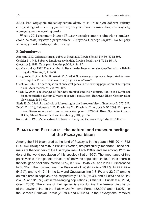2004). Pod względem muzeologicznym okazy te są unikalnym dobrem kultury europejskiej, dokumentującym historię restytucji i uratowania żubra przed zagładą, wymagającym szczególnej troski.

W roku 2011 eksponaty Planty i Platena zostały starannie odnowione i umieszczone na stałej wystawie przyrodniczej "Przyroda Górnego Śląska". Do tej pary w bieżącym roku dołączy jedno z cieląt.

#### **Piśmiennictwo:**

Anonim 1937. Odstrzał starego żubra w Pszczynie. Łowiec Polski Nr. 30 (878): 598.

Cenkier S. 1948. Żubry w lasach pszczyńskich. Łowiec Polski, nr 2 (951): 16–17.

Gieysztor J. 1938. Żubr padł. Łowiec polski, 5: 86–87.

- Groeben v. d. G. 1932. Das Zuchtbuch. Berichte der Internationalen Gesellschaft zur Erhaltung des Wisents, 5, 1: 7–50.
- Grzegrzółka B., Olech W., Krasiński Z. A. 2004. Struktura genetyczna wolnych stad żubrów nizinnych w Polsce. Parki nar. Rez. przyr. 23, 4: 665–677.
- Olech W. 1989. The participation of ancestral genes in the existing population of European bison. Acta theriol. 34, 29: 397–407.
- Olech W. 2009. The changes of founders' number and their contribution to the European bison population during 80 years of species' restitution. European Bison Conservation Newsletter, 2: 54–60.
- Slatis H. M. 1960. An analysis of inbreeding in the European bison. Genetics, 45: 275–287.
- Pucek Z. (Ed.), Belousova I. P., Krasińska M., Krasiński Z. A., Olech W. 2004. European bison. Status survey and conservation action plan. IUCN/SSC Bison Specialist Group. IUCN, Gland, Switzerland and Cambridge, UK, pp. 54.
- Szafer W. S. 1931. Zabicie dwóch żubrów w Pszczynie. Ochrona Przyrody, 11: 220–221.

### **Planta and Plebejer – the natural and museum heritage of the Pszczyna bison**

Among the 744 bison bred at the land of Pszczyna in the years 1865–2014, F42 PLANTA (Fricka) and M45 PLEBEJER (Wodan) are particularly important. Those animals are the founders of the Pszczyna line (Olech 1989), and are among 12 founders of the world population of this species (Slatis 1960). The importance of this pair is visible in the genetic structure of the world population. In 1924, their share in the total gene pool amounted to 5.6%, in 1954 – to 45.2%, and in 2000 it increased to 83.9% in the Lowland line (the Białowieża line) (PLANTA – 29.4%, PLEBEJER – 54.5%), and to 41.2% in the Lowland-Caucasian line (18.3% and 22.9%) among animals bred in captivity, and, respectively 81.1% (36.3% and 44.8%) and 56.1% (24.5% and 31.6%) within free-ranging populations (Slatis 1960 Pucek et al. 2004, Olech 2009). The share of their genes is also dominant in free-ranging herds of the Lowland line: in the Białowieża Primeval Forest (32.99% and 41.00%), in the Borecka Primeval Forest (29.78% and 43.02%), in the Knyszyńska Primeval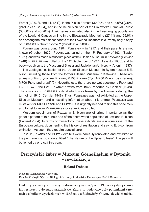Forest (30.07% and 41. 66%), in the Pilskie Forests (32.99% and 41.00%) (Grzegrzółka et al. 2004), and in the Belarusian part of the Białowieża Primeval Forest (33.60% and 48.20%). Their genesdominated also in the free-ranging population of the Lowland-Caucasian line in the Bieszczady Mountains (27.4% and 55.6%) and among the male descendants of the Lowland line there is currently only a copy of PLEBEJER's chromosome Y (Pucek et al. 2004).

PLANTA was born around 1904, PLEBEJER – in 1917, and their parents are not known (Groeben 1932). PLANTA was culled on the  $13<sup>th</sup>$  February of 1931 (Szafer 1931), and was made a museum piece at the Silesian Museum in Katowice (Cenkier 1948). PLEBEJER was culled on the  $14<sup>th</sup>$  September of 1937 (Gieysztor 1938), and its body was given to the Museum of Silesia and Jagiellonian University (Anonim 1937).

The zoological collection of the Upper Silesian Museum in Bytom houses 5 E. bison, including those from the former Silesian Museum in Katowice. These are animals of Pszczyna line: PLANTA, M158 PLATEN (Tyr), M206 PLECOTUS (Hagen), M700 PLAD and a calf (?). Nevertheless, there are no wet specimens PLAX and F682 Play – the F219 Planarie twins from 1945, reported by Cenkier (1948). There is also no Plebejer exhibit which was taken by the Germans during the turmoil of 1945 (Cenkier 1948). Thus, PLEBEJER was not exhibited at the Upper Silesian Museum, and all existing information about it is untrue. PLEBEJER was mistaken for M47 PLETON and PLATEN. It is urgently needed to find this specimen and to get to know PLEBEJER's story after it was culled.

Museum specimens of Pszczyna E. bison are of prime importance as the genetic pattern of this line's and of the entire world population of Lowland E. bison (Parusel 2004). In terms of museology, these exhibits are a unique asset of the European culture, documenting the history of restitution and saving E. bison from extinction. As such, they require special care.

In 2011, PLANTA and PLATEN exhibits were carefully renovated and exhibited at the permanent exposition entitled "The Nature of the Upper Silesia". The pair will be joined by one calf this year.

# **Pszczyńskie żubry w Muzeum Górnośląskim w Bytomiu – rewitalizacja**

#### **Roland Dobosz**

Muzeum Górnośląskie w Bytomiu Katedra Zoologii, Wydział Biologii i Ochrony Środowiska, Uniwersytet Śląski, Katowice

Dziko żyjące żubry w Puszczy Białowieskiej wyginęły w 1919 roku i jedyną szansą ich restytucji było stado pszczyńskie. Żubry tu hodowane były potomkami czterech osobników wywiezionych w 1865 roku z Białowieży. O tym, jak wielki udział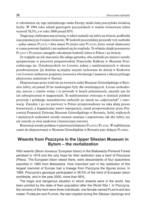w odrodzeniu się tego największego ssaka Europy miała linia pszczyńska świadczą liczby. W 1984 roku udział genotypów pszczyńskich w stadzie światowym żubra wynosił 58,5%, a w roku 2000 ponad 85%.

Tragiczną i niebezpieczną sytuację, w jakiej znalazły się żubry na świecie, podkreśla stan populacji po I wojnie światowej. W hodowli pszczyńskiej pozostały trzy osobniki – jedna samica Planta i dwa samce Plebejer oraz Platon, który został okaleczony w czasie powstań śląskich i nie nadawał się do rozpłodu. To właśnie dzięki potomstwu Planty i Plebejera nastąpiło odrodzenie hodowli żubra w Polsce i na świecie.

Ze względu na ich znaczenie dla całego gatunku, oba osobniki po śmierci zostały spreparowane w pracowni preparatorskiej Franciszka Kalkusa w Muzeum Przyrodniczego im. Dzieduszyckich we Lwowie, jednej z najsłynniejszych w okresie przedwojennym. Jej dziełem są między innymi zachowane do dzisiaj w Krakowie i we Lwowie unikatowe preparaty nosorożca włochatego i mamuta z okresu późnego plejstocenu znalezione w Staruni.

Eksponowane przez wiele lat na wystawie stałej Muzeum Górnośląskiego w Bytomiu żubry, od ponad 20 lat niedostępne były dla zwiedzających. Liczne uszkodzenia, jeszcze z czasów wojny i te powstałe w latach późniejszych, zmusiły nas do ich zabezpieczenia w magazynach. Te najsłynniejsze zwierzęta w dziejach polskiej przyrody i polskiego muzealnictwa zasłużyły po latach na "odpoczynek" i renowację. Żmudny i po raz pierwszy w Polsce przeprowadzony na taką skalę proces konserwacji, a fragmentami nawet repreparacji, został przeprowadzony przez Pracownię Preparacji Zwierząt Muzeum Górnośląskiego w Bytomiu. Setki, większych i mniejszych uszkodzeń zostały staranie usunięte i naprawione, tak aby żubry, nic nie straciły ze swej naukowej i historycznej wartości.

Renowacji zostały poddane w pierwszej kolejności PLANTA i PLATEN. W najbliższym czasie do eksponowanej w Muzeum Górnośląskim w Bytomiu pary dołączy Plamka.

#### **Wisents from Pszczyna in the Upper Silesian Museum in Bytom – the revitalization**

Wild wisents (*Bison bonasus*; European bison) in the Białowieża Primeval Forest perished in 1919 and the only hope for their restitution was a herd of Pszczyna (Pless). The European bison raised there, were descendants of four specimens exported in 1865 from Bialowieża. How important part in the restitution of this largest mammal of Europe had a lineage from Pszczyna the figures prove. In 1984, Pszczyna's genotype participated in 58.5% of the herd of European bison worldwide, and in the year 2000, more than 85%.

The tragic and dangerous situation in which wisents were in the world, has been pointed by the state of their population after the World War I. In Pszczyna, the remains of the herd were three individuals: one female named Planta and two males: PLEBEJER and PLATON, the last crippled during the Silesian Uprisings and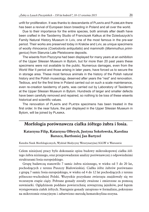unfit for proliferation. It was thanks to descendants of PLANTA and PLEBEJER there has been a revival of European bison breeding in Poland and all over the world.

Due to their importance for the entire species, both animals after death have been crafted in the Taxidermy Studio of Franciszek Kalkus at the Dzieduszycki's Family Natural History Museum in Lviv, one of the most famous in the pre-war period. Their works are preserved today in Kraków and Lviv, as unique specimens of woolly rhinoceros (*Coelodonta antiquitatis*) and mammoth (*Mammuthus primigenius*) from Starunia Late Pleistocene deposits.

The wisents from Pszczyna had been displayed for many years at an exhibition of the Upper Silesian Museum in Bytom, but for more than 20 past years these specimens were not available to the public. Numerous damages, even from the World War II period and those arising in later years, have forced us to secure the in storage area. These most famous animals in the history of the Polish natural history and the Polish museology, deserved after years the "rest" and renovation. Tedious, and for the first time in Poland carried out on such a scale maintenance, even re-creation taxidermy of parts, was carried out by Laboratory of Taxidermy at the Upper Silesian Museum in Bytom. Hundreds of larger and smaller defects have been carefully removed and repaired, so nothing to be loss of these wisents historical and scientific values.

The renovation of PLANTA and PLATEN specimens has been treated in the first order. In the near future, the pair displayed in the Upper Silesian Museum in Bytom, will be joined by Plamka.

## **Morfologia porównawcza ciałka żółtego żubra i łosia.**

#### **Katarzyna Filip, Katarzyna Olbrych, Justyna Sokołowska, Karolina Barszcz, Bartłomiej Jan Bartyzel**

#### Katedra Nauk Morfologicznych, Wydział Medycyny Weterynaryjnej SGGW w Warszawie

Celem niniejszej pracy było dokonanie opisu budowy mikroskopowej ciałka żółtego żubra nizinnego, oraz przeprowadzenie analizy porównawczej z odpowiednimi strukturami łosia europejskiego.

Grupę badawczą stanowiło 7 samic żubra nizinnego, w wieku od 5 do 20 lat, pochodzących z terenu Puszczy Białowieskiej. Ciałka żółte żubrów porównano z grupą 7 samic łosia europejskiego, w wieku od 4 do 12 lat pochodzących z terenu północno-wschodniej Polski. Wszystkie pozyskane zwierzęta znajdowały się we wczesnym etapie ciąży. Pobrane gonady zostały zważone i zmierzone za pomocą suwmiarki. Oględzinom poddano powierzchnię zewnętrzną jajników, pod kątem występowania ciałek żółtych. Następnie gonady zatopiono w formalinie, pokrojono na mikrotomie rotacyjnym i zabarwiono metodą hematoksylina-eozyna.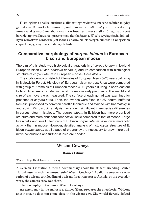Histologiczna analiza struktur ciałka żółtego wykazała znaczne różnice między gatunkami. Komórki luteinowe i paraluteinowe w ciałku żółtym żubra wykazują mniejszą aktywność metaboliczną niż u łosia. Struktura ciałka żółtego żubra jest bardziej uporządkowana i przerośnięta tkanką łączną. W celu wyciągnięcia dokładnych wniosków konieczna jest jednak analiza ciałek żółtych żubrów na wszystkich etapach ciąży, i wymaga to dalszych badań.

## **Comparative morphology of** *corpus luteum* **in European bison and European moose**

The aim of this study was histological characteristic of *corpus luteum* in lowland European bison (*Bison bonasus bonasus*) and its comparison with histological structure of *corpus luteum* in European moose (*Alces alces*).

The study group consisted of 7 females of European bison 5–20 years old living in Białowieża Forest. Histology of European bison *corpora lutea* were compared with group of 7 females of European moose 4–12 years old living in north-eastern Poland. All animals included in this study were in early pregnancy. The weight and size of each ovary was measured. The surface of each gonad was examined for presence of *corpora lutea*. Then, the ovaries were fixed in 10% neutral buffered formalin, processed by common paraffin technique and stained with haematoxylin and eosin. Microscopic analysis has shown significant interspecies differences in corpus luteum histology. The *corpus luteum* in E. bison has more organized structure and more abundant connective tissue compared to that of moose. Large lutein cells and small lutein cells of E. bison *corpus luteum* have lower metabolic activity than in moose. However, detailed analysis of histological structure of E. bison *corpus luteus* at all stages of pregnancy are necessary to draw more definitive conclusions and further studies are needed.

## **Wisent Cowboys**

#### **Rainer Glunz**

Wisentgehege Hardehausen, Germany

A German TV station filmed a documentary about the Wisent Breeding Center Hardehausen – with the unusual title "Wisent Cowboys". At all: the emergency operation of a wisent cow, loading of a wisent for a transport to Austria, or the everyday work, the camera crew was there.

The screenplay of the movie Wisent Cowboys:

An emergency in the enclosure. Rainer Glunz prepares the anesthesia. Without anesthesia, he does not come close to the wisent cow. She would fiercely defend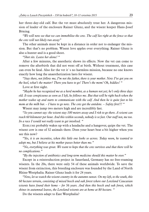her three-day-old calf. But the vet must absolutely treat her. A dangerous mission of leader of the enclosure Rainer Glunz, and the wisent keeper Hans-Josef Böning.

*"We will now see that we can immobilize the cow. The calf lies right at the fence so that the cow will not likely run away"*

The other animals must be kept in a distance in order not to endanger the mission. But that's no problem. Wisent love apples over everything. Rainer Glunz is also a hunter and is a good shoot.

*"Shot sits. Leave her alone! "*

After a few minutes, the anesthetic shows its effects. Now the vet can come to remove the afterbirth that did not went off at birth. Without treatment, this case can even be fatal. Also for the vet it`s no harmless mission, because no one knows exactly how long the anaesthetization lasts for wisent.

*"Stay there, not follow me, I'm not the father, there is your mother. Now I've got you on the heel, what's the matter? There you have to go! There's the mom! Oh, kiddies! "*

Love at first sight.

*"Maybe he has recognized me as a herd member, as a human not yet; he's only three days old. It was conspicuous as soon as I left, he follows me. But that will be right back when the mother wakes up and starts to communicate with the calf. And then he is quite fast to his mom at the milk bar. – I have to go now. The cow got the antidote. – Safety first!!! "*

Wisent may jump two meters high and are incredibly fast.

*"So you cannot say: the wisent stay 100 meters away and I risk to go there. A wisent can reach 60 kilometer per hour. And this within seconds, nobody is so fast. Our staff not, me too. In a race I would not really want to get involved. "*

Eisblume probably wakes up with a headache and a hangover, quips the vet. The wisent cow is one of 32 animals there. Does your heart beat a bit higher when you see this now?

*"Yes, it is an incentive, when this little one looks so across. Today noon, he wanted to adopt me, but I believe at his mother passes better than me."*

*"No, everything was great. We want to hope that the cow survives and that there will be no complications."*

*"By the injection of antibiotics and long-term medicine should this matter be over."*

Except in a reintroduction project in Sauerland, Germany has no free-roaming wisents. In the 20s, there were only 54 of these animals worldwide. To save the wisent from extinction, this breeding enclosure was founded by the Land of North Rhine-Westphalia. Rainer Glunz leads it for 24 years.

*"Now, let us watch the wisent country in the autumn sunset. On my left, to the south, this 60 hectare terrain, consisting of mixed beech and oak forest where our Lowland Caucasian wisents have found their home – for 56 years. And then this beech and oak forest, which shines in autumnal leaves, the Lowland wisents are at home at 80 hectare. "*

Do the wisents adapt to East Westphalia?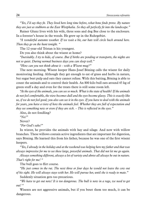*"Yes, I'd say they fit. They lived here long time before, what bone finds prove. By nature they are just as stubborn as the East Westphalia. So they all perfectly fit into the landscape."*

Rainer Glunz lives with his wife, three sons and dog Bee close to the enclosure. In a forester's house in the woods. He grew up in the Ruhrgebiet.

*"A wonderful autumn weather. If we wait a bit, our bats will circle back around here. Then they go on the hunt tonight. "*

The 12-year-old Tristan is his youngest.

Do you also think about the wisent at home?

*"Inevitably. I try to hide, of course. But if births are pending or transports, the nights are not so quiet. During normal business days you can sleep well."*

*"How can you not think about it – with a Wisent mug?"*

The next morning. Wisent keeper Hans-Josef Böning calls the wisent for daily monitoring feeding. Although they get enough to eat of grass and herbs in nature, but sugar beet pulp and oats they cannot refuse. With this baiting, Böning is able to count the animals and to control their health. An 800 kilo bull eats around 45 kg of green stuff a day and even for the treats there is still some room left.

*"At the eyes of the animals, you can see so much. What is the state of health? If the animals do not feel comfortable, the view becomes dull and the eyes become glassy. This is exactly like us, if we do not feel good; you also can see it in the eyes. If you have to deal with the animals for years, you have a view of how the animals feel. Whether they are full of expectation and they see something new or even if they are sick. – This is reflected in the eyes."*

Also, do not fondling?

*"No!"*

Never?

*"For God's sake!"*

In winter, he provides the animals with hay and silage. And now with willow branches. These willows contain active ingredients that are important for digestion, says Böning. He learned this from his father, because he was one of the first wisent keepers.

*"Yes, I already in the holiday and at the weekend was helping here my father and that was always impressive for me to see these large, powerful animals. That did not let me go again.*

*Always something different, always a lot of variety and above all always be out in nature. That's right for me! "*

The bull goes to flirt course.

*"He just comes in the rut. The next three or four days he would not leave the cow out of his sight. He will always stays with her. He will pursue her, until she is ready to mate."*

Suddenly situation gets too precarious.

*"We have to get out now! It is too dangerous. The bull is now in a rage, we need to get out! "*

Wisents are not aggressive animals, but if you beset them too much, it can be dangerous.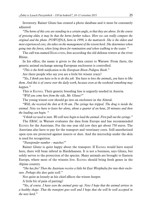Inventory. Rainer Glunz has created a photo database and it must be constantly adjusted.

*"The horns of this cow are standing in a certain angle, so that they are above. In the course of growing older, it may be that the horns further reduce. Here we can really compare the original and the photo. POWOJNA, born in 1999, is the matriarch. She is the oldest and most experienced cow; she takes on the management of the wisent herd. She determines when going into the forest, when lying down for rumination and when walking to the water. "*

The calf was named EIGELSTEIN, free according the old defense towers at the river Rhine.

In his office, the name is given to the data center to Warsaw. From there, the genetic animal exchange among European enclosures is controlled.

*"This is the birth notification to the European Bison Pedigree Book."*

Are there people who say you are a little bit wisent crazy?

*"Yes, I think you have to be to do this job. You have to love the animals, you have to like them. And this is of course over the daily work, because even at the weekend something may happen."*

This is Egonia. Their genetic breeding line is urgently needed in Austria.

*"Will you come here from the side, Mr. Glunz?"*

The young wisent cow should go into an enclosure in the Almtal.

*"Well, she received the shot at 8:36 am. The syringe has tripped. The drug is inside the animal. Now we have to leave her alone, about a quarter of an hour, 20 minutes and then the loading can begin. "*

*"I think we need to start. We will now begin to load the animal. First pull out the syringe."*

The EBAC in Warsaw evaluates the data from Europe and has recommended Egonia for the Austrians. For the one year old cow they get about 750 euros. The Austrians also have to pay for the transport and veterinary costs. Still anesthetized open eyes are protected against insects or dust. And the microchip under the skin is used for recognition.

*"Transponder number – matches!"*

Rainer Glunz is quite happy about the transport. If EGONIA would have stayed here, there will bean inbred in Hardehausen. It is not a business, says Glunz, but solely serves to the protection of the species. Many animals are brought to Eastern Europe, where most of the wisents live. Egonia should bring fresh genes in the Alpine country.

*"She has fire! Then the Austrians receive a little bit East Westphalia fire into their enclosure. Perhaps this does quite well."*

Not quite as loosely as his chief affects the wisent keeper.

A little bit of pain of parting?

*"Yes, of course. I have seen the animal grow up. Now I hope that the animal arrives in a healthy shape. That the transport goes well and I hope that she will be well accepted in the new herd."*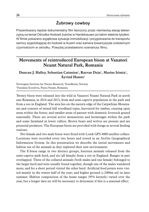# **Żubrowy cowboy**

Prezentowany będzie dokumentalny film tworzony przez niemiecką stację telewizyjną na temat Ośrodka Hodowli żubrów w Hardehausen po takim właśnie tytułem. W filmie pokazano wyjątkowa sytuacje immobilizacji i przygotowania do transportu samicy wyjeżdżającej do hodowli w Austrii oraz kamera towarzyszyła codziennym czynnościom w ośrodku. Powyżej przestawiono scenariusz filmu.

# **Movements of reintroduced European bison at Vanatori Neamt Natural Park, Romania**

**Duncan J. Halley, Sebastian Cataniou**<sup>1</sup>**, Razvan Deju**<sup>1</sup>**, Marius Irimia**<sup>1</sup>**, Âyvind Hamre**<sup>1</sup>

Norwegian Institute for Nature Research, Trondheim, Norway <sup>1</sup>Fundatia Ecosilvex, Piatra Neamt, Romania

Twenty bison were released into the wild in Vanatori Neamt Natural Park in north east Romania, in 2014 and 2015, from and semi-captive population in the park and from a zoo in England. The area lies on the eastern edge of the Carpathian Mountains and consists of mixed hill woodland types, harvested for timber, creating open areas within the forest; and smaller areas of pasture with domestic livestock grazed seasonally. There are several active monasteries and hermitages within the park and some farmland in lower valleys. Brown bears and wolves are present and are potential predators. The European bison are provided with forage at several feeding stations.

Two female and two male bison were fitted with Lotek GPS 4000 satellite collars. Locations were recorded every two hours and stored in an ArcGis Geographical Information System. In this presentation we describe the initial movements and habitat use of the animals as they explored their new environment.

The E.bison range in two distinct groups, fourteen animals released from the semi-captive park herd, and six (all female) from a zoo in England. Ranges in part overlapped. Three of the collared animals (both males and one female) belonged to the larger herd and were usually found together, though one of the males wandered more, and for a short period visited the other herd. Artificial food points were visited mainly in the winter half of the year; and higher ground (c.1000m asl) in later summer. Habitat composition of the home ranges (95% kernels) varied over the year, but a longer data set will be necessary to determine if this is a seasonal effect.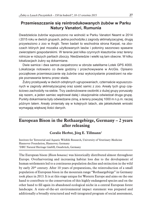# **Przemieszczanie się reintrodukowanych żubów w Parku Natury Vanatori, Rumunia**

Dwadzieścia żubrów wypuszczono na wolność w Parku Vanatori Neamt w 2014 i 2015 roku w dwóch grupach, jedna pochodziła z zagrody aklimatyzacyjnej, drugą przywieziono z zoo w Anglii. Teren badań to wschodnia strona Karpat, na zboczach których jest mozaika użytkowanych lasów i połoniny sezonowo spasane zwierzętami gospodarskimi. W terenie jest kilka czynnych klasztorów oraz tereny rolnicze w niższych partiach zboczy. Niedźwiedzie i wielki są tam obecne. W kilku lokalizacjach żubry są dokarmiane.

Dwie samice i dwa samce zaopatrzono w obroże satelitarne Lotek GPS 4000. Lokalizacje notowano co dwie godziny i przechowywane w ArcGis. Opisano początkowe przemieszczanie się żubrów oraz wykorzystanie przestrzeni na etapie poznawania terenu przez stada.

Żubry przebywały w dwóch odrębnych ugrupowaniach, czternaście wypuszczonych w zagrody aklimatyzacyjnej oraz sześć samic z zoo. Areały tych grup częściowo zachodziły na siebie. Trzy zaobrożowane osobniki z dużej grupy poruszały się razem, a jeden samiec wędrował dalej i okazjonalnie odwiedzał druga grupę. Punkty dokarmiania były odwiedzane zimą, a tereny powyżej 1000 m n.p.m. raczej późnym latem. Areały zmieniały się w kolejnych latach, ale jakiekolwiek wnioski wymagają większej ilości danych.

# **European Bison in the Rothaargebirge, Germany – 2 years after releasing**

#### **Coralie Herbst, Jörg E. Tillmann**<sup>2</sup>

Institute for Terrestrial and Aquatic Wildlife Research, University of Veterinary Medicine Hannover Foundation, Hannover, Germany <sup>1</sup>DBU Natural Heritage GmbH, Osnabrück, Germany

The European bison (*Bison bonasus)* was historically distributed almost throughout Europe. Overharvesting and increasing habitat loss due to the development of human settlements led to a continuous population decline and extinction in the wild by early 20<sup>th</sup> century. After 10 years of preparations, the reintroduction of a small population of European bison in the mountain range "Rothaargebirge" in Germany took place in 2013. It is at this stage unique for Western Europe and aims on the one hand to contribute to the conservation of this highly endangered species and on the other hand to fill again its abandoned ecological niche in a central European forest landscape. A state-of-the-art environmental impact statement was prepared and additionally a broadly structured and well-integrated program of social assessment,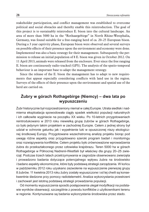stakeholder participation, and conflict management was established to overcome political and social obstacles and thereby enable this reintroduction. The goal of this project is to sustainably reintroduce E. bison into the cultural landscape. An area of more than 5000 ha in the "Rothaargebirge" in North Rhine-Westphalia, Germany, was found suitable for a free-ranging herd of ca. 20–25 European bison. During a 3 year captivity phase, European bison were observed and several surveys on possible effects of their presence upon the environment and economy were done. Implemented was also a basic strategy for their management. Subsequently the permission to release an initial population of 8 E. bison was given in October 2012. On 11 April 2013, animals were released from the enclosure. Ever since the free ranging E. bison are continuously radio-tracked (GPS). The analysis of the spatio-temporal behaviour is an important base to adapt the management strategy.

Since the release of the E. bison the management has to adapt to new requirements that appear especially considering conflicts with land use in the region. Surveys of the effects of their presence upon the environment and spatial use of the herd are carried on.

## **Żubry w górach Rothagebirge (Niemcy) – dwa lata po wypuszczeniu**

Żubr historycznie był rozprzestrzeniony niemal w całej Europie. Utrata siedlisk i nadmierna eksploatacja spowodowała ciągły spadek wielkości populacji naturalnych i ich całkowite wyginiecie na początku XX wieku. Po 10-letnich przygotowaniach reintrodukowano w 2013 roku niewielką grupę żubrów w górach Rothagebirge, co było jedynym takim projektem w zachodniej Europie. Celem z jednej strony był udział w ochronie gatunku jak i wypełnienie luki w opuszczonej niszy ekologicznej środkowej Europy. Przygotowane wszechstronną analizę projektu biorąc pod uwagę różne aspekty oraz przygotowano szeroki program badań i monitoringu oraz rozwiązywania konfliktów. Celem projektu było zrównoważone wprowadzenia żubra do przekształconego przez człowieka krajobrazu. Teren 5000 ha w górach Rothagebirge w Północnej Nadrenii-Westfalii był właściwy dla grupy 20–25 zwierząt. Podczas trzech latach przetrzymywania w zagrodzie obserwowano zwierzęta i prowadzono badania dotyczące potencjalnego wpływu żubra na środowisko i badano aspekty ekonomiczne, które były podstawą strategii zarządzania. W końcu w październiku 2012 roku uzyskano zezwolenie na wypuszczenie pierwszej grupy 8 żubrów. 11 kwietnia 2013 roku żubry zostały wypuszczone i od tej chwili są konsekwentnie śledzone przy pomocy radiotelemetrii. Analiza wykorzystania przestrzeni i zachowań jest istotną podstawą strategii prowadzenia populacji.

Od momentu wypuszczenia sposób postępowania ulegał modyfikacji na podstawie wyników obserwacji, szczególnie z powodu konfliktów z użytkownikami terenu w regionie. Kontynuowane są badania wykorzystania środowiska przez stado.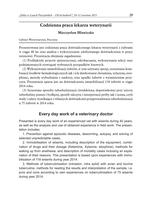## **Codzienna praca lekarza weterynarii**

#### **Mieczysław Hławiczka**

Gabinet Weterynaryjny, Pszczyna

Prezentowana jest codzienna praca doświadczonego lekarza weterynarii z żubrami w ciągu 40 lat oraz analiza i wykorzystanie zdobywanego doświadczenia w pracy terenowej. Prezentacja obejmuje zagadnienia:

(1) Profilaktyki przeciw epizootycznej, odrobaczania, wykonywania sekcji oraz podejmowanych rozwiązań wybranych przypadków losowych.

(2) Wykonywanie immobilizacji żubrów, w tym używany sprzęt, stosowanie kombinacji środków farmakologicznych jak i ich dawkowanie (ketamina, xylazyna, etorphina), metody wybudzania z narkozy, oraz upadki żubrów z wyjaśnieniem przyczyn. Prezentacja oparta jest na doświadczeniu immobilizacji 118 żubrów w ciągu 2014 roku.

(3) Stosowane sposoby tuberkulinizacji (śródskórna, dopowiekowa) przy użyciu tuberkuliny ptasiej i bydlęcej, sposób odczytu i interpretacji próby jak i ocena, czyli wady i zalety wynikające z własnych doświadczeń przeprowadzenia tuberkulinizacji u 75 żubrów w 2014 roku.

#### **Every day work of a veterinary doctor**

Presented is every day work of an experienced vet with wisents during 40 years, as well as the analysis and use of obtained experience in field work. The presentation includes:

1. Prevention against epizootic diseases, deworming, autopsy, and solving of selected unpredictable cases.

2. Immobilisation of wisents, including description of the equipment, combination of drugs and their dosage (Ketamine, Xylazine, etorphine), methods for waking up from anethesia, and description of mortality cases inclusing an explanation of their reasons. This presentation is based upon experiences with immobilisation of 118 wisents during year 2014.

3. Methods of tuberculinisation (intraskin, intra eylid) with avian and bovine tuberculine, methods for reading the results and interpretation of the sample, i.e. pros and cons according to own experiences on tuberculinisation of 75 wisents during year 2014.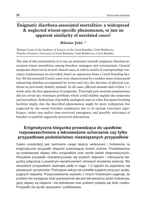# **Enigmatic diarrhoea-associated mortalities: a widespread & neglected wisent-specific phenomenon, or just an apparent similarity of unrelated cases?**

**Miloslav Jirků** 1,2

<sup>1</sup>Biology Centre of the Academy of Sciences of the Czech Republic, České Budějovice <sup>2</sup>Faculty of Science, University of South Bohemia, České Budějovice, Czech Republic

The aim of this presentation is to rise an awareness towards enigmatic diarrhea-associated wisent mortalities, among breeders, managers and veterinarians. General symptoms observed in several clinical cases, as well as results of corresponding veterinary examinations are provided, based on experience from a Czech breeding facility. All documented (Czech) cases were characterized by a sudden onset of perennial exhausting diarrhea accompanied by severe and very fast decrease of physical condition in previously healthy animals. In all cases, affected animals died within 1–2 weeks after the first appearance of symptoms. Thorough post-mortem examinations did not reveal any veterinary problems which could reliably explain the symptoms and mortalities. Indications of possibly analogical cases in other European breeding facilities imply, that the described phenomenon might be more widespread, but neglected by the wisent breeders community due to its unclear veterinary significance, rather rare and/or time-restricted emergence, and possibly reluctance of breeders to publish negatively perceived information.

## **Enigmatyczna biegunka prowadząca do upadków: rozpowszechnione a lekceważone schorzenie czy tylko przypadkowe podobieństwo niezwiązanych przypadków**

Celem prezentacji jest zwrócenie uwagi lekarzy weterynarii i hodowców na enigmatyczne przypadki biegunki powodującej śmierć żubrów. Przedstawione są podstawowe objawy kilku przypadków oraz wyniki badań diagnostycznych. Wszytskie przypadki charakteryzowały się szybkim zejściem i intensywną biegunką połączoną z poważnym wycieńczeniem zdrowych wcześniej zwierząt. We wszystkich przypadkach zwierzęta padły w ciągu 1–2 tygodni po pojawieniu się pierwszych symptomów. Późniejsza sekcja nie potrafiła wyjaśnić przyczyn występujących objawów. Przeprowadzenie wywiadu z innymi hodowcami sugeruje, że problem ten występuje dość powszechnie ale jest lekceważony przez hodowców, gdyż objawy są niejasne i nie jednakowe oraz problem pojawia się dość rzadko. Przypadki nie są też opisywane i publikowane.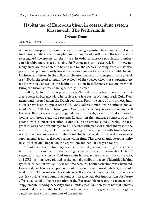# **Habitat use of European bison in coastal dune system Kraansvlak, The Netherlands**

#### **Yvonne Kemp**

#### ARK Nature & PWN, The Netherlands

Although European bison numbers are showing a positive trend and several reintroductions of the species took place in the past decade, still more efforts are needed to safeguard the species for the future. In order to increase population numbers considerably, more space available for European bison is desired. Until now, not many areas are considered to be suitable for the species. Coming from a historical perspective, predominantly forested areas are thought to be the best suitable habitat for European bison. In the IUCN publication concerning European bison (Pucek *et al.* 2004), the need to study the ecology of the species when not supplementary fed [in winter], as well as the habitat utilisation in different ecosystems in which European bison is present are specifically indicated.

In 2007, the first E. bison project in the Netherlands has been started in a dune area known as Kraansvlak. The project site is a part of National Park Zuid-Kennemerland, located along the Dutch coastline. From the start of this project, individuals have been equipped with GPS-GSM collars to monitor the animals' movements. Since 2008, the E. bison group ( $n=6$ ) roam a heterogeneous area of circa 220 hectares. Besides several types of grasslands, also scrub, dwarf shrub, deciduous as well as coniferous stands are present. In addition the landscape consists of sandy patches with pioneer vegetation, a dune lake and several ponds. During the past years this area has been enlarged to 330 hectares with plans for further increase in the near future. Currently, 23 E. bison are roaming the area, together with Konik horses. Also fallow deer, roe deer and rabbits inhabit Kraansvlak. E. bison do not receive supplemental feeding, also not during winter time. This gives an unique opportunity to study their diet, impact on the vegetation, and habitat use year-round.

Presented are the preliminary results of the first years of our study on the habitat use of European bison in the heterogeneous landscape of Kraansvlak. Detailed vegetation data was reclassified into main habitat types covering the entire area, and GPS positions were plotted on the spatial distribution map of identified habitat types. With habitat availability taken into account, habitat selection was calculated. In general, no clear overall preference of E. bison towards forest habitat types could be detected. The results of this study as well as other knowledge obtained at Kraansvlak such as year-round diet composition give valuable implications for future efforts dedicated to the preservation of the European bison regarding management (supplemental feeding necessity) and suitable areas. An increase of natural habitats considered to be suitable for E. bison reintroductions may give a chance to significantly increase current numbers of the species.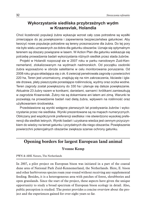## **Wykorzystanie siedliska przybrzeżnych wydm w Kraansvlak, Holandia**

Choć liczebność populacji żubra wykazuje wzrost cały czas potrzebne są wysiłki zmierzające do jej powiększenia i zapewnienia bezpieczeństwa gatunkowi. Aby tworzyć nowe populacje potrzebne są tereny przeznaczone dla żubra. Do tej pory nie było wielu uznawanych za dobra dla gatunku obszarów. Uznaje się optymalnym terenem są obszary powiązane w lasem. W Action Plan dla gatunku wskkazuje się potrzebę prowadzenia badań wykorzystania różnych siedlisk przez stada żubrów.

Projekt w Holandii rozpoczął sie w 2007 roku w parku narodowym Zuid-Kennemerland, zlokalizowanym na wydmach nadmorskich. Od początku osobniki żubra wyposażono w obroże satelitarne w celu monitorowania poruszania. Od 2008 roku grupa składająca się z ok. 6 zwierząt penetrowała zagrodę o powierzchni 220 ha, Teren jest urozmaicony, znajdują się na nim zakrzaczenia, liściaste i iglaste drzewa, płaty piaszczyste porastające roślinnością, wydmy oraz oczka wodne. Teren zagrody został powiększony do 330 ha i planuje się dalsze powiększanie. Aktualnie 23 żubry razem w konikami, danielami, sarnami i królikami zamieszkują w zagrodzie Kraansvlak. Żubry nie są dokarmiane ani latem ani zimą. Warunki te pozwalają na prowadzenie badań nad dietą żubra, wpływem na roślinność oraz użytkowaniem środowiska.

Przedstawione są wyniki wstępne pierwszych lat przebywania żubrów i wykorzystanie przez nie siedliska. Wyniki prezentowane są na mapach numerycznych. Obliczany jest współczynnik preferencji siedliska i nie stwierdzono wysokiej preferencji dla siedlisk leśnych, Wyniki badań i uzyskana wiedza jest cennym przyczynkiem do wiedzy na temat gatunku i przydatnych dla niego obszarów. Powiększenie powierzchni potencjalnych obszarów zwiększa szanse ochrony gatunku.

# **Opening borders for largest European land animal**

#### **Yvonne Kemp**

#### PWN & ARK Nature, The Netherlands

In 2007, a pilot project on European bison was initiated in a part of the coastal dune area of National Park Zuid-Kennemerland, the Netherlands. Here, E. bison and other herbivorous species roam year-round without receiving any supplemental feeding. Besides, it is a heterogeneous area with patches of forest, shrubberies and open grasslands. Since the start of the project, these aspects have given the unique opportunity to study a broad spectrum of European bison ecology in detail. Also, public perception is studied. The poster provides a concise overview about the project and the experiences gained for over eight years so far.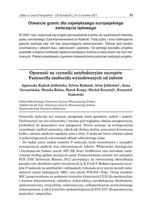## **Otwarcie granic dla największego europejskiego zwierzęcia lądowego**

W 2007 roku rozpoczął się projekt wprowadzenia żubrów do wydmowych terenów parku narodowego Zuid-Kennemerland w Holandii. Tutaj żubry i inne roślinożerne gatunki wędrują cały rok bez wspomagania dokarmianiem. Obszar jest bardzo urozmaicony z płatami lasu, zakrzaczeń i pastwisk. Od samego początku projektu powstała unikalna możliwość badania behawioru żubrów w warunkach dla nich nieznanych. Plakat przedstawia uzyskane doświadczenia podczas realizacji projektu.

# **Oporność na czynniki antybakteryjne szczepów Pasteurella multocida wyizolowanych od żubrów**

#### **Agnieszka Kędrak-Jabłońska, Sylwia Budniak, Artur Jabłoński**<sup>1</sup>**, Anna Szczawińska, Monika Reksa, Marek Krupa, Michał Krzysiak**<sup>2</sup>**, Krzysztof Szulowski**

Zakład Mikrobiologii, Państwowy Instytut Weterynaryjny, Puławy <sup>1</sup>Zakład Chorób Świń, Państwowy Instytut Weterynaryjny, Puławy <sup>2</sup>Białowieski Park Narodowy, Białowieża

*Pasteurella multocida* jest ważnym patogenem wielu gatunków ssaków i ptaków. Drobnoustrój ten jest różnorodny i złożony pod względem odmian antygenowych, predylekcji do gospodarza oraz patogenezy. Pewne serotypy są etiologicznymi czynnikami ciężkich pastereloz, takich jak cholera drobiu, posocznica krwotoczna bydła i zakaźne zanikowe zapalenie nosa u świń. *P. multocida* bierze również udział w polietiologicznych schorzeniach układu oddechowego cieląt.

Do badań użyto siedem izolatów *P. multocida*, które wyosobniono z narządów wewnętrznych padłych oraz eliminowanych żubrów. Właściwości fizjologiczne i biochemiczne badano testem API 20E firmy bioMérieux oraz metodami tradycyjnymi według ogólnie przyjętych zasad. Przeprowadzono również test multiplex PCR (OIE Terrestrial Manual 2012) pozwalający na równoczesną identyfikację gatunku oraz określenie typów otoczkowych A, B, D lub F. Badanie oporności szczepów *P. multocida* na antybiotyki i sulfonamidy wykonano przy użyciu metody minimalnych stężeń hamujących (MIC) oraz płytki POL050 (Trek). Ocenę wyników MIC przeprowadzono na podstawie kryteriów klinicznych CLSI dla amoksycyliny z kwasem klawulanowym, ceftiofuru, doksycykliny, enrofloksacyny, florfenikolu, spektynomycyny, tetracykliny, tulatromycyny, sulfametoksazolu potencjowanego trimetoprimem, a także kryteriów epidemiologicznych EUCAST dla gentamycyny, penicyliny i ampicyliny.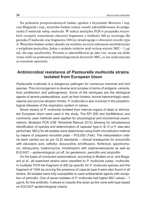Na podstawie przeprowadzonych badań, zgodnie z kryteriami Muttersa i wsp. oraz Bisgaarda i wsp., wszystkie badane izolaty zostały zakwalifikowanie do podgatunku *P. multocida* subsp. *multocida*. W reakcji multiplex PCR w przypadku wszystkich szczepów stwierdzono obecność fragmentu o wielkości 460 pz swoistego dla gatunku *P. multocida* oraz fragmentu 1044 pz świadczącego o obecności otoczki typu A. Wszystkie badane izolaty okazały się wrażliwe na użyte substancje antybakteryjne z wyjątkiem penicyliny. Jeden z siedmiu izolatów miał wyższą wartość MIC – 1  $\mu$ g/ mL dla tego antybiotyku. Pozwala to zakwalifikować go jako tzw. szczep nie-dziki (none-wild) na podstawie epidemiologicznych kryteriów MIC, co jest jednoznaczne ze wzrostem oporności.

#### **Antimicrobial resistance of** *Pasteurella multocida* **strains isolated from European bison**

*Pasteurella multocida* is a dangerous pathogen for numerous mammal and bird species. This microorganism is diverse and complex in terms of antigenic variants, host predilection and pathogenesis. Some of the serotypes are the etiological agents of severe pasteurellosis, such as fowl cholera, bovine haemorrhagic septicaemia and porcine atrophic rhinitis. *P. multocida* is also involved in the polyethiological diseases of the respiratory system in calves.

Seven strains of *P. multocida* isolated from internal organs of dead or eliminated European bison were used in the study. The API 20E test (bioMérieux) and commonly used methods were applied for physiological and biochemical examinations. Multiplex PCR (OIE Terrestrial Manual 2012) allowing for simultaneous identification of species and determination of capsular type A, B, D or F, was also performed. MICs for all isolates were determined using broth microdilution method by means of prepared microtitre plate – POL050 (Trek). The interpretation criteria were carried out as per CLSI standards – clinical breakpoints for amoxicillin with clavulanic acid, ceftiofur, doxycycline, enrofloxacin, florfenicol, spectinomycin, tetracycline, tulatromycine, trimethoprim with sulphametoxazole as well as EUCAST – epidemiological cut off, for gentamicin, penicillin and ampicillin.

On the basis of conducted examinations, according to Mutters *et al*. and Bisgaard *et al*., all examined strains were classified to *P. multocida* subsp. *multocida*. In multiplex PCR the fragment of 460 bp specific for *P. multocida* species and the fragment of 1044 bp proving the presence of capsule type A were also found in all strains. All isolates were fully susceptible to used antibacterial agents with exception of penicillin. One of seven isolates of *P. multocida* had higher MIC values – 1 µg/mL for this antibiotic. It allows to classify this strain as the none-wild-type based on EUCAST epidemiological criteria.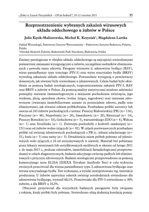# **Rozprzestrzenienie wybranych zakażeń wirusowych układu oddechowego u żubrów w Polsce**

#### **Julia Kęsik-Maliszewska, Michał K. Krzysiak**<sup>1</sup>**, Magdalena Larska**

Zakład Wirusologii, Państwowy Instytut Weterynaryjny – Państwowy Instytut Badawczy, Puławy, Polska <sup>1</sup>Ośrodek Hodowli Żubrów, Białowieski Park Narodowy, Białowieża, Polska

Zmiany patologiczne w obrębie układu oddechowego są najczęściej stwierdzanymi pośmiertnie zmianami występującymi u żubrów, szczególnie osobników eliminowanych z powodu stanu zdrowia. Patogeny wirusowe tj. adenowirus bydlęcy (BAV), wirus parainfluenzy typu trzeciego (PIV-3) oraz wirus syncytialny bydła (BRSV) wywołują zakażenia układu oddechowego. Powszechnie występują u przeżuwaczy domowych, jak również były stwierdzane u jeleniowatych. Celem badań było określenie za pomocą badań serologicznych, rozprzestrzenienia zakażeń PIV-3, BAV oraz BRSV u żubrów w Polsce. Za pomocą analizy statystycznej ustalono zależności pomiędzy statusem immunologicznym a miejscem pochodzenia zwierzęcia, jego wiekiem, płcią, sposobem chowu (wolno żyjące, zagrodowe) oraz statusem zdrowotnym (zwierzęta immobilizowane uznane za potencjalnie zdrowe, padłe oraz eliminowane), jak również rokiem próbkobrania. Przebadano próbki surowicy lub osocza od 243 żubrów pochodzących z terenu: Puszczy Białowieskiej (PB) (n= 116), Pszczyny (n= 46), Niepołomic (n= 26), Smardzewic (n= 20), Bieszczad (n= 14), Puszczy Boreckiej (n= 10), Gołuchowa (n= 5), warszawskiego ZOO (n= 4), Wałcza  $(n= 1)$  oraz Strzelinka (n= 1). Zwierzęta pochodziły z hodowli zamkniętej (n= 151) oraz od żubrów wolno żyjących (n= 92). W celach porównawczych przebadano próbki od zwierząt jeleniowatych pochodzących z PB tj.: jelenia szlachetnego (n= 31), łosia (n= 5) oraz sarny (n= 3). Dwadzieścia osiem próbek pobrano od jeleniowatych wolo żyjących a 10 od utrzymywanych w niewoli. Materiał był pobierany przez lekarzy weterynarii lub certyfikowanych myśliwych w okresie od lutego 2011 r. do maja 2015 r., podczas odstrzałów, immobilizacji farmakologicznej przeprowadzanej w celach diagnostycznych, badania sekcyjnego zwierząt padłych lub eliminowanych z przyczyn zdrowotnych. Badanie serologiczne przeprowadzono za pomocą komercyjnego testu ELISA (IDEXX Trivalent Antibody Test) w celu wykrycia swoistych przeciwciał dla wirusa parainfluenzy typu 3, adenowirusa bydlęcego oraz wirusa syncytialnego bydła. Test wykonano, a wyniki interpretowano wg. instrukcji producenta. U żubrów najwyższy odsetek zwierząt serododatnich stwierdzono dla adenowirusa bydlęcego, wynosił 60,1%. Przeciwciała dla PIV-3 stwierdzono u 30% żubrów, a dla BRSV u 10,3%.

Obecność przeciwciał dla wszystkich badanych patogenów była związana z rokiem, kiedy próbki były pobrane. Stwierdzono silną dodatnią korelację pomię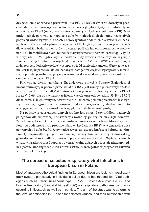dzy wiekiem a obecnością przeciwciał dla PIV-3 i BAV-u zwierząt dorosłych przeciwciała stwierdzano częściej. Pochodzenie zwierząt było statystycznie istotne tylko w przypadku PIV-3 (najwyższy odsetek wynoszący 53,4% stwierdzono w PB). Niemniej jednak porównując populację żubrów białowieskich do sumy pozostałych populacji widać wyraźnie iż odsetek seroreagentów dodatnich dla wszystkich badanych wirusów jest zdecydowanie wyższy w PB. Częściej stwierdzano przeciwciała dla wszystkich badanych wirusów u zwierząt padłych lub eliminowanych w porównaniu do immobilizowanych. Jednakże statystycznie istotne różnice wystąpiły tylko w przypadku PIV-3, gdzie wyniki dodatnie były sześciokrotnie częstsze w grupie zwierząt padłych i eliminowanych. W przypadku BAV oraz BRSV stwierdzono, iż zwierzęta serododatnie częściej występują wśród samic niż samców. Warty zauważenia jest fakt, iż przeciwciała dla badanych patogenów częściej występowały u zwierząt z populacji wolno żyjącej w porównaniu do zagrodowej, nawet czterokrotnie częściej w przypadku PIV-3.

Porównując wyniki uzyskane dla zwierzyny płowej z Puszczy Białowieskiej można zauważyć, iż poziom przeciwciał dla BAV jest niższy u jeleniowatych (41%) w stosunku do żubrów (70,7%). Sytuacja ta jest jeszcze bardziej wyraźna dla PIV-3 i BRSV: 2,6% dla obu wirusów u jeleniowatych oraz odpowiednio 53,4% i 15,5% dla żubrów. U jeleniowatych, odwrotnie niż u żubrów, poziom przeciwciał jest wyższy u zwierząt zagrodowych w porównaniu do wolno żyjących. Jednakże trudno tu wyciągać jednoznaczne wnioski ze względu na małą liczebność próby.

Na podstawie uzyskanych danych trudno jest określić czy źródłem badanych patogenów dla żubrów są inne zwierzęta wolno żyjące czy też zwierzęta domowe. W celu weryfikacji konieczna jest izolacja wirusa oraz badania filogenetyczne. Pomimo podejmowanych prób nie udało wykryć wirusa BRSV w wymazach z nosa pobranych od żubrów. Możemy podejrzewać, że szczepy krążące u żubrów są wirusami typowymi dla tego gatunku zwierząt, szczególnie w Puszczy Białowieskiej, gdzie do kontaktu z bydłem domowym praktycznie nie dochodzi. Wpływ badanych wirusów na zdrowotność populacji zwierząt wolno żyjących pozostaje nieznany, jednak potencjalne zagrożenie ich zdrowia istnieje, szczególnie w przypadku zakażeń wtórnych i koinfekcji.

#### **The spread of selected respiratory viral infections in European bison in Poland**

Most of anatomopathological findings in European bison are lesions in respiratory track system, particularly in individuals culled due to health condition. Viral pathogens such as Parainflueza Virus type 3 (PIV-3), Bovine Adenovirus (BAV) and Bovine Respiratory Syncytial Virus (BRSV) are respiratory pathogens commonly occurring in livestock, as well as in cervids. The aim of the study was to determine the level of antibodies in E. bison for selected viruses, and their relationship with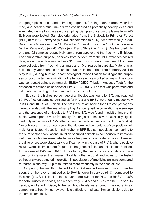the geographical origin and animal age, gender, farming method (free-living/ farmed) and health status (immobilized considered as potentially healthy, dead and eliminated) as well as the year of sampling. Samples of serum or plasma from 243 E. bison were tested. Samples originated from: the Białowieża Primeval Forest (BPF) (n = 116), Pszczyna (n = 46), Niepołomice (n = 26), Smardzewice (n = 20), Bieszczady Mountains (n = 14), Borecka Primeval Forest (n = 10), Goluchow (n = 5), the Warsaw Zoo ( $n = 4$ ), Walcz ( $n = 1$ ) and Strzelinko ( $n = 1$ ). One hundred fifty one and 92 samples respectively came from captive and the free-living E. bison. For comparative purpose, samples from cervids from the BPF were tested: red deer, elk and roe deer respectively 31, 5 and 3 individuals. Twenty-eight of them were collected from free living animals and 10 of reared in captivity. Material was collected by veterinarians or certified hunters in the period from February 2011 to May 2015, during hunting, pharmacological immobilization for diagnostic purposes or post mortem examination of fallen or selectively culled animals. The study was conducted using a commercial ELISA (IDEXX Trivalent Antibody Test) for the detection of antibodies specific for PIV-3, BAV, BRSV. The test was performed and calculated according to the manufacturer's instructions.

In E. bison the highest percentage of antibodies was found for BAV and reached 60,1% of tested samples. Antibodies for PIV-3 and BRSV were found respectively in 30% and 10,3% of E. bison. The presence of antibodies for all tested pathogens were correlated with the year of sampling. A strong positive correlation between age and the presence of antibodies to PIV-3 and BAV was found.In adult animals antibodies were reported more frequently. The origin of animals was statistically significant only in the case of PIV-3 (the highest percentage was found in BPF – 53,4%). Nevertheless, it can be clearly seen that determined percentage of seropositive animals for all tested viruses is much higher in BPF E. bison population comparing to the sum of other populations. In fallen or culled animals in comparison to immobilized ones, antibodies were detected more frequently for all tested viruses. However, the differences were statistically significant only in the case of PIV-3, where positive results were six times more frequent in the group of fallen and eliminated E. bison. In the case of BAV and BRSV it was found, that seropositive animals are more common in females than males. Notable is the fact that antibodies to the tested pathogens were detected more often in populations of free living animals compared to reared in captivity – up to four times more frequently in the case of PIV-3.

Comparing the results obtained for the Białowieża Primeval Forest it can be seen, that the level of antibodies to BAV is lower in cervids (41%) compared to E. bison (70,7%). This situation is even more evident for PI-3 and BRSV – 2,6% for both viruses in cervids, and respectively 53,4% and 15,5% for the E. bison. In cervids, unlike in E. bison, higher antibody levels were found in reared animals comparing to free-living, however, it is difficult to implicate firm conclusions due to the small sample size.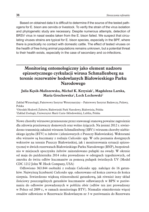Based on obtained data it is difficult to determine if the source of the tested pathogens for E. bison are cervids or livestock. To verify the strain of the virus isolation and phylogenetic study are necessary. Despite numerous attempts, detection of BRSV virus in nasal swabs taken from the E. bison failed. We suspect that circulating viruses strains are typical for E. bison species, especially in the BPF, where there is practically no contact with domestic cattle. The effect of tested viruses on the health of free living animal populations remains unknown, but a potential threat to their health exists, especially in the case of secondary and co-infections.

# **Monitoring entomologiczny jako element nadzoru epizootycznego cyrkulacji wirusa Schmallenberg na terenie rezerwatów hodowlanych Białowieskiego Parku Narodowego**

### **Julia Kęsik-Maliszewska, Michał K. Krzysiak**<sup>1</sup>**, Magdalena Larska, Maria Grochowska**<sup>2</sup>**, Lech Lechowski**<sup>2</sup>

Zakład Wirusologii, Państwowy Instytut Weterynaryjny – Państwowy Instytut Badawczy, Puławy, Polska <sup>1</sup>Ośrodek Hodowli Żubrów, Białowieski Park Narodowy, Białowieża, Polska <sup>2</sup>Zakład Zoologii, Uniwersytet Marii Curie-Skłodowskiej, Lublin, Polska

Nowe choroby wirusowe przenoszone przez stawonogi stanową poważne zagrożenie dla zdrowia przeżuwaczy domowych oraz wolno żyjących. Na jesieni 2012 r. stwierdzono transmisję zakażeń wirusem Schmallenberg (SBV) i wirusem choroby niebieskiego języka (BTV) u żubrów i jeleniowatych z Puszczy Białowieskiej. Wektorami obu wirusów są kuczmany z rodzaju *Culicoides* spp. W celu poznania dostępnych wektorów na terenie Puszczy Białowieskiej, jak i monitorowania sytuacji epizootycznej w dwóch rezerwatach Białowieskiego Parku Narodowego (BNP), bezpośrednio w miejscach spoczynku żubrów zainstalowano pułapki na owady. W okresie od maja do października 2014 roku prowadzono w odstępach tygodniowych, od zmroku do świtu odłów kuczmanów za pomocą pułapek świetlnych UV (Model CDC 1212 John W. Hock Company, USA)

Odłowiono 363.844 osobniki z rodzaju *Culicoides* spp. należące do 16 gatunków. Najwyższą liczebność *Culicoides* spp. odnotowano od końca czerwca do końca sierpnia. Stwierdzono większą różnorodność gatunkową, jak również inny skład ilościowy poszczególnych gatunków kuczmanów odławianych w BPN w porównaniu do odłowów prowadzonych w pobliżu obór (odłów ten jest prowadzony w Polsce od 2009 r., w ramach monitoringu BTV). Niemalże ośmiokrotnie więcej owadów odłowiono w Rezerwacie Hodowlanym nr 3 w porównaniu do Rezerwatu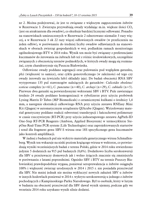nr 2. Można podejrzewać, że jest to związane z większym zagęszczeniem żubrów w Rezerwacie 3. Zwierzęta przywabiają owady wydalając m.in. większe ilości  $CO<sub>2</sub>$ (jest on atraktantem dla owadów), co skutkuje bardziej licznymi odłowami. Ponadto na stanowiskach umieszczonych w Rezerwacie 2 odnotowano niemalże 3 razy więcej, a w Rezerwacie 3 ok 22 razy więcej odłowionych owadów (w przeliczeniu na jeden odłów), w porównaniu do średniej liczby owadów odławianych na stanowiskach w oborach zwierząt gospodarskich w woj. podlaskim ramach monitoringu ogólnokrajowego BTV w 2014 roku. Wynik ten może być związany z preferencjami kuczmanów do żerowania na żubrach lub też z różnic środowiskowych, szczególnie związanych z obecnością terenów podmokłych, w których owady mogą się rozmnażać, czym charakteryzuje się Puszcza Białowieska.

Odłowione owady poddano segregacji oraz pulowaniu pod względem gatunku, płci (większość to samice), oraz cyklu gonotroficznego (w zależności od tego czy owady żerowały na żywicielu lub/i składały jaja). Do badań obecności RNA SBV wytypowano 135 pul stawonogów należących do gatunków: *Culicoides obsoletus/ scoticus* complex (n=61), *C. punctatus* (n=40), *C. archayi* (n=29), *C. cubitalis* (n=5). Pierwsze dwa gatunki są potwierdzonymi wektorami SBV i BTV. Pule zawierające średnio 24 owady poddano homogenizacji w rybolizerze przy użyciu probówek Lysing Matrix D Tubes (MP Biomedicals) z ceramicznymi kulkami o średnicy 1,4 mm, a następnie ekstrakcji całkowitego RNA przy użyciu zestawu RNEasy Mini Kit (Qiagen) w automatycznym urządzeniu QIAcube (Qiagen). Wyizolowany materiał genetyczny poddano reakcji odwrotnej transkrypcji i łańcuchowej polimerazy w czasie rzeczywistym (RT-PCR) przy użyciu jednoetapowego zestawu AgPath-ID One-Step RT-PCR Reagents (Ambion, Applied Biosystem) w termocyklerze StepOne Real-Time PCR system (Life Technologies) oraz zaprojektowanych starterów i sond dla fragment genu SBV-S wirusa oraz 18S specyficznego genu kuczmanów jako kontroli amplifikacji.

W żadnej z badanych pul nie wykryto materiału genetycznego wirusa Schmallenberg. Wynik ten wskazuje na niski poziom krążącego wirusa w wektorze, co potwierdzają wyniki wcześniejszych badań z terenu Polski, gdzie w 2014 roku stwierdzono jedynie 5 dodatnich na 915 pul badanych (0,6%). Dodatkowo liczba serokonwersji dla SBV u przeżuwaczy domowych jak i wolno żyjących znacznie się zmniejszyła w porównaniu z latami poprzednimi. Ognisko SBV i BTV na terenie Puszczy Białowieskiej prawdopodobnie wygasa, ponieważ seroprewalencja u żubrów osiągnęła 100% i większość zwierząt urodzonych w 2014 i 2015 r. nie posiadała przeciwciał dla SBV. Nie mniej jednak nie można wykluczyć nowych zakażeń SBV u żubrów w innych hodowlach ponieważ w 2014 r. wykryto serokonwersję u jednego z żubrów pochodzących z Kampinoskiego Parku Narodowego. Był to osobnik, który w lutym w badaniu na obecność przeciwciał dla SBV dawał wynik ujemny, podczas gdy we wrześniu 2014 roku uzyskano wynik silnie dodatni.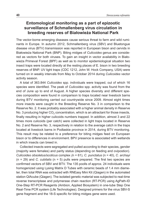## **Entomological monitoring as a part of epizootic surveillance of Schmallenberg virus circulation in breeding reserves of Białowieża National Park**

The vector-borne emerging diseases cause serious threat to farm and wild ruminants in Europe. In autumn 2012, Schmallenberg virus (SBV) and Bluetongue disease virus (BTV) transmission was reported in European bison and cervids in Białowieża National Park (BNP). Biting midges of *Culicoides* genus are considered as vectors for both viruses. To gain an insight in vector availability in Białowieża Primeval Forest (BPF) as well as to monitor epidemiological situation two insect traps were located directly at the resting places of E. bison in two breeding reserves of BNP. UV light traps (CDC 1212, John W. Hock Company, USA) were turned on in weakly intervals from May to October 2014 during *Culicoides* vector activity season.

A total of 363.844 *Culicoides* spp. individuals were trapped, out of which 16 species were identified. The peak of *Culicoides* spp. activity was found from the end of June up to end of August. A higher species diversity and different species composition were found in comparison to traps located near livestock barns during BTV monitoring carried out countrywide since 2009. Almost eight times more insects were caught in the Breeding Reserve No. 3 in comparison to the Reserve No. 2. It was probably associated with a higher animal density in Reserve No. 3 producing higher  $CO<sub>2</sub>$  concentration, which is an attractant for those insects, finally resulting in higher culicoids numbers trapped. In addition, almost 3 and 22 times more culicoids (per catch) were collected in light traps located in Reserve No. 2 and Reserve No. 3, respectively in relation to the average catch in the traps located at livestock barns in Podlaskie province in 2014, during BTV monitoring. This result may be related to a preference for biting midges feed on European bison or to differences in environment. BPV presence is associated with wetlands in which insects can breed in.

Collected insects were segregated and pulled according to their species, gender (majority were females) and parity status (depending on feeding and ovipostion). *Culicoides obsoletus/scoticus* complex *(*n = 61), *C. punctatus* (n = 40), *C. archayi* (n = 29) and *C. cubitalis* (n = 5) pulls were prepared. The first two species are confirmed vectors of SBV and BTV. The 135 poolls of approx. 24 individuals were homogenized using Lysing Matrix D Tubes with ceramic beads of 1.4 mm diameter, then total RNA was extracted with RNEasy Mini Kit (Qiagen) in the automated station QIAcube (Qiagen). The isolated genetic material was subjected to real-time reverse transcriptase and polymerase chain reaction (RT-PCR) using AgPath-ID One-Step RT-PCR Reagents (Ambion, Applied Biosystem) in one-tube Step One Real-Time PCR system (Life Technologies). Designed primers for the virus SBV-S gene fragment and the 18-S specific for biting midges gene were used.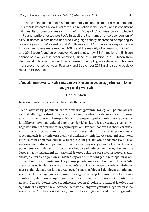In none of the tested poolls Schmallenberg virus genetic material was detected. This result indicates a low level of virus circulation in the vector, and is consistent with results of previous research (in 2014, 0,6% of *Culicoides* poolls collected in Poland territory tested positive). In addition, the number of seroconversion of SBV in domestic ruminants and free-living significantly decreased comparing to previous years. SBV as well as BTV outbreak in BNP probably has expired since E. bison seroprevalence reached 100% and the majority of animals born in 2014 and 2015 were found seronegative. Nevertheless, new SBV infections in E. bison cannot be excluded in other locations, since new infection in a E. bison from Kampinoski National Park at time of research sampling was detected. This animal seroconverted between February and September 2014 giving strong positive result in ELISA test.

# **Podobieństwa w schemacie żerowanie żubra, jelenia i koni ras prymitywnych**

#### **Daniel Klich**

Katolicki Uniwersytet Lubelski im. Jana Pawła II, Lublin

Trend wzrostowy populacji żubra oraz występowanie rozległych potencjalnych siedlisk dla tego gatunku, wskazują na duże możliwości dalszego jego rozwoju w najbliższym czasie w Europie. Wraz z rozwojem populacji żubra mogą wystąpić konflikty z innymi gatunkami kopytnych jak jeleń, który jest uważany za jego głównego konkurenta oraz końmi ras prymitywnych, których hodowla w obecnym czasie w Europie notuje wyraźny wzrost. Celem pracy była próba analizy podobieństw w schematach żerowania oraz możliwej konkurencji między wskazanymi gatunków, które zajmują zbliżone siedliska w Europie. Żubr posiada wiele podobieństw do jelenia oraz koni odnośnie parametrów żerowania i wykorzystania pokarmu. Główne podobieństwa z jeleniem są związane z budową układu trawiennego, aktywnością żerowania, wymaganiami dotyczącymi jakości pokarmu oraz wybiorczością siedliskową, ale również ogólnym składem diety oraz niektórymi gatunkami spałowanych drzew. Konie ras prymitywnych wykazują podobieństwa z żubrem odnośnie składu diety, typu odżywiania się oraz aktywnością związaną ze spałowaniem. Mniejsza masa ciała jelenia oraz konia oraz specyficzna morfologia i fizjologia układu trawiennego konia dają tym gatunkom przewagę w sytuacji konkurencji pokarmowej z żubrem. Jeleń potrzebuje mniej czasu oraz mniejszych płatów roślinności aby napełnić żwacz, konie mogą z sukcesem pobierać pokarm o niższej jakości oraz są bardziej elastyczne w aktywności żerowania, obydwa gatunki mogą żerować na niższej runi. Możliwe jest zatem wyparcie żubra z części żerowisk przez te gatunki.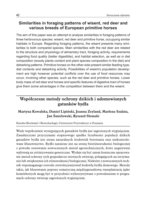# **Similarities in foraging patterns of wisent, red deer and various breeds of European primitive horses**

The aim of this paper was an attempt to analyse similarities in foraging patterns of three herbivorous species: wisent, red deer and primitive horse, occupying similar habitats in Europe. Regarding foraging patterns, the wisent presents many similarities to both compared species. Main similarities with the red deer are related to the structure and physiology of alimentary tract, foraging activity, requirements regarding food quality (better digestible), and habitat selection, as well as in diet composition (woody plants content and plant species composition in the diet) and debarking patterns. Primitive horses on the other side present similar feeding type, diet contents and debarking activity. Possibilities of wisent's population development are high however potential conflicts over the use of food resources may occur, involving other species, such as the red deer and primitive horses. Lower body mass of red deer and horses and specific features of digestive tract of horses give them some advantages in the competition between them and the wisent.

# **Współczesne metody ochrony dzikich i udomowionych gatunków bydła**

### **Martyna Kowalska, Daniel Lipiński, Joanna Zeyland, Marlena Szalata, Jan Śmiełowski, Ryszard Słomski**

Katedra Biochemii i Biotechnologii, Uniwersytet Przyrodniczy w Poznaniu

Wiele współcześnie występujących gatunków bydła jest zagrożonych wyginięciem. Zasadniczymi przyczynami stopniowego spadku liczebności populacji dzikich gatunków bydła jest utrata naturalnych środowisk bytowania oraz niekontrolowane kłusownictwo. Bydło narażone jest na utratę bioróżnorodności biologicznej z powodu stosowania nowoczesnych metod agrotechnicznych, które negatywnie wpływają na zróżnicowanie genetyczne. Wydaje się być zatem konieczne opracowanie metod ochrony tych gospodarczo-istotnych zwierząt, polegających na utrzymaniu lub zwiększeniu ich różnorodności biologicznej. Niektóre z nowoczesnych technik wspomaganego rozrodu zrewolucjonizował hodowlę bydła domowego. Metody takie, jak klonowanie poprzez somatyczną międzygatunkową transplantację jąder komórkowych mogą być w przyszłości wykorzystywane z powodzeniem w programach ochrony zwierząt zagrożonych wyginięciem.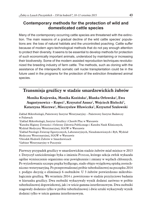# **Contemporary methods for the protection of wild and domesticated cattle species**

Many of the contemporary occurring cattle species are threatened with the extinction. The main reasons of a gradual decline of the wild cattle species' populations are: the loss of natural habitats and the uncontrolled poaching. Cattle suffer because of modern agro-technological methods that do not pay enough attention to protect their diversity. It seems to be essential to develop methods for protection of such economically important animals, understood by maintaining or increasing their biodiversity. Some of the modern assisted reproduction techniques revolutionized the breeding industry of farm cattle. The methods, such as cloning with the assistance of the interspecific somatic cell nuclei transplantation could be in the future used in the programs for the protection of the extinction threatened animal species.

# **Transmisja gruźlicy w stadzie smardzewickich żubrów**

### **Monika Krajewska, Monika Kozińska**<sup>1</sup>**, Blanka Orłowska**<sup>2</sup>**, Ewa Augustynowicz – Kopeć**<sup>1</sup>**, Krzysztof Anusz**<sup>2</sup>**, Wojciech Bielecki**<sup>3</sup>**, Katarzyna Mierzwa**<sup>4</sup>**, Mieczysław Hławiczka**<sup>5</sup>**, Krzysztof Szulowski**

Zakład Mikrobiologii, Państwowy Instytut Weterynaryjny – Państwowy Instytut Badawczy w Puławach <sup>1</sup>Zakład Mikrobiologii, Instytut Gruźlicy i Chorób Płuc w Warszawie <sup>2</sup>Katedra Higieny Żywności i Ochrony Zdrowia Publicznego i Katedra Nauk Klinicznych, Wydział Medycyny Weterynaryjnej, SGGW w Warszawie 3Zakład Patologii Zwierząt Egzotycznych, Laboratoryjnych, Nieudomowionych i Ryb, Wydział Medycyny Weterynaryjnej, SGGW w Warszawie 4Ośrodek Hodowli Żubrów w Smardzewicach <sup>5</sup>Gabinet Weterynaryjny w Pszczynie

Pierwszy przypadek gruźlicy w smardzewickim stadzie żubrów miał miejsce w 2013 r. Dotyczył sześcioletniego byka o imieniu Pondar, którego sekcja zwłok wykazała ogólne wyniszczenie organizmu oraz powiększenie i zmiany w węzłach chłonnych. Po wyizolowaniu szczepu prątka bydlęcego, stado objęto wyjątkową opieką zootechniczno-weterynaryjną. Po przeprowadzonej próbie tuberkulinowej na początku 2014 r. podjęto decyzję o eliminacji 6 osobników. U 3 żubrów potwierdzono mikrobiologicznie gruźlicę. We wrześniu 2014 r. powtórzono w stadzie przyżyciowe badania w kierunku gruźlicy. Dwa osobniki wykazywały wynik dodatni zarówno w próbie tuberkulinowej dopowiekowej, jak i w teście gamma interferonowym. Dwa osobniki reagowały dodatnio tylko w próbie tuberkulinowej i dwie sztuki wykazywały wynik dodatni tylko w teście gamma interferonowym.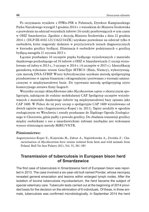Po otrzymaniu wyników z PIWet-PIB w Puławach, Dyrektor Kampinoskiego Parku Narodowego wystąpił 3 grudnia 2014 r. z wnioskiem do Ministra Środowiska o pozwolenie na odstrzał wszystkich żubrów (16 sztuk) przebywających w tym czasie w OHŻ Smardzewice. Zgodnie z decyzją Ministra Środowiska z dnia 22 grudnia 2014 r. (DLP-III-4102-121/11622/14/ZK) uzyskano pozwolenie na odstrzał tylko 6 osobników, które reagowały dodatnio w przyżyciowych testach diagnostycznych w kierunku gruźlicy bydlęcej. Eliminacja 6 osobników podejrzanych o gruźlicę bydlęcą nastąpiła 21 stycznia 2015 r.

Łącznie przebadano 10 szczepów prątka bydlęcego wyizolowanych z materiału tkankowego pochodzącego od 10 żubrów z OHŻ w Smardzewicach (1 szczep wyizolowano od żubra w 2013 r., 3 szczepy w 2014 r. i 6 szczepów w 2015 r.). Identyfikację gatunkową wykonano testem GenoType MTBC® (Hain, Niemcy), wykorzystującym metodę DNA-STRIP. Wzory hybrydyzacyjne uzyskane metodą spoligotyping przedstawiono w zapisie binarnym i oktagonalnym i porównano z wzorami umieszczonymi w międzynarodowej bazie. Do typowania metodą spoligotyping użyto komercyjnego zestawu firmy Isogen®.

Wszystkie szczepy sklasyfikowano jako *Mycobacterium caprae* o identycznym spoligotypie, należącym do rodziny molekularnej CAP. Spoligotyp szczepów wyizolowanych z materiału tkankowego żubrów wg międzynarodowej bazy opisano jako CAP 1600. W Polsce do tej pory szczep o spoligotypie CAP 1600 wyizolowano od dwóch tapirów anta (Augustynowicz-Kopeć i in. 2011). Tapiry urodziły w ogrodzie zoologicznym we Wrocławiu i zostały przekazane do Śląskiego Ogrodu Zoologicznego w Chorzowie, gdzie padły z powodu gruźlicy. Do zbadania transmisji gruźlicy między osobnikami z zoo a smardzewickimi żubrami niezbędne jest wykonanie wysoce różnicującej metody MIRU/VNTR.

#### **Piśmiennictwo:**

Augustynowicz-Kopeć E., Krajewska M., Zabost A., Napiórkowska A., Zwolska Z.: Characterisation of *Mycobacterium bovis* strains isolated from farm and wild animals from Poland. Bull Vet Inst Pulawy 2011, Vol. 55, 381–383

### **Transmission of tuberculosis in European bison herd of Smardzewice**

The first case of tuberculosis in Smardzewice herd of European bison was reported in 2013. The case involved a six-year-old bull named Pondar, whose necropsy revealed general emaciation and lesions within enlarged lymph nodes. After the isolation of bovine tuberculosis mycobacterium, the herd became the subject of special veterinary care. Tuberculin tests carried out at the beginning of 2014 provided basis for the decision on the elimination of 6 individuals. Of these, in three animals, tuberculosis was confirmed microbiologically. In September 2014 the herd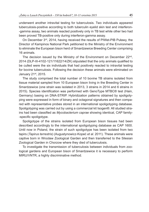underwent another intravital testing for tuberculosis. Two individuals appeared tuberculosis-positive according to both tuberculin eyelid skin test and interferon- -gamma assay, two animals reacted positively only in TB test while other two had been proved TB-positive only during interferon-gamma assay.

On December 3rd, 2014, having received the results of PIWet-PIB Puławy, the Director of Kampinos National Park petitioned to the Ministry of the Environment to eliminate the European bison herd of Smardzewice Breeding Center comprising 16 animals.

The decision issued by the Ministry of the Environment on December 22<sup>nd</sup>, 2014 (DLP-III-4102-121/11622/14/ZK) stipulated that the only animals qualified to be culled were the six individuals that had positively reacted to intravital testing for bovine tuberculosis. Following the decision these animals were eliminated on January 21st, 2015.

The study comprised the total number of 10 bovine TB strains isolated from tissue material sampled from 10 European bison living in the Breeding Center in Smardzewice (one strain was isolated in 2013, 3 strains in 2014 and 6 strains in 2015). Species identification was performed with GenoType MTBC® test (Hain, Germany) basing on DNA-STRIP. Hybridization patterns obtained by spoligotyping were expressed in form of binary and octagonal signatures and then compared with representative probes stored in an international spoligotyping database. Spoligotyping was carried out by using a commercial kit Isogen®. All studied strains had been classified as *Mycobacterium caprae* showing identical, CAP family- -specific spoligotype.

Spoligotype of the strains isolated from European bison tissues had been described accordingly to the international spoligotyping database as CAP 1600. Until now in Poland, the strain of such spoligotype has been isolated from two tapirs (*Tapirus terrestris*) (Augustynowicz-Kopeć *et al.* 2011). These animals were captive born in Wrocław Zoological Garden and then transferred to the Silesian Zoological Garden in Chorzow where they died of tuberculosis.

To investigate the transmission of tuberculosis between individuals from zoological gardens and European bison of Smardzewice it is necessary to perform MIRU/VNTR, a highly discriminative method.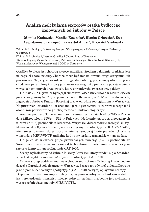# **Analiza molekularna szczepów prątka bydlęcego izolowanych od żubrów w Polsce**

**Monika Krajewska, Monika Kozińska**<sup>1</sup>**, Blanka Orłowska**<sup>2</sup>**, Ewa Augustynowicz – Kopeć**<sup>1</sup>**, Krzysztof Anusz**<sup>2</sup>**, Krzysztof Szulowski**

Zakład Mikrobiologii, Państwowy Instytut Weterynaryjny – Państwowy Instytut Badawczy w Puławach <sup>1</sup>Zakład Mikrobiologii, Instytut Gruźlicy i Chorób Płuc w Warszawie <sup>2</sup>Katedra Higieny Żywności i Ochrony Zdrowia Publicznego i Katedra Nauk Klinicznych, Wydział Medycyny Weterynaryjnej, SGGW w Warszawie

Gruźlica bydlęca jest chorobą wysoce zaraźliwą, źródłem zakażenia prątkiem jest najczęściej chore zwierzę. Choroba może być transmitowana drogą aerogenną lub pokarmową. W przypadku infekcji drogą alimentarną, prątki mają zdolność przechodzenia przez błonę śluzową jelit, wówczas – ognisko pierwotne powstaje wtedy w węzłach chłonnych krezkowych, które obrzmiewają, tworząc tzw. pakiety.

Do maja 2015 r. gruźlicę bydlęcą u żubrów w Polsce stwierdzono w nieistniejącym już stadzie "Górny San" bytującym na terenie Bieszczad, w OHŻ w Smardzewicach, zagrodzie żubrów w Puszczy Boreckiej oraz w ogrodzie zoologicznym w Warszawie. Na przestrzeni ostatnich 5 lat zbadano łącznie *post mortem* 71 żubrów, z czego u 35 osobników potwierdzono gruźlicę metodami mikrobiologicznymi.

Analizie poddano 30 szczepów z archiwizowanych w latach 2010-2015 w Zakładzie Mikrobiologii PIWet – PIB w Puławach. Najliczniejsza grupa przebadanych żubrów (n=18) pochodziła z Bieszczad. Wszystkie "bieszczadzkie szczepy" sklasyfikowano jako *Mycobacterium caprae* o identycznym spoligotypie 200037777377400, nie zarejestrowanym do tej pory w międzynarodowej bazie prątków. Uzyskane w metodzie MIRU/VNTR unikalne kody potwierdziły transmisję w tym stadzie.

Druga co do wielkości grupa przebadanych zwierząt  $(n=10)$  pochodziła ze Smardzewic. Szczepy wyizolowane od tych żubrów zidentyfikowano również jako *caprae* o identycznym spoligotypie CAP 1600.

Szczep wyizolowany od żubra z Puszczy Boreckiej, który urodził się w Smardzewicach sklasyfikowano jako *M. caprae* o spoligotypie CAP 1600.

Ostatni szczep poddany analizie wyhodowano z tkanek 29 letniej krowy pochodzącej z Ogrodu Zoologicznego w Warszawie. Szczep ten również zidentyfikowano jako *caprae* o identycznym spoligotypie (CAP 1600) co wyżej opisywane szczepy. Do potwierdzenia transmisji gruźlicy między poszczególnymi osobnikami w stadzie jak i stwierdzenia transmisji między różnymi stadami niezbędne jest wykonanie wysoce różnicującej metody MIRU/VNTR.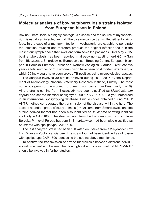## **Molecular analysis of bovine tuberculosis strains isolated from European bison in Poland**

Bovine tuberculosis is a highly contagious disease and the source of mycobacterium is usually an infected animal. The disease can be transmitted either by air or food. In the case of alimentary infection, mycobacteria are capable to penetrate the intestinal mucosa and therefore produce the original infection focus in the mesenteric lymph nodes that swell and form so-called packages. Until May 2015, bovine tuberculosis has been reported in already non-existing herd Górny San from Bieszczady, Smardzewice European bison Breeding Centre, European bison pen in Borecka Primeval Forest and Warsaw Zoological Garden. Over last five years a total number of 71 European bison have been post mortem examined, of which 35 individuals have been proved TB-positive, using microbiological assays.

The analysis involved 30 strains archived during 2010–2015 by the Department of Microbiology, National Veterinary Research Institute, Puławy. The most numerous group of the studied European bison came from Bieszczady (n=18). All the strains coming from Bieszczady had been classified as *Mycobacterium caprae* and shared identical spoligotype 200037777377400 – a yet-unrecorded in an international spoligotyping database. Unique codes obtained during MIRU/ VNTR method corroborated the transmission of the disease within the herd. The second abundant group of study animals (n=10) came from Smardzewice and the strains derived thereof had been also identified as *M*. *caprae* showing identical spoligotype CAP 1600. The strain isolated from the European bison coming from Borecka Primeval Forest, but born in Smardzewice, had been also classified as *M. caprae* with spoligotype CAP 1600.

The last analyzed strain had been cultivated on tissues from a 29-year-old cow from Warsaw Zoological Garden. The strain too had been identified as *M. capre* with spoligotype CAP 1600 identical to the strains above-mentioned.

To confirm the transmission of bovine tuberculosis between different individuals within a herd and between herds a highly discriminating method MIRU/VNTR should be involved in further studies.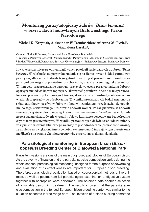# **Monitoring parazytologiczny żubrów (***Bison bonasus***) w rezerwatach hodowlanych Białowieskiego Parku Narodowego**

### **Michał K. Krzysiak, Aleksander W. Demiaszkiewicz**<sup>1</sup> **Anna M. Pyziel**<sup>1</sup>**, Magdalena Larska**<sup>2</sup>**,**

Ośrodek Hodowli Żubrów, Białowieski Park Narodowy, Białowieża <sup>1</sup>Pracownia Parazytoz Zwierząt Dzikich, Instytut Parazytologii PAN im. W. Stefańskiego, Warszawa <sup>2</sup>Zakład Wirusologii, Państwowy Instytut Weterynaryjny – Państwowy Instytut Badawczy Puławy

Inwazje pasożytnicze są jednymi z głównych patologii stwierdzanych u żubrów (*Bison bonasus*). W zależności od pory roku zmienia się nasilenie inwazji i skład gatunkowy pasożytów, dlatego w hodowli tego gatunku ważne jest prowadzenie monitoringu parazytologicznego, odpowiednie odrobaczanie, a także ocena jego skuteczności. W tym celu przeprowadzono zarówno przyżyciową ocenę parazytologiczną żubrów opartą na metodach koproskopowych, jak również pośmiertnie pełne sekcje parazytologiczne przewodu pokarmowego. Dane uzyskane z analiz umożliwiły dobranie odpowiednich preparatów do odrobaczania. W wyniku prowadzonych badań ustalono, że skład gatunkowy pasożytów żubrów z hodowli zamkniętej przedstawiał się podobnie do tego, stwierdzanego u żubrów z hodowli wolnej. Po raz pierwszy, w hodowli rezerwatowej stwierdzono inwazję krwiopijnym nicieniem *Ashworthius sidemi*. U żadnego z badanych żubrów nie wystąpiły objawy kliniczne spowodowane bezpośrednio czynnikami pasożytniczymi. W wyniku prowadzonych doświadczeń udowodniono, że z punktu widzenia klinicznego ważniejsze jest odrobaczanie prowadzone wiosną, ze względu na zwiększoną intensywność i ekstensywność inwazji w tym okresie oraz możliwość stosowania chemioterapeutyków o szerszym spektrum działania.

# **Parasitological monitoring in European bison (***Bison bonasus***) Breeding Center of Białowieża National Park**

Parasite invasions are one of the main diagnosed pathologies of European bison. As the severity of invasion and the parasite species composition varies during the whole season, parasitological monitoring, designed for the purpose of deworming and evaluation of its effectiveness are important for European bison breeding. Therefore, parasitological evaluation based on coproscopical methods of live animals, as well as postmortem full parasitological examination of digestive system together with necropsies were performed. The obtained data enabled selection of a suitable deworming treatment. The results showed that the parasite species composition in the fenced European bison breeding center was similar to the situation observed in free range herd. The invasion of a blood sucking nematode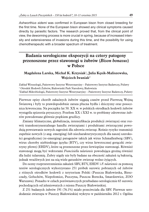*Ashworthius sidemi* was confirmed in European bison from closed breeding for the first time. None of the European bison showed any clinical symptoms caused directly by parasitic factors. The research proved that, from the clinical point of view, the deworming process is more crucial in spring, because of increased intensity and extensiveness of invasions during this time, and the possibility for using chemotherapeutic with a broader spectrum of treatment.

# **Badania serologiczne ekspozycji na cztery patogeny przenoszone przez stawonogi u żubrów (***Bison bonasus***) w Polsce**

### **Magdalena Larska, Michał K. Krzysiak**<sup>1</sup>**, Julia Kęsik-Maliszewska, Wojciech Iwaniak**<sup>2</sup>

Zakład Wirusologii, Państwowy Instytut Weterynaryjny – Państwowy Instytut Badawczy, Puławy <sup>1</sup> Ośrodek Hodowli Żubrów, Białowieski Park Narodowy, Białowieża <sup>2</sup>Zakład Mikrobiologii, Państwowy Instytut Weterynaryjny – Państwowy Instytut Badawczy, Puławy

Pierwsze opisy chorób zakaźnych żubrów sięgają czasów przed Pierwszą Wojną Światową i były to prawdopodobnie zaraza płucna bydła i dziczyzny oraz posocznica krwotoczna. Na początku lat 50. XX w. w polskich ośrodkach hodowli żubrów wystąpiła epizootia pryszczycy. Przełom XX i XXI w. to problemy zdrowotne żubrów powodowane głównie prątkiem gruźlicy.

Zmiany klimatyczne, globalizacja, intensyfikacja produkcji zwierzęcej oraz rozwój transkontynentalnego handlu zwierzętami i produktami zwierzęcymi powodują powstawanie nowych zagrożeń dla zdrowia zwierząt. Rośnie ryzyko transmisji zupełnie nowych (z ang. emerging) lub niecharakterystycznych dla naszej szerokości geograficznej (re-emerging) patogenów takich jak wirus Schmallenberg (SBV), wirus choroby niebieskiego języka (BTV), czy wirus krwotocznej gorączki zwierzyny płowej (EHDV), które są przenoszone przez krwiopijne stawonogi. Również stawonogi mogą być wektorami *Francisiella tulariensis* powodująca groźną również dla ludzi tularemię. Żubry nigdy nie były badane na obecność zakażeń tą bakterią, jednak wrażliwych jest na nią wiele gatunków zwierząt wolno żyjących.

Do oceny rozprzestrzenienia zakażeń SBV, BTV, EHDV i *F. tulariensis* za pomocą testów serologicznych wykorzystano 251 próbek surowic pobranych od żubrów z różnych ośrodków hodowli z terytorium Polski (Puszcza Białowieska, Bieszczady, Gołuchów, Niepołomice, Pszczyna, Puszcza Borecka, Smardzewice, ZOO Warszawa). Ponadto w celach porównawczych przebadano serologicznie 65 surowic pochodzących od jeleniowatych z rejonu Puszczy Białowieskiej.

Z 251 badanych żubrów 191 (76.1%) miało przeciwciała dla SBV. Pierwsze serododatnie zwierzęta w Puszczy Białowieskiej wykryto w październiku 2012 r. Ogólna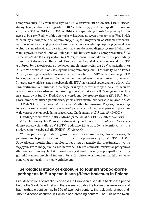seroprewalencja SBV wzrastała szybko z 0% w czerwcu 2012 r. do 50% i 100% stwierdzonych w październiku i grudniu 2012 r. Interesujący był fakt spadku prewalencji SBV z 80% w 2013 r. do 30% w 2014 r. u najmłodszych żubrów poniżej 1 roku życia w Puszczy Białowieskiej, co może wskazywać na wygasanie ogniska. Płeć i wiek żubrów były związane z seroprewalencją SBV, z najwyższymi odsetkami stwierdzanymi u samic i zwierząt powyżej 1 roku życia, podczas gdy typ populacji (zagrodowa/ wolna) i stan zdrowia (zdrowe immobilizowane do celów diagnostycznych/ eliminowane z powodu słabej kondycji lub padłe) nie były związane z seroprewalencja SBV. Przeciwciała dla BTV wykryto u 62 (24.7%) żubrów. Serododatnie żubry pochodziły z Puszczy Białowieskiej, Bieszczad i Puszczy Boreckiej. Wykrycie przeciwciał dla BTV u żubrów było skorelowane z pojawieniem się przeciwciał dla SBV w październiku 2012 r. W odróżnieniu od SBV, ogólna seroprewalencja dla BTV rosła tylko do końca 2012 r., a następnie spadała do końca badań. Podobnie do SBV, seroprewalencja BTV była związana z wiekiem żubrów z najniższym odsetkiem u cieląt poniżej 1 roku życia. Interesujące wydaję się, że przeciwciała dla BTV najrzadziej stwierdzano u zdrowych, immobilizowanych żubrów, a najczęściej u tych przeznaczonych do eliminacji ze względu na zły stan zdrowia, co może sugerować, że zakażenia BTV mogą mieć wpływ na stan zdrowia żubrów. Dodatkowo stwierdzono, że seroprewalencja SBV i BTV były skorelowane. W trzech populacjach, gdzie stwierdzono jednocześnie zakażenie SBV i BTV, 42.9% żubrów posiadało przeciwciała dla obu wirusów. Przy użyciu regresji logarytmicznej stwierdzono, że obecność przeciwciał dla jednego patogenu powodowała wzrost ryzyka posiadania przeciwciał dla drugiego o 17,5 razy (*P*<0.0001).

U żadnego z żubrów nie stwierdzono przeciwciał dla EHDV lub *F. tularensis*.

Z 65 jeleniowatych z Puszczy Białowieskiej u odpowiednio 35.4% i 21.5% stwierdzono przeciwciała dla SBV i BTV. Podobnie jak u żubrów, u jeleniowatych nie stwierdzano przeciwciał dla EHDV i *F. tularensis*.

W Europie istnieje realne zagrożenie rozprzestrzeniania się chorób zakaźnych przenoszonych przez stawonogi i groźnych dla przeżuwaczy (SBV, BTV, EHDV). Prowadzenie monitoringu serologicznego ma znaczenie dla przeżuwaczy wolno żyjących, które mogą być na nie narażone, a także stanowić rezerwuar patogenów dla zwierząt domowych. Taki monitoring jest bardzo ważny w przypadku ochrony gatunków zagrożonych jakim jest żubr, który dzięki wysiłkowi m. in. lekarzy weterynarii został ocalony przed wyginięciem.

## **Serological study of exposure to four arthropod-borne pathogens in European bison (***Bison bonasus***) in Poland**

First descriptions of infectious diseases in European bison date back to the period before the World War First and there were probably the bovine pasteurellosis and haemorrhagic septicemia. In 50s of twentieth century, the epidemic of foot-and- -mouth disease occurred in Polish bison breeding centers. The turn of the twen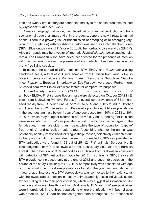tieth and twenty-first century are connected mainly to the health problems caused by *Mycobacterium tuberculosis*.

Climate change, globalization, the intensification of animal production and transcontinental trade of animals and animal products, generate new threats to animal health. There is a growing risk of transmission of emerging or re-emerging (atypical for our latitude) arthropod-borne pathogens such as Schmallenberg virus (SBV), Bluetongue virus (BTV), or e Epizootic hemorrhagic disease virus (EHDV). Also arthropods may be a vector of zoonotic *Francisiella tulariensis* causing tularemia. The European bison have never been tested for the presence of infection with this bacteria, however the presence of such infection has been described in many free-living species.

To assess the spread of SBV infection, BTV, EHDV and *F. tulariensis* using serological tests, a total of 251 sera samples from E. bison from various Polish breeding centers (Białowieża Primeval Forest, Bieszczady, Gołuchów, Niepołomice, Pszczyna, Borecka, Smardzewice, Zoo Warsaw) were used. Furthermore, 65 cervid sera from Białowieża were tested for comparative purposes.

Hundred ninety one out of 251 (76.1%) E. bison were found positive in SBV antibody ELISA. First seropositive animals were detected on October 2012 in E. bison from Białowieża Primeval Forest. The overall seroprevalence of SBV increased rapidly from 0% found until June 2012 to 50% and 100% found in October and December 2012. Interestingly in Białowieża population, SBV seroprevalence in the youngest animals below 1 year of age decreased from 80% in 2013 to 30% in 2014, which may suggest clearance of the virus. Gender and age of E. bison were associated with SBV seroprevalence, with the highest percentages in the females and in animals older than 1 year, while the type of population (captive/ free-ranging), and so called health status (describing whether the animal was potentially healthy immobilized for diagnostic purposes, selectively eliminated due to their poor condition or found dead) were not connected to SBV seroprevalence. BTV antibodies were found in 62 out of 251 (24.7%) animals. Seropositive E. bison originated only from Białowieża Forest, Bieszczady Mountains and Borecka Forest. The detection of BTV antibodies in E. bison from Białowieża coincided with detection of SBV antibodies in October 2012. In contrast to SBV, the overall BTV prevalence increased only at the end of 2012 and begun to decrease in the course of the study. Similarily to SBV, BTV seropositivity was associated with age of E. bison with the lowest seroprevalences found in the youngest animals below 1 year of age. Interestingly, BTV seropositivity was connected to the health status with the lowest rate of infection in healthy animals and highest in individuals selected for culling due to their poor condition, which may suggest association of BTV infection and worsen health condition. Additionally, BTV and SBV seropositivities were interrelated. In the three populations where the infection with both viruses was detected, 42.9% had antibodies against both pathogens. The presence of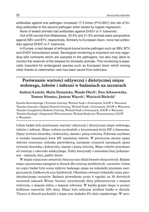antibodies against one pathogen increased 17.5 times (*P*<0.0001) the risk of finding antibodies to the second pathogen when tested by logistic regression.

None of tested animals had antibodies against EHDV or *F. tularensis*.

Out of 65 cervids from Białowieża, 35.4% and 21.5% animals were seropositive against SBV and BTV, respectively. Similarly to European bison, none had antibodies against EHDV or *F. tularensis*.

In Europe, a real danger of arthropod-borne bovine pathogen such as SBV, BTV and EHDV transmission exists. Serological monitoring is important not only regarding wild ruminants which are exposed to the pathogens, but also may allow to monitor the reservoir of the disease for domestic animals. This monitoring is especially important for endangered species such as European bison which among other thanks to veterinarian care has been saved from extinction.

## **Porównanie wartości odżywczej i dietetycznej mięsa wołowego, żubrów i żubroni w badaniach na szczurach**

### **Andrzej Łozicki, Maria Dymnicka, Wanda Olech**<sup>1</sup>**, Ewa Arkuszewska, Tomasz Niemiec, Justyna Więcek**<sup>2</sup>**, Wojciech Bielecki**<sup>3</sup>

Katedra Biotechnologii i Żywienia Zwierząt, Wydział Nauk o Zwierzętach, SGGW w Warszawie <sup>1</sup>Katedra Genetyki i Ogólnej Hodowli Zwierząt, Wydział Nauk o Zwierzętach, SGGW w Warszawie <sup>2</sup>Katedra Szczegółowej Hodowli Zwierząt, Wydział Nauk o Zwierzętach, SGGW w Warszawie 3Katedra Patologii i Diagnostyki Weterynaryjnej, Wydział Medycyny Weterynaryjnej, SGGW w Warszawie

Celem badań było porównanie wartości odżywczej i dietetycznej mięsa wołowego, żubrów i żubroni. Mięso wołowe pochodziło z krzyżowania krów HF x limousine. Opasy żywiono kiszonką z kukurydzy, sianem i paszą treściwą. Żubronie uzyskano w wyniku inseminacji krów HF nasieniem żubrów. W pierwszym okresie opasu żubroni stosowano zielonkę pastwiskową, natomiast ostatnich miesiącach opasu żywienie kiszonką z kukurydzy, sianem i paszą treściwą. Mięso żubrów pozyskano od zwierząt z odstrzału selekcyjnego. Żubry korzystały z naturalnej bazy pokarmowej – zielonek, liści, pędów drzew.

W mięsie oznaczono zawartość tłuszczu oraz skład kwasów tłuszczowych. Badane mięso zastosowano następnie w dietach dla zwierząt modelowych –szczurów. Celem tej części badań była ocena wpływu badanego mięsa na wskaźniki przemian energetycznych, białkowych oraz lipidowych. Określano również wskaźniki stanu antyoksydacyjnego szczurów. Badania prowadzono przez 6 tygodni na 30 dorosłych szczurach samcach Wistar. Szczury otrzymywały diety półsyntetyczne z mięsem wołowym, z mięsem żubra, z mięsem żubronia. W każdej grupie mięso w postaci liofilizatu stanowiło 20% diety. Mięso było jedynym źródłem białka w dietach. Tłuszcz w dietach pochodził z mięsa oraz dodatku 4% oleju rzepakowego. W suro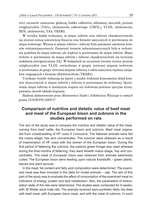wicy szczurów oznaczono glukozę, białko całkowite, albuminy, mocznik, poziom trójglicerydów (TAG), cholesterolu całkowitego (CHOL), VLDL cholesterolu, HDL cholesterolu, TAS, TBARS.

W wyniku badań wykazano, że mięso żubrów oraz żubroni charakteryzowało się istotnie niższą zawartością tłuszczu oraz kwasów nasyconych w porównaniu do mięsa wołowego. Wyższa w mięsie żubrów i żubroni była natomiast zawartość kwasów wielonienasyconych. Zawartość kwasów jednonienasyconych była w wołowinie podobna do mięsa żubroni, ale większa w porównaniu do mięsa żubrów. Mięso wołowe w porównaniu do mięsa żubrów i żubroni charakteryzowało się wyższym indeksem aterogenicznym (IA). W badaniach na szczurach istotnie wyższy poziom trójglicerydów oraz VLDL stwierdzono w grupie żywionej mięsem wołowym w porównaniu do grupy żywionej mięsem żubroni, a także najwyższe stężenie związków reagujących z kwasem tibarbiturowym (TBARS).

Uzyskane wyniki wskazują na lepszy z punku widzenia konsumenta skład kwasów tłuszczowych w mięsie żubrów i żubroni w porównaniu do wołowiny. Spożywanie mięsa żubroni w mniejszym stopniu niż wołowina powinno sprzyjać występowaniu chorób układu krążenia.

*Badania dofinansowane przez Ministerstwo Nauki i Szkolnictwa Wyższego w ramach grantu 2516/B/P01/2009/37*

## **Comparison of nutritive and dietetic value of beef meat and meat of the European bison and zubrons in the studies performed on rats**

The aim of the study was to compare the nutritive and dietetic value of the meat, coming from beef cattle, the European bison and zubrons. Beef meat originated from crossbreeding of HF cows X Limousine. The fattened animals were fed the maize silage, hay and concentrates. The zubrons were obtained as a result of insemination of HF cows with the semen of the European bison. During the first period of fattening the zubrons, the pasture green forage was used whereas during the final months of fattening, they were fedwith maize silage, hay and concentrates. The meat of European bison was obtained from animals selectively culled. The European bison were feeding upon natural foodstuffs – green plants, leaves and plant sprouts.

In the meat, fat content and fatty acid composition were determined. The examined meat was then included in the diets for model animals – rats. The aim of this part of the study was to evaluate the effect of consumption of the examined meat on indicators of energy, protein and lipid metabolism. Also, the parameters of antioxidation state of the rats were determined. The studies were conducted for 6 weeks, with 30 Wistar adult male rats. The animals received semi-synthetic diets; the diets with beef meat, with European bison meat, and with the meat of zubrons. In each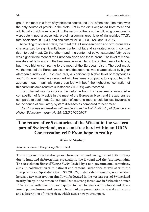group, the meat in a form of lyophilisate constituted 20% of the diet. The meat was the only source of protein in the diets. Fat in the diets originated from meat and additionally in 4% from rape oil. In the serum of the rats, the following components were determined: glucose, total protein, albumins, urea, level of triglycerides (TAG), total cholesterol (CHOL), and cholesterol VLDL, HDL, TAS and TBARS.

According to obtained data, the meat of the European bison and of zubrons was characterized by significantly lower content of fat and saturated acids in comparison to beef meat. On the other hand, the content of polyunsaturated fatty acids was higher in the meat of the European bison and the zubrons. The level of monounsaturated fatty acids in the beef meat was similar to that in the meat of zubrons, but it was higher comparing to the meat of the European bison. The beef meat, vs. the meat of the European bison and the zubrons, was characterized by higher aterogenic index (IA). Instudied rats, a significantly higher level of triglycerides and VLDL was found in a group fed with beef meat comparing to a group fed with zubrons meat. In animals from group fed with beef, the highest concentration of thiobarbituric acid-reactive substances (TBARS) was recorded.

The obtained results indicate the better  $-$  from the consumer's viewpoint  $$ composition of fatty acids in the meat of the European bison and the zubrons as compared to beef meat. Consumption of zubrons' meat should be less favourable for incidence of circulatory system diseases as compared to beef meat.

*The study was undertaken with funding from the Polish Ministry of Science and Higher Education – grant No 2516/B/P01/2009/37*

# **The return after 5 centuries of the Wisent in the western part of Switzerland, as a semi-free herd within an UICN Concervation cell? From hope to reality**

#### **Alain R Maibach**

#### Association *Bisons d'Europe Suchy*, Switzerland

The European bison has disappeared from Switzerland during the last 15th Century due to hunt and deforestation, especially in the lowland and the Jura mountains. The Association *Bisons d'Europe Suchy*, leaded by a non-governmental committee, aims, in collaboration with national and cantonal authorities as well as with the European Bison Specialist Group SSC/IUCN, to delocalized wisents, as a semi-free herd as a new conservation aim. It will be located in the western part of Switzerland nearby Suchy in the canton de Vaud. Due to strong forest laws in Switzerland since 1874, special authorizations are required to have livestock within forest and therefore to put enclosures and fences. The aim of our presentation is to make a historic and a description of this project, which needs now your support.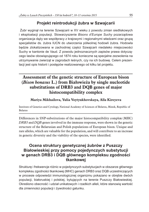# **Projekt reintrodukcji żubra w Szwajcarii**

 Żubr wyginął na terenie Szwajcarii w XV wieku z powodu zmian siedliskowych i eksploatacji populacji. Stowarzyszenie *Bisons d'Europe Suchy* pozarządowa organizacja dąży we współpracy z krajowymi i regionalnymi władzami oraz grupą specjalistów ds. żubra IUCN do utworzenia półwolnej hodowli żubra. Hodowla będzie zlokalizowana w zachodniej części Szwajcarii niedaleko miejscowości Suchy w kantonie de Vaud. Z powodu jednoznacznych zapisów prawa dotyczącego lasów obowiązującego od 1874 roku konieczne są specjalne zezwolenia na utrzymywanie zwierząt w zagrodach leśnych, czy na ich budowę. Celem prezentacji jest opis historii i postępów realizowanego od kilku lat projektu.

# **Assessment of the genetic structure of European bison (***Bison bonasus* **L.) from Białowieża by single nucleotide substitutions of DRB3 and DQB genes of major histocompatibility complex**

### **Mariya Mikhailova, Yulia Voytyukhovskaya, Alla Kireyeva**

Institute of Genetics and Cytology, National Academy of Sciences of Belarus, Minsk, Republic of Belarus

Differences in SNP-substitutions of the major histocompatibility comple**x** (MHC) *DRB3* and *DQB* genes involved in the immune response, were shown in the genetic structure of the Belarusian and Polish populations of European bison. Unique and rare alleles, which are valuable for the population, and will contribute to an increase in genetic diversity and the viability of the species, were identified.

# **Ocena struktury genetycznej żubrów z Puszczy Białowieskiej przy pomocy pojedynczych substytucji w genach DRB3 i DQB głównego kompleksu zgodności tkankowej**

Strukturę i frekwencje różnic w pojedynczych substytucjach w obszarze głównego kompleksu zgodności tkankowej (MHC) genach DRB3 oraz DQB uczestniczących w procesie odpowiedzi immunologicznej organizmu pokazano w obrębie dwóch populacji, białoruskiej i polskiej, bytujących na terenie Puszczy Białowieskiej. Określono obecność i udział unikatowych i rzadkich alleli, które stanowią wartość dla zmienności populacji i żywotności gatunku.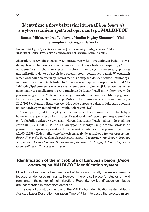# **Identyfikacja flory bakteryjnej żubra (***Bison bonasus***) z wykorzystaniem spektroskopii mas typu MALDI-TOF**

**Renata Miltko, Andrea Lauková**<sup>1</sup>**, Monika Pogány Simonová**<sup>1</sup>**, Viola Strompfová**<sup>1</sup>**, Grzegorz Bełżecki**

Instytut Fizjologii i Żywienia Zwierząt im. J. Kielanowskiego PAN, Jabłonna, Polska <sup>1</sup>Institute of Animal Physiology, Slovak Academy of Sciences, Košice, Slovakia

Mikroflora przewodu pokarmowego przeżuwaczy jest przedmiotem badań prowadzonych w wielu ośrodkach na całym świecie. Uwaga badaczy skupia się głównie na identyfikacji i charakterystyce mikrobiomu domowych przeżuwaczy, podczas gdy mikroflora dziko-żyjących jest przedmiotem nielicznych badań. W ostatnich latach obserwuje się wyraźny rozwój technik służących do identyfikacji mikroorganizmów. Celem podjętych badań było zastosowanie spektroskopii mas typu MAL-DI-TOF (Spektrometria masowa z użyciem desorpcji/jonizacji laserowej wspomaganej matrycą z analizatorem czasu przelotu) do identyfikacji mikroflory przewodu pokarmowego żubra. Materiał badawczy stanowiła treść żwacza i jelita ślepego oraz kał pozyskany od sześciu zwierząt. Żubry były eliminowane w sezonie zimowym 2012/2013 w Puszczy Białowieskiej. Hodowlę i izolację bakterii dokonano zgodnie ze standardowymi metodami mikrobiologicznymi (ISO).

Główną grupą bakterii wykrytych we wszystkich analizowanych próbach były bakterie należące do typu Fermicutes. Prawdopodobieństwo poprawnej identyfikacji (wskażnik punktowy) wykazało wiarygodną identyfikację bakterii do poziomu gatunku (2,300–3,000) i/ lub na wiarygodną identyfikację drobnoustrojów do poziomu rodzaju oraz prawdopodobny wynik identyfikacji do poziomu gatunku (2,000–2,299). Zidentyfikowane bakterie należały do gatunków: *Enterococcus casseliflavus, E. faecalis, E. faecium*, *Staphylococcus aureus*, *S. warneri, S. simulans, S. hominis, S. equorum, Bacillus pumilus, B. megaterium, Acinetobacter lwoffii*, *A. pittii*, *Corynebacterium callunae* i *Providencia rustigianii.*

# **Identification of the microbiota of European bison (***Bison bonasus***) by MALDI-TOF identification system**

Microflora of ruminants has been studied for years. Usually the main interest is focused on domestic ruminants. However, there is still place for studies on wild ruminants in the context of their microflora. Recently, new identification techniques are incorporated in microbiota detection.

The goal of our study was use of the MALDI-TOF identification system (Matrix Assisted Laser Desorption Ionization Time-of-Flight) to assay the selected micro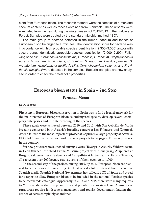biota from European bison. The research material were the samples of rumen and caecum content as well as feaces obtained from 6 animals. These wisents were eliminated from the herd during the winter season of 2012/2013 in the Białowieża Forest. Samples were treated by the standard microbial method (ISO).

The main group of bacteria detected in the rumen, caecum and feaces of European bison belonged to Firmicutes. The identification score for bacteria was in accordance with high probable species identification (2.300–3.000) and/or with secure genus identification/probable species identification (2.000–2.299). Following species: *Enterococcus casseliflavus, E. faecalis, E. faecium*, *Staphylococcus aureus*, *S. warneri, S. simulans, S. hominis, S. equorum, Bacillus pumilus, B. megaterium, Acinetobacter lwoffii*, *A. pittii*, *Corynebacterium callunae* and *Providencia rustigianii* were detected in the samples*.* Bacterial samples are now analysed in order to check their metabolic properties.

## **European bison status in Spain – 2nd Step.**

#### **Fernando Moran**

EBCC of Spain

First step in European bison conservation in Spain was to find a legal framework for the maintenance of European bison as endangered species, develop several exemplary enterprises and initiate breeding of the species.

These goals were achieved between 2010 and 2012 with San Cebrián de Mudá breeding center and both Asturia's breeding centers at Les Folgueres and Zapurrel. After a failure of the most important project at Zapurrel, a large property at Asturia, EBCC of Spain had to recover and find new projects to propagate E. bison presence in the country.

Six new projects were launched during 3 years: Teverga in Asturia, Valderrodezno in León (turned into Wild Fauna Museum project within one year), Atapuerca at Burgos, Valdeserrillas at Valencia and Campillito at Extremadura. Except Teverga, all represent over 200 hectare estates, some of them even up to 1.000.

 In the second step of the project, during 2015, up to 42 European bison are planned to be transported to new projects. That raised a lot of interest from the side of Spanish media Spanish National Government has called EBCC of Spain and asked for a report to allow European bison to be included in the national "extinct species to be recovered" catalogue. Apparently in 2014 and 2015 there were many requests to Ministry about the European bison and possibilities for its release. A number of rural areas require landscape management and tourist development, having thousands of acres completely abandoned.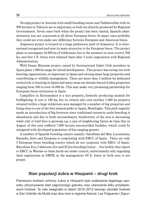Teverga project in Asturias with small breeding center and Valdeserrillas with its 900 hectare in Valencia are so important, as both are directly promoted by Regional Governments. Seven years back when the project has been started, Spanish administration was not concerned at all about European bison. In many cases probably they could not even make any difference between European and American bison.

Atapuerca project is located in a huge prehistoric park of Atapuerca. It is international recognized and now its main attraction is the European bison. The project plans to encompass 10.000 ha of wilderness, but at the moment its area covers1.500 ha, and first 5 E. bison were released there after 3 years negotiation with Regional Administration.

Wild Fauna Museum project, raised by International Safari Club president in Spain plans 1.000 ha range for initial development.. This project has strong ties with hunting organizations, so important in Spain and owning many large properties and contributing to wildlife management. There are more than 2 million ha dedicated exclusively to hunting in Spain and many areas are already fenced within properties ranging from 500 to even 16.000 ha. This may make very promising partnership for European bison restitution in Spain.

Campillito in Extremadura is a nice property, formerly producing animals for bullfighting. It size is 100 ha, but its owners also own another 1.000 ha property situated within a huge wilderness area managed by a number of big properties and being close to one of the best natural parks in Spain, Monfragüe. This park urgently needs an introduction of big browsers since traditional extensive cattle breeding is abandoned, and due to bush encroachment, biodiversity of the area is decreasing while risk of wild fires is growing e.g. a case of neighboring Sierra de Gata that in August of this year suffered 7.000 hectare uncontrolled bushfire, which could be mitigated with developed population of free ranging grazers.

A number of Spanish breeding centers namely: Santillana del Mar, Lacuniacha, Basondo, Jerez and Estepona is cooperating with EBCC of Spain.. There are only 3 European bison breeding centers which do not cooperate with EBCC of Spain: Barcelona Zoo, Cabárceno Zoo and El Jou breeding Center… but luckily they report to EBCC in Warsaw so these herds are under control, unfortunately only regarding their registration in EBPB, as the management Of E. bison in both zoos is not proper.

### **Stan populacji żubra w Hiszpanii – drugi krok**

Pierwszym krokiem ochrony żubra w Hiszpanii było znalezienie legalnego sposobu utrzymywania stad zagrożonego gatunku oraz utworzenie kilku przykładowych hodowli. Te cele osiągnięto w latach 2010–2012 tworząc ośrodek hodowli w San Cebrián de Mudá oraz dwa inne w regionie Asturia: Les Folgueres i Zapur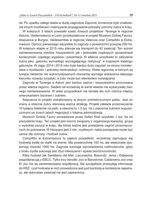rel. Po upadku całego stada w dużej zagrodzie Zapurrel, konieczne było znalezienie innych możliwości i intensywne propagowanie potrzeby ochrony żubra w kraju.

W kolejnych 3 latach powstało sześć nowych projektów: Teverga w regionie Asturia, Valderrodezno w León (przekształcone w projekt Muzeum Dzikiej Fauny), Atapuerca w Burgos, Valdeserrillas w regionie Valencia oraz Campillito w Extremadura. Oprócz pierwszego wszystkie to zagrody o powierzchni powyżej 200 ha. W kolejnym etapie w 2015 roku planuje się transport do 42 zwierząt. Ten wzrost zainteresowania mediów hiszpańskich jak i jednostek rządowych spowodował konieczność częstego wyjaśnia i prezentacji. W efekcie umożliwiło to zaliczenie żubra jako "gatunku wymarłego wymagającego restytucji" w krajowym katalogu gatunków. W ciągu 2014 i 2015 roku było bardzo dużo zapytań ze strony ministerstwa o możliwości i potrzeby reintrodukcji i ochrony. Wiele regionów, w których są tysiące hektarów nie wykorzystywanych obszarów wymaga wskazania dalszego kierunku rozwoju turystyki, a żubr może być elementem rozwiązania.

Zagroda w Taverga w Asturii jest bardzo ważna i bezpośrednio promowana przez władze regionu. Siedem lat wcześniej te same władze nie wykazywały żadnego zainteresowania. W wielu przypadkach nie istniała dla nich różnica między amerykańskim bizonem i żubrem.

Atapuerca to projekt zlokalizowany w dużym prehistorycznym parku. Jest on znany a obecnie żubry stanowią ważną atrakcję. Projekt zakłada przeznaczenie 10 tysięcy hektarów na park, a obecnie to 1,5 tys. ha z pięcioma żubrami wypuszczonymi po trzech latach negocjacji z lokalną administracją.

Muzeum Dzikiej Fauny prowadzone przez Safari Klub uzyskało 1 tys. ha od prezydenta kraju. Ten projekt jest mocno związany z organizacją łowiecką, grupą o wysokiej pozycji w kraju, dla której ważne jest posiadanie zagród przeznaczonych do polowania. W Hiszpanii jest 2 mln. myśliwych i takie powiązanie może być cenne dla ochrony i hodowli żubra.

Campillito w Extremadura to piękna posiadłość, wcześniej zajmująca się hodowlą bydła do walki na arenie. Ma powierzchnię 100 ha, ale właściciele dysponują również 1000 ha. Zagroda wymaga wprowadzenia roślinożerców, gdyż z braku bydła sukcesja jest zbyt intensywna i spada bioróżnorodność.

Kilka hodowli jak Santillana del Mar, Lacuniacha, Basondo, Jerez i Estepona wsppółpracują z EBCC. Tylko trzy ośrodki: zoo w Barcelonie, Cabárceno zoo oraz El Jou nie są zainteresowane współpracą. Ale szczęśliwie przesyłają informacje do KRŻ, czyli hodowla w nich prowadzona jest pod kontrolą w kontekście rejestracji, ale dobrostan zwierząt nie jest zapewniony.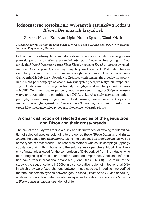# **Jednoznaczne rozróżnienie wybranych gatunków z rodzaju**  *Bison* **i** *Bos* **oraz ich krzyżówek**

Zuzanna Nowak, Katarzyna Lipka, Natalia Spaska<sup>1</sup>, Wanda Olech

Katedra Genetyki i Ogólnej Hodowli Zwierząt, Wydział Nauk o Zwierzętach, SGGW w Warszawie <sup>1</sup>Muzeum Przyrodnicze, Moskwa

Celem przeprowadzonych badań było znalezienie szybkiego i jednoznacznego testu pozwalającego na określenie przynależności gatunkowej wybranych gatunków z rodzaju *Bison* (*Bison bonasus* oraz *Bison Bison*), z rodzaju *Bos* (*Bos taurus* z uwzględnieniem *Bos primigenius*), a także wybranych typów krzyżówek. Materiałem badawczym były zeskrobiny możdżeni, substancja gąbczasta prawych kości udowych oraz tkanki miękkie lub krew obwodowa. Zróżnicowanie materiału umożliwiło porównanie DNA pochodzącego od osobników żyjących z początku restytucji i współczesnych. Dodatkowe informacje pochodziły z międzynarodowej bazy (Banku Genów – NCBI). Wynikiem badań jest wytypowanie sekwencji długości 350pz w konserwatywnym regionie mitochondrialnego DNA, w której zostały utrwalone zmiany pomiędzy wymienionymi gatunkami. Dodatkowo sprawdzono, że test wykrywa mieszańce w obrębie gatunków *Bison bonasus* i *Bison bison*, natomiast osobniki oznaczone jako mieszańce między podgatunkowe nie wykazują różnic.

# **A clear distinction of selected species of the genus** *Bos* **and** *Bison* **and their cross-breeds**

The aim of the study was to find a quick and definitive test allowwing for identification of selected species belonging to the genus *Bison* (*Bison bonasus* and *Bison bison*), the genus *Bos* (*Bos taurus*, taking into account *Bos primigenius*), as well as some types of crossbreeds. The research material was sculls scrapings, (spongy substance of right thigh bone) and the soft tissues or peripheral blood. The diversity of materials allowed for the comparison of DNA derived from individuals living at the beginning of restitution or before, and contemporaries. Additional information came from international databases (Gene Bank – NCBI). The result of the study is the sequence length 350bp in a conservative region of mitochondrial DNA in which they were fixed changes between these species. In addition we verified that the test detects hybrids between genus *Bison* (*Bison bison* x *Bison bonasus*), while individuals designated as inter subspecies hybrids (*Bison bonasus bonasus* x *Bison bonasus caucasicus*) do not differ.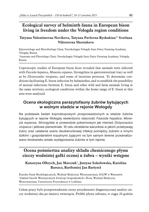# **Ecological survey of helminth fauna in European bison living in freedom under the Vologda region conditions**

### **Tatyana Valentinovna Novikova, Tatyana Pavlovna Ryzhakina**<sup>21</sup> **Svetlana Viktorovna Shestakova**

Epizootiology and Microbiology Chair, Vereshchagin Vologda State Dairy Farming Academy, Vologda, Russia <sup>1</sup>Anatomy and Physiology Chair, Vereshchagin Vologda State Dairy Farming Academy, Vologda, Russia

Coproscopic studies of European bison feces revealed that animals were infected with *Fasciola hepatica*, *Monezia expansa*, Strongylata in gastrointestinal tract as well as by *Dictyocaulus viviparus*, and some of intestine protozoa. To determine conditions facilitating E. bison infection by helminthes, and to establish the possibility of mutual infections between E. bison and other wild and farm animals living at the same territory, ecological conditions within the home range of E. bison at this area were analyzed.

# **Ocena ekologiczna parazytofauny żubrów bytujących w wolnym stadzie w rejonie Wołogdy**

Na podstawie badań koproskopowych przeprowadzonych w stadzie żubrów bytujących w rejonie Wołogdy stwierdzono obecność *Fasciola hepatica*, *Monezia expansa*, Strongylata w przewodzie pokarmowym jak również *Dictyocaulus viviparus* i jelitowe pierwotniaki. W celu określenia warunków w jakich przebywają żubry oraz ustalenia szans dwukierunkowej infekcji pomiędzy żubrem a innymi dzikimi i gospodarskimi kopytnymi żyjącymi na tym samym terenie przeanalizowano środowisko areału występowania żubrów w tym rejonie.

# **Ocena pośmiertna analizy składu chemicznego płynu cieczy wodnistej gałki ocznej u żubra – wyniki wstępne**

### **Katarzyna Olbrych, Jan Marczuk**<sup>1</sup>**, Justyna Sokołowska, Karolina Barszcz, Bartłomiej Jan Bartyzel**

Katedra Nauk Morfologicznych, Wydział Medycyny Weterynaryjnej, SGGW w Warszawie <sup>1</sup>Zakład Chorób Wewnętrznych Zwierząt Gospodarskich i Koni, Wydział Medycyny Weterynaryjnej, Uniwersytet Przyrodniczy w Lublinie

Celem pracy było przeprowadzenie oceny przydatności diagnostycznej analizy cieczy wodnistej oka po śmierci zwierzęcia. Próbki płynu zebrano, w ciągu 24 godzin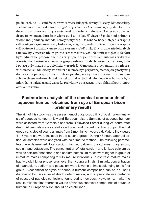po śmierci, od 12 samców żubrów zamieszkujących tereny Puszczy Białowieskiej. Badane osobniki poddano szczegółowej sekcji zwłok. Zwierzęta podzielono na dwie grupy: pierwsza licząca sześć sztuk to osobniki młode od 3 miesięcy do 4 lat, druga to zwierzęta dorosłe w wieku od 4 do 16 lat. W ciągu 48 godzin od pobrania wykonano pomiary, metodą kolorymetryczną. Dokonano badań stężenia wapnia całkowitego i zjonizowanego, fosforanu, magnezu, sodu i potasu. Stężenia wapnia całkowitego i zjonizowanego oraz stosunek Ca/P i Na/K w grupie niedojrzałych samców były wyższe niż w grupie samców dorosłych. Natomiast stężenie fosforu było odwrotnie proporcjonalnie i w grupie drugiej dorosłych żubrów i wykazało wartości dwukrotnie wyższe niż w grupie żubrów młodych. Stężenia magnezu, sodu i potasu były niższe w grupie I niż w grupie II. Oznaczanie biochemicznych nieprawidłowości składu cieczy wodnistej oka może być przydatną metodą diagnostyczną do ustalenia przyczyny śmierci lub racjonalnej oceny znaczenia wielu zmian chorobowych stwierdzonych podczas sekcji zwłok. Jednak aby powyższe badania były miarodajne należy ustalić wartości prawidłowe poszczególnych składników płynów ocznych u żubra.

# **Postmortem analysis of the chemical compounds of aqueous humour obtained from eye of European bison – preliminary results**

The aim of this study was the assessment of diagnostic utility of postmortem analysis of aqueous humour in lowland European bison. Samples of aqueous humour were collected from 12 male bison from Białowieża Forest during 24 hours after death. All animals were carefully sectioned and divided into two groups. The first group consisted of young animals from 3 months to 4 years old. Mature individuals 4–16 years old were included in the second group. During 48 hours after collection, all samples were analyzed with colorimetric method. The following parameters were determined: total calcium, ionized calcium, phosphorus, magnesium, sodium and potassium. The concentration of total calcium and ionized calcium as well as calcium/phosphorus and sodium/potassium ratios were higher in group of immature males comparing to fully mature individuals. In contrast, mature males had twofold higher phosphorus level than young animals. Similarly, concentration of magnesium, sodium and potassium were lower in animals belonging to the first group. Biochemical analysis of aqueous humour composition can be an useful diagnostic tool in cause of death determination, and appropriate interpretation of causes of pathological lesions found during necropsy. However, to make the results reliable, first reference values of various chemical compounds of aqueous humour in European bison should be established.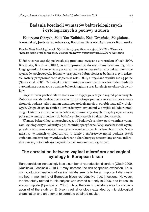# **Badania korelacji wymazów bakteriologicznych i cytologicznych z pochwy u żubra**

### **Katarzyna Olbrych, Mala Yan-Kalińska, Kaja Urbańska, Magdalena Rzewuska**<sup>1</sup>**, Justyna Sokołowska, Karolina Barszcz, Agnieszka Romańska**

Katedra Nauk Morfologicznych, Wydział Medycyny Weterynaryjnej, SGGW w Warszawie <sup>1</sup>Katedra Nauk Przedklinicznych, Wydział Medycyny Weterynaryjnej, SGGW w Warszawie

U żubra coraz częściej pojawiają się problemy związane z rozrodem (Olech 2009, Krasińska, Krasiński 2010.), co może prowadzić do zagrożenia istnienia tego dzikiego gatunku. Dlatego ważnym zagadnieniem wydają się badania bakteriologiczne wymazów pochwowych. Jednak w przypadku żubra pierwsze badania w tym zakresie zostały przeprowadzone dopiero w roku 2006, a uzyskane wyniki nie są pełne (Speck et al. 2006). W związku z tym postanowiono przeprowadzić dalsze badania cytologiczne poszerzone o analizę bakteriologiczną oraz korelację uzyskanych wyników.

Część żubrów pochodziła ze stada wolno żyjącego, a część z zagród pokazowych. Żubrzyce zostały podzielone na trzy grupy. Grupa pierwsza to samice bez stwierdzonych podczas sekcji zmian anatomopatologicznych w obrębie narządów płciowych. Grupa druga to samice z stwierdzonymi zmianami w obrębie układu rozrodczego. Ostatnia grupa trzecia składała się z samic ciężarnych. Sterylną wymazówką pobrano wymazy z pochwy do badań cytologicznych i bakteriologicznych.

Wymazy bakteriologiczne pochodzące od badanych samic w porównaniu z wymazami cytologicznymi okazały się dużo mniej specyficzne. Większość bakterii występowała z taką samą częstotliwością we wszystkich trzech badanych grupach. Natomiast w wymazach cytologicznych, u samic z zaobserwowanymi podczas sekcji zmianami makroskopowymi, stwierdzono charakterystyczne zmiany obrazu mikroskopowego, potwierdzające wyniki badań anatomopatologicznych.

# **The correlation between vaginal microflora and vaginal cytology in European bison**

European bison increasingly face a number of reproduction disorders (Olech 2009, Krasińska, Krasiński 2010.). It may increase the risk of species extinction. Thus, microbiological analysis of vaginal swabs seems to be an important diagnostic method in monitoring of European bison reproductive tract infections. However, the first study related to this subject was carried out only in 2006, and its results are incomplete (Speck et al. 2006). Thus, the aim of this study was the continuation of of the study on E. bison vaginal cytology extended by microbiological examination and an attempt to correlate obtained results.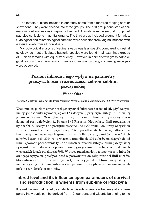The female E. bison included in our study came from either free ranging herd or show pens. They were divided into three groups. The first group consisted of animals without any lesions in reproductive tract. Animals from the second group had pathological lesions in genital organs. The third group included pregnant females. Cytological and microbiological samples were collected from vaginal mucosa with a sterile swab from all individuals.

Microbiological analysis of vaginal swabs was less specific compared to vaginal cytology, as most of isolated bacteria species were found in all examined groups of E. bison females with equal frequency. However, in animals with gross pathological lesions, the characteristic changes in vaginal cytology confirming necropsy were observed.

# **Poziom inbredu i jego wpływ na parametry przeżywalności i rozrodczości żubrów sublinii pszczyńskiej**

#### **Wanda Olech**

Katedra Genetyki i Ogólnej Hodowli Zwierząt, Wydział Nauk o Zwierzętach, SGGW w Warszawie

Wiadomo, że poziom zmienności genetycznej żubra jest bardzo niski, gdyż wszystkie żyjące osobniki wywodzą się od 12 założycieli, przy czym żubry linii nizinnej jedynie od 7 z nich. W obrębie tej linii wyróżnia się sublinię pszczyńską wyprowadzoną od pary założycieli 42 Planta i 45 Plebejer. Hodowla tej linii prowadzono była w OHŻ Pszczyna od początku restytucji do 1953 roku – do utraty wszystkich żubrów z powodu epidemii pryszczycy. Potem po kilku latach przerwy odtworzono linią bazując na zwierzętach sprowadzonych z Białowieży, wnuków pszczyńskich żubrów. Łącznie do 2014 roku włącznie urodziło się 301 żubrów należących do tej linii. Z powodu pochodzenia tylko od dwóch założycieli żubry sublinii pszczyńskiej są wysoko zinbredowane, a poziom homozygotyczności u osobników urodzonych w ostatnich latach przekracza 70%. W pracy przedstawiono tempo wzrostu inbredu oraz jego wpływ na przeżywalność w porównaniu do całej nizinnej linii żubrów. Stwierdzono, że u żubrów nizinnych w tym należących do sublinii pszczyńskiej nie ma negatywnych skutków inbredu i ten parametr nie wpływa na poziom śmiertelności i rozrodczości osobników.

# **Inbred level and its influence upon parameters of survival and reproduction in wisents from sub-line of Pszczyna**

It is well known that genetic variability in wisents is very low because all contemporary individuals can be derived from 12 founders, and wisents belonging to the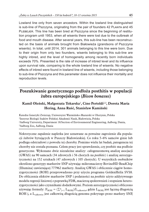Lowland line only from seven ancestors. Within the lowland line distinguished is sub-line of Pszczyna, originating from the pair of founders 42 Planta and 45 PLEBEJER. This line has been bred at Pszczyna since the beginning of restitution program until 1953, when all wisents there were lost due to the outbreak of food and mouth disease. After several years, this sub-line has been reconstructed on the basis of animals brought from Białowieża (grandsons of Pszczyna wisents). In total, until 2014, 301 animals belonging to this line were born. Due to their origin from only two founders, wisents belonging to this sub-line are highly inbred, and the level of homogeneity among recently born individuals exceeds 70%. Presented is the rate of increase of inbred level and its influence upon survival rate, comparing to the whole lowland line of wisents. No negative effects of inbred were found in lowland line of wisents, including those belonging to sub-line of Pszczyna and this parameter does not influence their mortality and reproduction levels.

# **Poszukiwanie genetycznego podłoża posthitis w populacji żubra europejskiego (***Bison bonasus***)**

### **Kamil Oleński, Małgorzata Tokarska**<sup>1</sup>**, Cino Pertoldi**2,3**, Dorota Maria Hering, Anna Ruść, Stanisław Kamiński**

Katedra Genetyki Zwierząt, Uniwersytet Warmińsko-Mazurski w Olsztynie, Polska <sup>1</sup>Instytut Biologii Ssaków Polskiej Akademii Nauk, Białowieża, Polska <sup>2</sup>Aalborg University, Department 18/Section of Environmental Engineering, Aalborg, Dania, 3Aalborg Zoo, Aalborg, Dania

Nekrotyczne zapalenie napletka jest uznawane za poważne zagrożenie dla populacji żubrów bytujących w Puszczy Białowieskiej. Co roku 5–6% samców ginie lub podlega odstrzałowi z powodu tej choroby. Pomimo wielu lat badań, patogeneza tej choroby nie została poznana. Celem pracy jest sprawdzenie, czy *posthitis* ma podłoże genetyczne. Wykonano dwie niezależne analizy: całogeneomową analizę asocjacji (GWAS) na 90 samcach (34 zdrowych i 56 chorych na *posthitis*) i analizę autozygotyczności na 152 sztukach (47 zdrowych i 105 chorych). U wszystkich osobników określono genotypy markerów SNP używając mikromacierzy BovineHD BeadChip (Illumina) zawierającej 777962 markery. Analizę GWAS i obliczenie ciągów homozygotyczności (ROH) przeprowadzono przy użyciu programu GoldenHelix SVS8. Do obliczenia efektów markerów SNP i podatności na *posthitis* użyto addytywnego modelu regresji liniowej z poprawką FDR, macierzą spokrewnień i stopniem heterozygotyczności jako czynnikami dodatkowymi. Poziom autozygotyczności obliczono używając formuły:  $F_{ROH} = (\sum_{j=1}^{n} L_{ROHj})/L_{calkowite}$ , gdzie  $L_{ROHj}$  jest łączną długością ROH j, a Lcałkowite jest całkowitą długością genomu pokrytego przez markery SNP,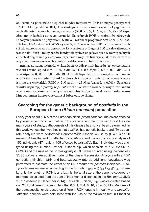obliczoną na podstawie odległości między markerami SNP na mapie genetycznej UMD v.3.1.1 (grudzień 2014). Dla każdego żubra obliczono wskaźnik  $F_{ROH}$  dla różnych długości ciągów homozygotyczności (ROH): 0,5; 1; 2; 4; 8; 16; 25 i 50 Mpz. Mediany wskaźnika autozygotyczności dla różnych ROH u osobników zdrowych i chorych porównano przy użyciu testu Wilkoxona w programie Statistica 12.5 (Statsoft Inc., USA). Analiza GWAS wykazała, że 25 markerów SNP na 6 chromosomach (18 zlokalizowano na chromosomie 15 w regionie o długości 2 Mpz) zlokalizowana jest w najbliższej okolicy genów kandydujących, zaangażowanych w rozwój różnych chorób skóry, takich jak atopowe zapalenie skóry lub łuszczyca, jak również w rozwój zmian nowotworowych komórek nabłonkowych lub rozrodczych.

Analiza autozygotyczności wykazała, że współczynnik inbredu jest ekstremalnie wysoki i waha się od 0,752  $\pm$  0,03 dla ROH > 0,5 Mpz; 0,423  $\pm$  0,01 dla ROH  $> 4$  Mpz do 0,001  $\pm$  0,001 dla ROH  $> 50$  Mpz. Różnice pomiędzy medianami współczynnika inbredu osobników chorych i zdrowych były statystycznie wysoce istotne dla wszystkich ROH > 2 Mpz do > 25 Mpz (wartość p 0,001). Uzyskane wyniki wspierają hipotezę, że *posthitis* może być warunkowane pewnymi zmianami w genomie, ale zmiany te mają raczej subtelny wpływ spowodowany bardzo wysokim poziomem homozygotyczności żubra europejskiego.

# **Searching for the genetic background of** *posthitis* **in the European bison (***Bison bonasus***) population**

Every year about 5–6% of the European bison (*Bison bonasus*) males are affected by *posthitis* (necrotic inflammation of the prepuce) and die in the wild forest. Despite many years of study, pathogenesis of this disease has not yet been determined. In this work we test the hypothesis that *posthitis* has genetic background. Two separate analyses were performed: Genome-Wide Association Study (GWAS) on 90 males (34 healthy and 56 affected by *posthitis*), and the autozygosity analysis of 152 individuals (47 healthy, 105 affected by *posthitis*). Each individual was genotyped using the Illumina BovineHD BeadChip, which consists of 777,962 SNPs. GWAS and the runs of the homozygosity (ROH) were counted using GoldenHelix SVS8 software. An additive model of the Linear Regression Analysis with a FDR correction, kinship matrix and heterozygosity rate as additional covariates was performed to estimate the effect of an SNP marker for *posthitis* incidence. Autozygosity was estimated according to the formula:  $\mathsf{F}_{\mathsf{ROH}}$  =  $(\sum_{\mathsf{j=1}}^{\mathsf{n}} \mathsf{L}_{\mathsf{ROHj}}) / \mathsf{L}_{\mathsf{total}}$ , where  $L_{ROHi}$  is the length of ROH j, and  $L_{total}$  is the total size of the genome covered by markers, calculated from the sum of intermarker distances in the *Bos taurus* UMD v.3.1.1 assembly (December 2014). For each E. bison,  $F_{ROH}$  was calculated based on ROH of different minimum lengths: 0.5, 1, 2, 4, 8, 16, 25 or 50 Mb. Medians of the autozygosity levels based on different ROH lengths in healthy and *posthitis-* -affected animals were calculated with the use of the Wilkoxon test in Statistica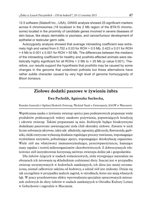12.5 software (Statsoft Inc., USA). GWAS analysis showed 25 significant markers across 6 chromosomes (18 localized in the 2 Mb region of the BTA15 chromosome) located in the proximity of candidate genes involved in severe diseases of skin tissue, like atopic dermatitis or psoriasis, and cancer/tumour development of epithelial or testicular germ cells.

Autozygosity analysis showed that average inbreeding coefficient was extremely high and varied from  $0.752 \pm 0.03$  for ROH  $> 0.5$  Mb,  $0.423 \pm 0.01$  for ROH  $>$  4 Mb to 0.001  $\pm$  0.001 for ROH  $>$  50 Mb. The differences between the medians of the inbreeding coefficient for healthy and *posthitis*-affected animals were statistically highly significant for all ROHs > 2 Mb to > 25 Mb (p value 0.001). Therefore, our results support the hypothesis that *posthitis* may be caused by some changes in the genome that underlined pothistis but these alternations have rather subtle character caused by very high level of genome homozygosity of *Bison bonasus*.

# **Ziołowe dodatki paszowe w żywieniu żubra**

#### **Ewa Pacholik, Agnieszka Suchecka,**

Katedra Genetyki i Ogólnej Hodowli Zwierząt, Wydział Nauk o Zwierzętach, SGGW w Warszawie

Współczesna nauka o żywieniu zwierząt oprócz pasz podstawowych proponuje wiele produktów podnoszących walory smakowe pożywienia, poprawiających kondycję i zdrowie zwierząt. Takimi preparatami są min. fitobiotyki będące bioaktywnymi dodatkami paszowymi zawierającymi zioła i/lub ekstrakty ziołowe. Zawarte w nich liczne substancje aktywne, takie jak: alkaloidy, saponiny, glikozydy, flawonoidy, garbniki, olejki eteryczne wykazują działanie regulujące procesy trawienne, wspomagające wydzielanie enzymów, pobudzające apetyt, wspomagające detoksykację organizmu. Wiele ziół ma właściwości immunostymulujące, przeciwpasożytnicze, hamujące stany zapalne i rozwój mikroorganizmów chorobotwórczych. Z dobroczynnych właściwości ziół instynktownie korzystają zarówno zwierzęta dzikie jak i gospodarskie.

Dla żubrów żyjących w stadach wolnościowych, zioła występujące naturalnie na obszarach ich żerowania są składnikiem codziennej diety. Inaczej jest w przypadku zwierząt utrzymywanych w hodowlach zamkniętych, ich dieta jest mniej urozmaicona, niemal całkowicie zależna od hodowcy, a udział ziół jest znikomy. Dzieje się tak szczególnie w przypadku małych zagród, w ośrodkach, które nie mają własnych łąk. W pracy przedstawiono efekty wprowadzenia specjalnie opracowanych mieszanek ziołowych do diety żubrów w stadach zamkniętych w Ośrodku Kultury Leśnej w Gołuchowie i zagrodzie w Mucznem.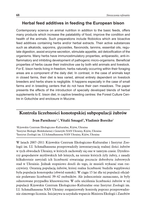## **Herbal feed additives in feeding the European bison**

Contemporary science on animal nutrition in addition to the basic feeds, offers many products which increase the palatability of food, improve the condition and health of the animals. Such preparations include fitobiotics which are bioactive feed additives containing herbs and/or herbal extracts. Their active substances such as alkaloids, saponins, glycosides, flavonoids, tannins, essential oils, regulate digestion, assist enzyme secretion, stimulate appetite, aid detoxification of the organisms. Many herbs have immunostimulatory properties, antiparasitic, anti-inflammatory and inhibiting development of pathogenic micro-organisms. Beneficial properties of herbs cause their instinctive use by both wild animals and livestock. For E. bison herds living in freedom, herbs naturally occurring within their foraging areas are a component of the daily diet. In contrast, in the case of animals kept in closed farms, their diet is less varied, almost entirely dependent on livestock breeders and herbs share is negligible. It happens especially in the case of small farms and in breeding centers that do not have their own meadows. The paper presents the effects of the introduction of specially developed blends of herbal supplements to E. bison diet, in captive breeding centres: the Forest Culture Centre in Gołuchów and enclosure in Muczne.

# **Kontrola liczebności konotopskiej subpopulacji żubrów**

#### **Ivan Parnikoza**1,2**, Vitalii Smagol**<sup>3</sup>**, Vladimir Boreiko**<sup>1</sup>

<sup>1</sup>Kijowskie Centrum Ekologiczno-Kulturalne, Kijów, Ukraina <sup>2</sup>Instytut Biologii Molekularnej i Genetyki NAN Ukrainy, Kijów, Ukraina 3Instytut Zoologii im. I.I.Schmalhausena NAN Ukrainy, Kijów, Ukraina

W latach 2007–2011 Kijowskie Centrum Ekologiczno-Kulturalne i Instytut Zoologii im. I.I. Schmalhausena przeprowadziły inwentaryzację realnej ilości żubrów w tych obwodach Ukrainy, w których zachowały się one w tamtym czasie. Dyrektorzy gospodarstw myśliwskich lub leśnych, na terenie których żyły żubry, z zasady kilkakrotnie zawyżali ich liczebność stwarzając poczucie dobrobytu żubrowych stad w Ukrainie. Jednak stopniowo doszli do tego, że musieli wykazać stan rzeczywisty. Ostatnią populacją żubrów, której realna liczebność budziła wątpliwości była populacja konotopska (obwód sumski). W ciągu 15 lat dla tej populacji oficjalnie podawano liczebność 39–42 osobników. Ale jednocześnie zaznaczano, że były odnotowane przypadku kłusownictwa. W celu uściślenia liczebności żubrów w tej populacji Kijowskie Centrum Ekologiczno-Kulturalne oraz Instytut Zoologii im. I.I. Schmalhausena NAN Ukrainy zorganizowały kontrolę poprzez przeprowadzenie zimowego liczenia. Inicjatywa ta uzyskała wsparcie Ministra Ekologii i Zasobów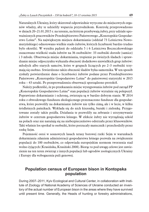Naturalnych Ukrainy, który skierował odpowiednie wytyczne do miejscowych organów władzy, aby te udzieliły wsparcia przyrodnikom. Kontrolę przeprowadzono w dniach 20–21.01.2015 r. na terenie, na którym przebywają żubry, przy udziale upoważnionych pracowników Przedsiębiorstwo Państwowego "Konotopskie Gospodarstwo Leśne". Na największym miejscu dokarmiania (oddział 73 Leśnictwa Nowomutyńskiego) odnotowano wielkie stado żubrów, których liczebność bardzo trudno było określić. W wyniku pędzeń do oddziału 5 i 6 Leśnictwa Boczeczkowskiego oszacowano wielkość stada żubrów na 36 osobników: 33 osobniki dorosłe (samice) i 3 młode. Obserwacja miejsc dokarmiania, tropienie po świeżych śladach i sprawdzanie miejsc odpoczynku wykazała obecność dodatkowo niewielkich grup żubrów: młodych albo starych samców, które w grupach liczących po 2–3 osobniki trzymają się osobno. Stwierdzono także obecność śladów byka-samotnika. W ten sposób zyskały potwierdzenie dane o liczebności żubrów podane przez Przedsiębiorstwo Państwowe "Konotopskie Gospodarstwo Leśne" do państwowej statystyki w 2015 roku – 43 sztuki. Po przeprowadzeniu obserwacji sporządzono protokół.

Należy podkreślić, że po przekazaniu miejsc występowania żubrów pod zarząd PP "Konotopskie Gospodarstwo Leśne" stan populacji żubrów wyraźnie się polepszył. Poprawiono dokarmianie i ochronę, zwierzęta są w bardzo dobrym stanie. W 2014 roku z obwodowego funduszu ekologicznego przeznaczono fundusze dla gospodarstwa, które pozwoliły na dokarmianie żubrów nie tylko zimą, ale i w lecie, w kilku śródleśnych paśnikach. Wykłada się do nich kiszonkę, buraki i zielonkę. Przygotowane zostały także poidła. Działania te pozwoliły na zebranie i utrzymywanie żubrów w centrum gospodarstwa leśnego. W efekcie żubry nie wyrządzają szkód na polach oraz nie narażają się na niebezpieczeństwo odstrzału przez kłusowników. Taki właśnie los spotkał te osobniki, które porzucały matecznik i przechodziły przez rzekę Sejm.

Pojemność ostoi w sosnowych lasach terasy borowej rzeki Sejm w warunkach dokarmiania zdaniem administracji gospodarstwa leśnego pozwala na zwiększenie populacji do 100 osobników, co odpowiada europejskim normom tworzenia stad wolno żyjących (Krasińska, Krasiński 2008). Biorąc to pod uwagę celowe jest zawiezienie na ten teren zwierząt z innych populacji lub ogrodów zoologicznych Ukrainy i Europy dla wzbogacenia puli genowej.

### **Population census of European bison in Kontopska population**

During 2007–2011, Kyiv Ecological and Cultural Center, in collaboration with Institute of Zoology of National Academy of Sciences of Ukraine conducted an inventory of the actual number of European bison in the areas where they have survived until present time. Generally, the Heads of hunting or forestry administrations,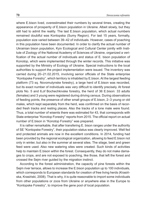where E.bison lived, overestimated their numbers by several times, creating the appearance of prosperity of E.bison population in Ukraine. Albeit slowly, but they still had to admit the reality. The last E.bison population, which actual numbers remained doubtful was Kontopska (Sumy Region). For last 15 years, formally, population size varied between 39–42 of individuals. However, cases of poaching in this population have been documented. In order to clarify the actual number of Ukrainian bison population, Kyiv Ecological and Cultural Center jointly with Institute of Zoology of the National Academy of Sciences of Ukraine, organized a verification of the actual number of individuals and status of E. bison population of Konotop, which were implemented through the winter records. This initiative was supported by the Ministry of Ecology of Ukraine. Special instructions to the local authorities to support the project implementation were issued. The inventory was carried during 20–21.02.2015, involving senior officials of the State enterprise "Kontopske Forestry", which territory is inhabited by E.bison. At the largest feeding platform (73 sq. Novomutynske forestry), a large herd of E.bison was recorded, but its exact number of individuals was very difficult to identify precisely. At forest plots No. 5 and 6,of Bochechkivske forestry, the herd of 36 E.bison: 33 adults (females) and 3 young were registered during driving census. During observations of feeding points, the presence of other small groups of E.bison, 2–3 young or old males, which kept separately from the herd, was confirmed on the basis of recorded fresh tracks and resting places. Also the tracks of a lone male were found. Thus, a total number of wisents there was estimated for 43, that corresponds with State enterprise "Konotop Forestry" reports from 2015. The official report on actual number of E.bison in "Konotop Forestry" was prepared.

It is rather remarkable, that after transfering E. bison ranges under the authority of SE "Kontopske Forestry", their population status was clearly improved. Well fed and protected animals are now in the excellent conditions. In 2014, funding had been provided by the regional ecological organization, allowing to feed E.bison not only in winter, but also in the summer at several sites. The silage, beet and green feed were used. Also new watering sites were created. Such kinds of activities help to maintain E.bison within the forest. Consequently, they do not make damages to crops, and are not exposed to poaching, like those, that left the forest and crossed the Sejm river guided by the migration instinct.

According to the forest administration, the capacity of pine forests within the Sejm river terrace, allows to increase the E.bison population up to 100 individuals, which corresponds to European standards for creation of free living herds (Krasińska, Krasiński, 2008). That is why, it is quite reasonable to import some individuals from other populations or zoos from Ukraine or anywhere else in the Europe to "Kontopske Forestry", to improve the gene pool of local population.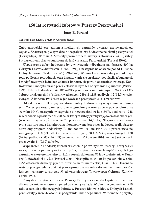# **150 lat restytucji żubrów w Puszczy Pszczyńskiej**

#### **Jerzy B. Parusel**

Centrum Dziedzictwa Przyrody Górnego Śląska

Żubr europejski jest jednym z nielicznych gatunków zwierząt uratowanych od zagłady. Znaczącą rolę w tym dziele odegrały żubry hodowane na ziemi pszczyńskiej (Górny Śląsk). W roku 1865 zostały sprowadzone z Puszczy Białowieskiej 4 (1.3) żubry i w następnym roku wypuszczone do lasów Puszczy Pszczyńskiej (Parusel 1996).

Wypuszczone żubry hodowane były w systemie półwolnym na obszarze 600 ha Górnych Lasów "Oberforsten" (1866–1891), a następnie na obszarze ponad 11000 ha Dolnych Lasów "Niederforsten" (1891–1945). W tym okresie swobodnej grze sił przyrody podlegała reprodukcja oraz kształtowanie się struktury populacji, zaburzanych i modyfikowanych jednakże wskutek importu, eksportu i odstrzałów zwierząt. Kontrolowane i modyfikowane przez człowieka było też odżywianie się żubrów (Parusel 1996). Bilans hodowli za lata 1865–1945 przedstawia się następująco: 267 (128.139) żubrów urodzonych, 14 (6.8) sprowadzonych, 249 (111.138) padłych i 12 (12.0) wywiezionych. Z końcem 1945 roku w Jankowicach przebywało 20 (11.9) żubrów.

Od zakończeniu II wojny światowej żubry hodowane są w systemie zamkniętym. Zwierzęta zostały umieszczone w ogrodzonym rezerwacie o powierzchni 3 ha (w roku 1946), następnie w zagrodzie o powierzchni 40 ha (1947), a od roku 1948 w rezerwacie o powierzchni 700 ha, w którym żubry przebywają do czasów obecnych (rezerwat przyrody "Żubrowisko" o powierzchni 744,61 ha). W systemie zamkniętym struktura stada kształtowana i kontrolowana jest przez hodowcę, realizującego określony program hodowlany. Bilans hodowli za lata 1946–2014 przedstawia się następująco: 418 (211.207) żubrów urodzonych, 38 (16.22) sprowadzonych, 130 (62.68) padłych i 305 (167.138) wywiezionych. Z końcem 2014 roku w Jankowicach przebywało 41 (9.32) żubrów.

Wypuszczenie i hodowlę żubrów w systemie półwolnym w Puszczy Pszczyńskiej należy uznać za pierwszą na świecie próbę restytucji w czasach współczesnych tego gatunku w ekosystemie leśnym, która została dokonana 87 lat wcześniej niż w Puszczy Białowieskiej (1952) (Parusel 2004). Nastąpiło to w 110 lat po zabiciu w roku 1755 ostatnich dziko żyjących żubrów na ziemi niemieckiej (Bär 1837). Dokonana restytucja wyprzedziła o 58 lat plan wprowadzania żubra do wielkich kompleksów leśnych, zapisany w statucie Międzynarodowego Towarzystwa Ochrony Żubrów z roku 1923.

Pomyślna restytucja żubra w Puszczy Pszczyńskiej miała kapitalne znaczenie dla uratowania tego gatunku przed całkowitą zagładą. W chwili wytępienia w 1919 roku ostatnich dziko żyjących żubrów w Puszczy Białowieskiej, w Dolnych Lasach przebywały jeszcze 42 osobniki podgatunku nizinnego żubra. W momencie przystą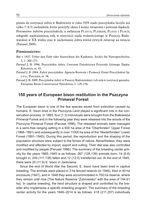pienia do restytucji żubra w Białowieży w roku 1929 stado pszczyńskie liczyło już tylko 7 (4.3) osobników, które przeżyły okres I wojny światowej i powstań śląskich. Potomstwo żubrów pszczyńskich, a zwłaszcza PLANTA, PLEBEJER, PLAVIA i PLISCH, odegrało najważniejszą rolę w restytucji stada wolnościowego w Puszczy Białowieskiej w XX wieku oraz w zachowaniu żubra wśród żywych zwierząt na świecie (Parusel 2009).

#### **Piśmiennictwo:**

- Bär v. 1837. Ueber den Zubr oder Auerochsen des Kaukasus. Archiv für Naturgeschichte, 3, 1: 268–273.
- Parusel J. B. 1996. Pszczyńskie żubry. Centrum Dziedzictwa Przyrody Górnego Śląska, Katowice, ss. 43.
- Parusel J. B. 2004. Żubry pszczyńskie. Agencja Rozwoju i Promocji Ziemi Pszczyńskiej Sp. z o.o., Pszczyna, ss. 38.
- Parusel J. B. 2009. Pszczyńskie żubry w Puszczy Białowieskiej i ich rola w restytucji gatunku. European Bison Conservation Newsletter, 2: 129–136.

# **150 years of European bison restitution in the Pszczyna Primeval Forest**

The European bison is one of the few species saved from extinction caused by humans. E. bison bred in the Pszczyna Land played a significant role in the conservation process. In 1865, four (1.3) individuals were brought from the Białowieża Primeval Forest and in the following year they were released into the woods of the Pszczyna Primeval Forest (Parusel 1996). The released animals were managed in a semi-free ranging setting in a 600 ha area of the "Oberforsten" Upper Forest (1866–1891) and subsequently in over 11000 ha area of the "Niederforsten" Lower Forest (1891–1945). During this period, the reproduction and the shaping of the population structure were subject to the forces of nature. Nevertheless, they were modified and affected by import, export and culling. Their diet was also controlled and modified by people (Parusel 1996). The summary of the breeding center activity for the years 1865–1945 is as follows: 267 (128.139) animals born, 14 (6.8) brought in, 249 (111.138) fallen and 12 (12.0) transferred out. At the end of 1945, there were 20 (11.9) E. bison in Jankowice.

Since the end of World War the Second, E. bison have been bred in captive breeding. The animals were placed in 3 ha fenced reserve (in 1946), then in 40 ha enclosure (1947), and in 1948 they were accommodated in 700 ha reserve, where they remain until now (The Nature Reserve "Żubrowisko" with the area of 744.61 ha). In captive breeding, the herd structure is shaped and controlled by the breeder who implements a specific breeding program. The summary of the breeding center activity for the years 1946–2014 is as follows: 418 (211.207) individuals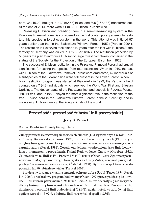born, 38 (16.22) brought in, 130 (62.68) fallen, and 305 (167.138) transferred out. At the end of 2014, there were 41 (9.32) E. bison in Jankowice.

Releasing E. bison and breeding them in a semi-free-ranging system in the Pszczyna Primeval Forest is considered as the first contemporary attempt to restitute this species in forest ecosystem in the world. This attempt was initiated 87 years earlier than that in the Białowieża Primeval Forest (1952) (Parusel 2004). The restitution in Pszczyna took place 110 years after the last wild E. bison At the territory of Germany was culled in 1755 (Bär 1837). The restitution preceded by 58 years the plan to introduce E. bison to large forest complexes, contained in the statute of the Society for the Protection of the European Bison from 1923.

The successful E. bison restitution in the Pszczyna Primeval Forest had crucial significance for saving the species from total extinction. When in 1919, the last wild E. bison of the Białowieża Primeval Forest were eradicated, 42 individuals of a subspecies of the Lowland line were still present in the Lower Forest. When E. bison restitution program was started at Białowieża in 1929, the Pszczyna herd counted only 7 (4.3) individuals which survived the World War First and Silesian Uprisings. The descendants of the Pszczyna line, and especially PLANTA, PLEBEjer, Plavia, and Plisch, played the most significant role in the restitution of the free E. bison herd in the Białowieża Primeval Forest in the 20<sup>th</sup> century, and in maintaining E. bison among the living animals of the world.

#### **Przeszłość i przyszłość żubrów linii pszczyńskiej**

#### **Jerzy B. Parusel**

Centrum Dziedzictwa Przyrody Górnego Śląska

Żubry pszczyńskie wywodzą się z czterech żubrów (1.3) wywiezionych w roku 1865 z Puszczy Białowieskiej (Parusel 1996). Linia żubrów pszczyńskich (PL) nie jest odrębną linią genetyczną, lecz jest linią siostrzaną, wywodzącą się z nizinnego podgatunku żubra (Pucek 1991). Została ona jednak wyodrębniona jako linia hodowlana z momentem wprowadzenia Księgi Rodowodowej Żubrów (Groeben 1932). Założycielami tej linii są F42 PLANTA i M45 PLEBEJER (Olech 1989). Zgodnie z postanowieniem Międzynarodowego Towarzystwa Ochrony Żubra, rezerwat pszczyński podlegał zakazowi importu zwierząt (Żabiński 1950). Było ono respektowane aż do początku lat 90. ubiegłego wieku (Parusel 2004).

Przyjęta i wdrażana aktualnie strategia ochrony żubra IUCN (Pucek 1994, Pucek i in. 2004), oraz krajowy program hodowlany (Olech 1997) przyczyniają się do likwidacji linii żubrów pszczyńskich. W latach 1994–2014 uwidoczniły się niekorzystne dla tej historycznej linii wyniki hodowli – wśród urodzonych w Pszczynie cieląt dominowały osobniki linii białowieskiej (68,6%), udział ilościowy żubrów tej linii ogółem wzrósł o 15,97%, a żubrów linii pszczyńskiej spadł o 8,86%.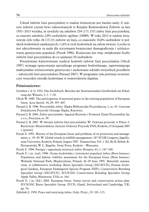Udział żubrów linii pszczyńskiej w stadzie światowym jest bardzo mały. Z rejestru żubrów czystej krwi odnotowanych w Księdze Rodowodowej Żubrów za lata 1931–2013 wynika, że urodziły się zaledwie 234 (171.153) żubry linii pszczyńskiej, co stanowi zaledwie 2,9% osobników ogółem (10989). W roku 2013 w stadzie światowym żyło tylko 26 (13.13) żubrów tej linii, co stanowiło 10,0% osobników w polskich hodowlach zamkniętych i 1,6% w tych hodowlach na całym świecie. Liczba ta jest zdecydowanie za mała dla utrzymania bezpiecznej demograficznie i zróżnicowanej genetycznie populacji (Pucek 1996). Konieczne jest więc zwiększenie liczby żubrów linii pszczyńskiej do co najmniej 50 osobników.

Postulowane kultywowanie tradycji hodowli żubrów linii pszczyńskiej (Olech 1997) wymaga opracowania specjalnego programu hodowlanego, zapewniającego maksymalne zróżnicowanie genetyczne i zachowanie udziału wszystkich przodków – założycieli linii pszczyńskiej (Parusel 2007). W programie tym powinny uczestniczyć wszystkie ośrodki hodowlane w województwie śląskim.

#### **Piśmiennictwo:**

- Groeben v. d. G. 1932. Das Zuchtbuch. Berichte der Internationalen Gesellschaft zur Erhaltung des Wisents, 5, 1: 7–50.
- Olech W. 1989. The participation of ancestral genes in the existing population of European bison. Acta theriol. 34, 29: 397–407.
- Parusel J. B. 1996. Pszczyńskie żubry. Śląska Biblioteczka Przyrodnicza, 1, ss. 43. Centrum Dziedzictwa Przyrody Górnego Śląska, Katowice.
- Parusel J. B. 2004. Żubry pszczyńskie. Agencja Rozwoju i Promocji Ziemi Pszczyńskiej Sp. z o.o., Pszczyna, ss. 39.
- Parusel J. B. 2007. W obronie żubrów linii pszczyńskiej. W: Ochrona przyrody w Polsce 2: Restytucje i Reintrodukcje. Instytut Ochrony Przyrody PAN, Kraków, 23 listopada 2007 r. [poster]
- Pucek Z. 1991. History of the European bison and problems of its protection and management, s.: 19–39. W: Global trends in wildlife management. 18<sup>th</sup> IUGB Congress, Jagiellonian University, Kraków, Poland, August 1987. Transactions, Vol. 1. Ed. By B. Bobek, K. Perzanowski, W. L. Regelin. Świat Press, Kraków – Warszawa.
- Pucek Z. 1994. Postępy i zagrożenia restytucji żubra. Kosmos, 43, 1: 147–169.
- Pucek Z. i in. (red.) 1996. Ocena środowiska i żywotności populacji żubra (*Bison bonasus*). Population and habitat viability assessment for the European bison (*Bison bonasus*). Wolinski National Park, Międzyzdroje, Poland, 26–29 June 1995. Materiały seminarium. A collaborative workshop. Bison Specialist Group (SSC/IUCN), Poznan Zoological Gardens, European Endangered Species Program (EEP), Conservation Breeding Specialist Group (SSC/IUCN). IUCN/SSC Conservation Breeding Specialist Group, Apple Valley, Minnesota, USA, ss. 164.
- Pucek Z. i in. (Ed.) 2004. European bison. Status survey and conservation action plan. IUCN/SSC Bison Specialist Group. IUCN, Gland, Switzerland and Cambridge, UK, pp. 54.
- Żabiński J. 1950. Prace nad restytucją żubra. Ochr. Przyr., 19: 101–115.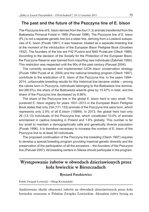#### **The past and the future of the Pszczyna line of E. bison**

The Pszczyna line of E. bison derives from the four (1.3) animals transferred from the Białowieża Primeval Forest in 1865 (Parusel 1996). The Pszczyna line of E. bison (PL) is not a separate genetic line but a sister line, deriving from a Lowland subspecies of E. bison (Pucek 1991). It was however, treated as a separate breeding line at the moment of the introduction of the European Bison Pedigree Book (Groeben 1932). The founders of the line are F42 PLANTA and M45 PLEBEJER (Olech 1989). According to the decision of the Society for the Protection of the European Bison, the Pszczyna Reserve was banned from importing new individuals (Żabiński 1950). This restriction was respected until the 90s of the past century (Parusel 2004).

The currently accepted and implemented IUCN bison conservation strategy (Pucek 1994 Pucek et al. 2004) and the national breeding program (Olech 1997), contribute to the eradication of E. bison of the Pszczyna line. In the years 1994– 2014, unfavorable breeding results for this historical line became visible – among the calves born in Pszczyna, individuals belonging to the Białowieża line dominated (68.6%), the share of the Białowieża wisents grew by 15.97% in total, and the share of the Pszczyna line decreased by 8.86%.

The share of the Pszczyna line in the global E. bison herd is very small. The purebred E. bison registry for years 1931–2013 in the European Bison Pedigree Book states that only 234 (171.153) animals of the Pszczyna line were born, which represents only 2.9% of all E.bison (10989). In 2013, the global herd had only 26 (13.13) individuals of the Pszczyna line, which constituted 10.0% of animals amintained in captive breeding in Poland and 1.6% globally. This number is far too small to maintain a demographically safe and genetically diverse population (Pucek 1996). It is therefore necessary to increase the number of E. bison of the Pszczyna line to at least 50 individuals.

The proposed continuation of the Pszczyna line breeding (Olech 1997) requires to develop a special breeding program providing maximal genetic diversity and the preservation of the participation of all the ancestors – the founders of the Pszczyna line (Parusel 2007). All breeding centers in Silesia should participate in the program.

#### **Występowanie żubrów w obwodach dzierżawionych przez koła łowieckie w Bieszczadach**

#### **Ryszard Paszkiewicz**

Polski Związek Łowiecki – Okręg Krośnieński

Analizowano skutki obecności żubrów na obwodach dzierżawionych przez koła łowieckie zrzeszone w Polskim Związku Łowieckim. Aktualnie żubry bytują na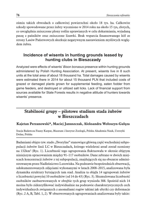ośmiu takich obwodach o całkowitej powierzchni około 18 tys. ha. Całkowite szkody spowodowane przez żubry wyceniono w 2014 roku na około 15 tys, złotych, co uwzględnia zniszczone plony roślin uprawianych w celu dokarmiania, wyjadaną paszę z paśników oraz zniszczone lizawki. Brak wsparcia finansowanego kół ze strony Lasów Państwowych skutkuje negatywnym nastawieniem myśliwych względem żubra.

#### **Incidence of wisents in hunting grounds leased by hunting clubs in Bieszczady**

Analyzed were effects of wisents' *Bison bonasus* presence within hunting grounds administered by Polish Hunting Association. At present, wisents live in 8 such units at the total area of about 18 thousand ha. Total damages caused by wisents were estimated there in 2014 for about 15 thousand PLN that included costs of grazed or damaged plants grown for supplemental feeding, eaten fodder from game feeders, and destroyed or utilized salt licks. Lack of financial support from sources available for State Forests results in negative attitude of hunters towards wisents' presence.

# **Stabilność grupy – pilotowe studium stada żubrów w Bieszczadach**

#### **Kajetan Perzanowski\*, Maciej Januszczak, Aleksandra Wołoszyn-Gałęza**

Stacja Badawcza Fauny Karpat, Muzeum i Instytut Zoologii, Polska Akademia Nauk, Ustrzyki Dolne, Polska

Badaniami objęto tzw. stado "Tworylne" stanowiące główną część wschodniej subpopulacji żubrów linii LC w Bieszczadach, którego wieloletni areał został oceniony na 132km<sup>2</sup> (Ryc. 1). Liczebność tego ugrupowania fluktuowała w okresie objętym niniejszym opracowaniem między 91–117 osobników. Dane zebrano w dwóch miejscach koncentracji żubrów z tej subpopulacji, znajdujących się na obszarze administrowanym przez Nadleśnictwo Lutowiska. Na podstawie bezpośrednich obserwacji, udokumentowanych zdjęciami wykonanymi w latach 2008–2015, analizowana była dynamika struktury bytujących tam stad. Analiza ta objęła 14 ugrupowań żubrów o liczebności powyżej 10 osobników (od 14 do 43) (Ryc. 3). Skumulowana liczebność osobników zaobserwowanych w obrębie tych grup wyniosła 388. Spośród nich 14 można było zidentyfikować indywidualnie na podstawie charakterystycznych cech indywidualnych związanych z anomaliami rogów takimi jak ubytki czy deformacje (Ryc. 2 A, B, Tabl. 1, 2). W obserwowanych ugrupowaniach analizowana były także: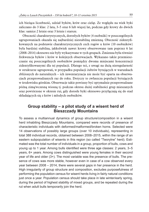ich bieżąca liczebność, udział byków, krów oraz cieląt. Ze względu na wiek byki zaliczano do 3 klas: 2 lata, 3–5 oraz 6 lub więcej lat, podczas gdy krowy do dwóch klas: samice 2 letnie oraz 3 letnie i starsze.

Obecność charakterystycznych, dorosłych byków (4 osobniki) w poszczególnych ugrupowaniach okazała się najbardziej niestabilną zmienną. Obecność zidentyfikowanych na podstawie charakterystycznych cech rogów u krów (10 osobników) była bardziej stabilna, jakkolwiek nawet krowy obserwowane tam poprzez 6 lat (2008–2014) okresowo nie były wykazywane w tych grupach. Zmienna była również frekwencja byków i krów w kolejnych obserwacjach. Wykazano także przemieszczanie się poszczególnych osobników pomiędzy dwoma miejscami koncentracji zidentyfikowanymi dla tej populacji. Dlatego też, z uwagi na dużą nieregularność w strukturze ugrupowań, w przypadku populacji żubrów bytujących w warunkach zbliżonych do naturalnych – ich inwentaryzacja nie może być oparta na obserwacjach przeprowadzanych raz do roku. Dotyczy to zwłaszcza populacji bytujących w środowisku górskim. Obserwacje takie powinny być optymalnie przeprowadzane późną zimą/wczesną wiosną tj. podczas okresu dużej stabilności grup mieszanych oraz powtórzone w okresie rui, gdy dorosłe byki okresowo przyłączają się do stad składających się z krów i młodych osobników.

#### **Group stability – a pilot study of a wisent herd of Bieszczady Mountains**

To assess a multiannual dynamics of group structure/composition in a wisent herd inhabiting Bieszczady Mountains, compared were records of presence of characteristic individuals with deformed/malformed/broken horns. Selected were 14 observations of possibly large groups (over 10 individuals), representing in total 388 individual records, obtained between 2008–2015, within the range of an eastern subpopulation of wisents in this region (so called "Tworylne" herd). Estimated was the total number of individuals in a group, proportion of bulls, cows and young up to 1 year. Among bulls identified were three age classes: 2 years, 3–5 years, 6+ years. Among cows distinguished were young females in their second year of life and older (3+). The most variable was the presence of bulls. The presence of cows was more stable, however even in case of a cow observed every year between 2008 – 2014, there were several gaps in her presence in the herd. High irregularity of group structure and composition, excludes purposefulness of performing the population census for wisent herds living in fairly natural conditions just once a year. Population census should take place in late winter/early spring, during the period of highest stability of mixed groups, and be repeated during the rut when adult bulls temporarily join the herd.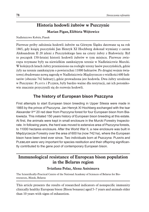# **Historia hodowli żubrów w Pszczynie Marian Pigan,Elżbieta Wójtowicz**

Nadleśnictwo Kobiór, Piasek

Pierwsze próby założenia hodowli żubrów na Górnym Śląsku datowane są na rok 1865, gdy książę pszczyński Jan Henryk XI Hochberg dokonał wymiany z carem Aleksandrem II 20 jeleni z Pszczyńskiego lasu na cztery żubry z Białowieży. Był to początek 150-letniej historii hodowli żubrów w tym miejscu. Pierwsze zwierzęta trzymane były na niewielkim zamkniętym terenie w Nadleśnictwie Murcki. W kolejnych latach żubry przeniesiono na rozległe tereny lasów pszczyńskich, gdzie żyły na terenie zamkniętym o powierzchni 11000 hektarów. Po drugiej wojnie światowej zbudowano nową zagrodę w Nadleśnictwie Międzyrzecze o wielkości 600 hektarów (obecnie 742 hektary), gdzie prowadzona jest hodowla. Dwa żubry urodzone w Pszczynie: Planta i Plejber, były bardzo ważne dla restytucji, zaś ich potomkowie znacznie przyczynili się do rozwoju hodowli.

# **The history of European bison Pszczyna**

First attempts to start European bison breeding in Upper Silesia were made in 1865 by the prince of Pszczyna. Jan Henryk XI Hochberg exchanged with the tsar Alexander IInd 20 red deer from Pszczyna forest for four European bison from Białowieża. This initiated 150 years history of European bison breeding at this estate. At first, the animals were kept in small enclosure in the Murcki Forestry Inspectorate. In following years, the herd was moved to extensive area of Pszczyna forests, to 11000 hectares enclosure. After the World War II, a new enclosure was built in Międzyrzecze Forestry over the area of 600 ha (now 742 ha), where the European bison have been bred ever since. Two individuals born at Pszczyna: Planta and PLEBEJER were very important for species restitution and their offspring significantly contributed to the gene pool of contemporary European bison.

# **Immunological resistance of European bison population in the Belarus region**

#### **Sviatlana Polaz, Alena Anisimava**

The Scientifically-Practical Centre of the National Academy of Sciences of Belarus for Bioresources, Minsk, Belarus

This article presents the results of researched indicators of nonspecific immunity clinically healthy European bison (Bison bonasus) aged 5–7 years and animals older than 10 years with signs of exhaustion.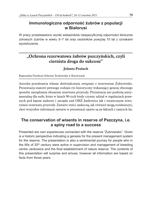#### **Immunologiczna odporność żubrów z populacji w Białorusi**

W pracy przedstawiono wyniki wskaźników niespecyficznej odporności klinicznie zdrowych żubrów w wieku 5–7 lat oraz osobników powyżej 10 lat z oznakami wycieńczenia.

# **"Ochrona rezerwatowa żubrów pszczyńskich, czyli ciernista droga do sukcesu"**

#### **Jolanta Prażuch**

Regionalna Dyrekcja Ochrony Środowiska w Katowicach

Autorka przedstawia własne doświadczenia związane z rezerwatem Żubrowisko. Prezentacja stanowi pewnego rodzaju rys historyczny wskazujący genezę obecnego sposobu zarządzania obszarem rezerwatu przyrody. Prezentacja jest podróżą sentymentalną dla osób, które w latach 90-tych brały czynny udział w regulacjach prawnych pod kątem nadzoru i zarządu nad OHŻ Jankowice jak i ostatecznym utworzeniu rezerwatu przyrody. Zawarte treści zaskoczą, jak również mogą rozśmieszyć, choć wszystkie informacje zawarte w prezentacji oparte są na faktach z tamtych lat.

### **The conservation of wisents in reserve of Pszczyna, i.e. a spiny road to a success**

Presented are own experiences connected with the reserve "Żubrowisko". Given is a historic perspective indicating a genesis for the present management system for the reserve. The presentation is also a sentimental journey for people who in the 90s of 20th century were active in supervision and management of breeding centre Jankowice and the final establishment of nature reserve. The contents of this presentation will surprise and amuse, however all information are based on facts from those years.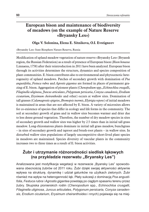# **European bison and maintenance of biodiversity of meadows (on the example of Nature Reserve «Bryansky Les»)**

#### **Olga V. Solonina, Elena E. Sitnikova, O.I. Evstigneev**

#### «Bryansky Les» State Biosphere Nature Reserve, Russia

Modification of upland meadow vegetation of nature reserve «Bryansky Les» (Bryansk region, the Russian Federation) as a result of presence of European bison (*Bison bonasus* Linnaeus, 1758) after their reintroduction in 2011 have been analyzed. European bison through its activities determines the structure, dynamics and species composition of plant communities. E. bison contributes also to environmental and phytocenotic heterogeneity of upland meadows. Patches of secondary growth with domination of *Poa angustifolia*, *Festuca rubra* and *Agrostis gigantea* are formed in places of permanent grazing of E. bison. Aggregation of pioneer plants (*Chenopodium* spp., *Echinochloa crusgalli*, *Filaginella uliginosa*, *Juncus articulates*, *Polygonum persicaria*, *Conyza canadensis*, *Erodium cicutarium*, *Erysimum cheiranthoides* and other) occurs at wallow sites. Domination of tall grasses (*Calamagrostis epigeios*, *Bromopsis inermis*, *Elytrigia repens*) of initial meadows is maintained in areas that are not affected by E. bison. A variety of microsites allows for co-existence of species that differ in ecology and life forms in the community. The soil at secondary growth of grass and in wallow sites becomes warmer and drier due to less dense ground vegetation. Therefore, the number of dry meadow species in sites of secondary growth and wallow sites was higher by 2.5 times than in initial tall grass meadow. Long-rhizomatous plants dominate in initial tall grass meadow, bunchgrass – in sites of secondary growth and taproot and brush-root plants – in wallow sites. In disturbed wallow sites populations of largely uncompetitive short-lived plant species in meadows are maintained. Species diversity of vascular plants in the community increases two to three times as a result of E. bison activities.

#### **Żubr i utrzymanie różnorodności siedlisk łąkowych (na przykładzie rezerwatu "Bryansky Les")**

Analizowana jest modyfikacja wegetacji w rezerwacie "Byansky Les" spowodowana obecnością żubrów od 2011 roku. Żubr dzięki swojej aktywności aktywnie wpływa na strukturę, dynamikę i udział gatunków na użytkach zielonych. Żubr również ma wpływ na heterogenność łąk. Płaty sukcesji z dominacją *Poa angustifolia*, *Festuca rubra* i *Agrostis gigantea* powstają po ciągłym spasaniu terenu przez żubry. Skupiska pionierskich roślin (*Chenopodium* spp., *Echinochloa crusgalli*, *Filaginella uliginosa*, *Juncus articulates*, *Polygonum persicaria*, *Conyza canadensis*, *Erodium cicutarium*, *Erysimum cheiranthoides* i nnych) pojaiwaja się na miej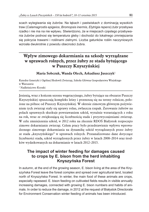scach wylegiwania się żubrów. Na łąkach i pastwiskach z dominacją wysokich traw (*Calamagrostis epigeios*, *Bromopsis inermis*, *Elytrigia repens*) żubr przebywa rzadko i nie ma na nie wpływu. Stwierdzono, że w miejscach częstego przebywania żubrów podnosi się temperatura gleby i dochodzi do lokalnego zmniejszania się pokrycia trawami i roślinami zielnymi. Liczba gatunków roślin naczyniowych wzrosła dwukrotnie z powodu obecności żubra.

# **Wpływ zimowego dokarmiania na szkody wyrządzane w uprawach rolnych, przez żubry ze stada bytującego w Puszczy Knyszyńskiej**

#### **Maria Sobczuk, Wanda Olech, Arkadiusz Juszczyk**<sup>1</sup>

Katedra Genetyki i Ogólnej Hodowli Zwierząt, Szkoła Główna Gospodarstwa Wiejskiego w Warszawie <sup>1</sup> Nadleśnictwo Krynki

Jesienią, wraz z końcem sezonu wegetacyjnego, żubry bytujące na obszarze Puszczy Knyszyńskiej opuszczają kompleks leśny i przenoszą się na tereny rolnicze, położone na północ od Puszczy Knyszyńskiej. W okresie zimowym głównym pożywieniem tych zwierząt stały się uprawy rolne, zwłaszcza rzepak. Żerowanie żubrów na polach uprawnych skutkuje powstawaniem szkód, wyraźnie wzrastających z roku na rok, wraz ze zwiększającą się liczebnością stada i przyzwyczajeniami zwierząt. W celu zmniejszenia szkód, w 2012 roku na zlecenie RDOŚ Białystok rozpoczęto zimowe dokarmianie zwierząt. Celem pracy było przedstawienie wpływu wprowadzonego zimowego dokarmiania na dynamikę szkód wyrządzanych przez żubry ze stada "knyszyńskiego" w uprawach rolnych. Przeanalizowano dane dotyczące liczebności stada, szkód wyrządzonych przez żubry w latach 2008–2014 oraz środków wydatkowanych na dokarmianie w latach 2012–2015.

### **The impact of winter feeding for damages caused to crops by E. bison from the herd inhabiting Knyszyńska Forest**

In autumn, at the end of the growing season, E. bison living at the area of the Knyszyńska Forest leave the forest complex and spread over agricultural land, located north of Knyszyńska Forest. In winter, the main food of these animals are crops, especially rapeseed. E. bison feeding on cultivated fields results in visible annually increasing damages, connected with growing E. bison numbers and habits of animals. In order to reduce the damage, in 2012 at the request of Białystok Directorate for Environment Conservation winter feeding of animals has been introduced.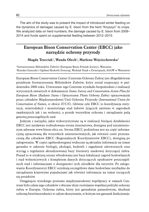The aim of the study was to present the impact of introduced winter feeding on the dynamics of damages caused by E. bison from the herd "Knyszyn" to crops. We analyzed data on herd numbers, the damage caused by E. bison from 2008– 2014 and funds spent on supplemental feeding between 2012–2015.

# **European Bison Conservation Center (EBCC) jako narzędzie ochrony przyrody**

#### **Magda Trzeciak**<sup>1</sup>**, Wanda Olech**<sup>2</sup>**, Marlena Wojciechowska**<sup>2</sup>

<sup>1</sup>Stowarzyszenie Miłośników Żubrów (European Bison Friends Society), Warszawa <sup>2</sup>Katedra Genetyki i Ogólnej Hodowli Zwierząt, Wydział Nauk o Zwierzętach, SGGW w Warszawie

European Bison Conservation Center (Centrum Ochrony Żubra) jest długofalowym projektem Stowarzyszenia Miłośników Żubrów, który został rozpoczęty w październiku 2008 roku. Utworzenie tego Centrum wynikało bezpośrednio z realizacji wytycznych zawartych w dokumencie *Status Survey and Conservation Action Plan for European Bison (Badanie Stanu i Opracowanie Planu Ochrony Żubra)* opracowanym przez członków Międzynarodowej Unii Ochrony Przyrody (*International Union for Conservation of Nature, w skrócie IUCN*). Główne cele EBCC to koordynacja restytucji, reintrodukcji i monitoringu stad żubrów żyjących zarówno w zagrodach zamkniętych jak i na wolności, a przede wszystkim ochrona i zarządzanie pulą genową poszczególnych stad.

Jednym z narzędzi, jakie wykorzystywane są w realizacji bieżącej działalności EBCC jest niedawno rozbudowana strona internetowa, dostępna pod niezmienionym adresem www.bison-ebcc.eu. Strona EBCC podzielona jest na część informacyjną opracowaną dla wszystkich zainteresowanych, jak również cześć przeznaczoną dla członków EBCC (Regionalnych Koordynatorów EBCC), dostępną po zalogowaniu. W części ogólnodostępnej widoczne są aktualne informacje na temat gatunku w zakresie biologii, ekologii, hodowli i zagadnień zdrowotnych oraz wyciąg z regularnie aktualizowanej bazy literatury naukowej dotyczącej żubra. Ponad to w strukturę strony wbudowana jest baza lokalizacji zagród hodowlanych i stad wolnościowych z kompletem danych dotyczących opiekunów poszczególnych stad i informacjami o dostępności tych ośrodków dla turystów. Po zalogowaniu Koordynatorzy EBCC uzyskują szczegółowe dane hodowlane niezbędne do zarządzania krajowymi populacjami jak również informacje na temat toczących się projektów.

Osiągnięcie wysokiego poziomu międzynarodowej współpracy w ramach Centrum było celem jego członków i obecnie służy rozwijaniu wspólnej polityki ochrony żubra w Europie. Ochrona żubra, który jest gatunkiem parasolowym, skutkuje ochroną bioróżnorodności w całym ekosystemie, w którym ten gatunek funkcjonuje.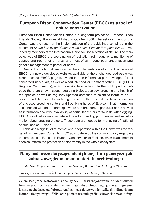#### **European Bison Conservation Center (EBCC) as a tool of nature conservation**

European Bison Conservation Center is a long-term project of European Bison Friends Society. It was established in October 2008. The establishment of this Center was the result of the implementation of the guidelines contained in the document *Status Survey and Conservation Action Plan for European Bison*, developed by members of the International Union for Conservation of Nature. The main objectives of EBCC are coordination of restitution, reintroductions, monitoring of captive and free-ranging herds, and most of all – gene pool preservation and genetic management of particular herds.

One of the tools that are used in the implementation of current activities of EBCC is a newly developed website, available at the unchanged address www. bison-ebcc.eu. EBCC page is divided into an informative part developed for all concerned individuals, as well as a part intended for members of the EBCC (EBCC Regional Coordinators), which is available after login. In the public part of web page there are shown issues regarding biology, ecology, breeding and health of the species as well as regularly updated database of scientific literature on E. bison. In addition, into the web page structure, there is built the base of location of enclosed breeding centers and free-living herds of E. bison. That information is connected with data regarding owners and breeders of particular herds as well as information about the availability of particular centers for tourists. After logging, EBCC coordinators receive detailed data for breeding purposes as well as information about ongoing projects. These data are needed for managing of national populations of E. bison.

Achieving a high level of international cooperation within the Centre was the target of its members. Currently EBCC acts to develop the common policy regarding the protection of E. bison in Europe. Conservation of E. bison, which is an umbrella species, effects the protection of biodiversity in the whole ecosystem.

### **Plany badawcze dotyczące identyfikacji linii genetycznych żubra z uwzględnieniem materiału archiwalnego**

*Marlena Wojciechowska, Zuzanna Nowak, Wanda Olech, Magda Trzeciak*

Stowarzyszenie Miłośników Żubrów (European Bison Friends Society), Warszawa

Celem jest próba zastosowania analizy SNP i sekwencjonowania do identyfikacji linii genetycznych z uwzględnieniem materiału archiwalnego, jakim są fragmenty kostne pochodzące od żubrów. Analizy będą dotyczyć identyfikacji polimorfizmu jednonukleotydowego (SNP) oraz podjęta zostanie próba sekwencjonowania frag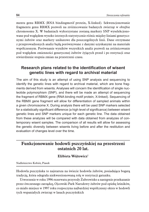mentu genu RBMX (RNA bindingmotif protein, X-linked). Sekwencjonowanie fragmentu genu RBMX pozwoli na zróżnicowanie badanych zwierząt w obrębie chromosomu X. W badaniach wykorzystane zostaną markery SNP wyselekcjonowane pod względem wysoko istotnych statystycznie różnic między liniami genetycznymi żubrów oraz markery unikatowe dla poszczególnych linii. Dane otrzymane z przeprowadzonych analiz będą porównywane z danymi uzyskanymi na materiale współczesnym. Porównanie wyników wszystkich analiz pozwoli na zróżnicowanie pod względem zmienności genetycznej żubrów żyjących przed i po restytucji oraz stwierdzenie stopnia zmian na przestrzeni czasu.

#### **Research plans related to the identification of wisent genetic lines with regard to archival material**

The aim of this study is an attempt of using SNP analysis and sequencing to identify the genetic lines with regard to archival material, which are bone fragments derived from wisents. Analyses will concern the identification of single nucleotide polymorphism (SNP), and there will be made an attempt of sequencing the fragment of RBMX gene (RNA binding motif protein, X-linked). Sequencing of the RBMX gene fragment will allow for differentiation of sampled animals within a given chromosome X. During analysis there will be used SNP markers selected for a statistically significant difference (a high level of significance) between wisent genetic lines and SNP markers unique for each genetic line. The data obtained from these analyzes will be compared with data obtained from analyzes of contemporary wisent samples. The comparison of all results will allow for assessing the genetic diversity between wisents living before and after the restitution and evaluation of changes level over the time.

# **Funkcjonowanie hodowli pszczyńskiej na przestrzeni ostatnich 20 lat.**

**Elżbieta Wójtowicz**<sup>1</sup>

Nadleśnictwo Kobiór, Piasek

Hodowla pszczyńska to najstarsza na świecie hodowla żubrów, posiadająca bogatą tradycję, która odegrała niekwestionowaną rolę w restytucji gatunku.

Utworzenie w roku 1996 rezerwatu przyrody Żubrowisko a następnie przekazanie przez ówczesnego zarządcę, Ojcowski Park Narodowy żubrów pod opiekę leśników, co miało miejsce w 1997 roku rozpoczyna najbardziej współczesny okres w hodowli tych wspaniałych zwierząt w lasach pszczyńskich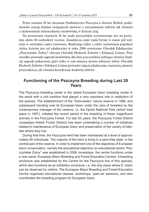Przez ostatnie 20 lat ówczesne Nadleśnictwo Pszczyna a obecnie Kobiór podejmowało szereg działań związanych zarówno z utrzymaniem żubrów jak również z zachowaniem różnorodności środowiska, w którym żyją.

Na przestrzeni ostatnich 20 lat stado pszczyńskie utrzymywane jest na poziomie około 40 osobników rocznie. Zasadnicza część stada bytuje w stanie pół wolnym w centralnej części rezerwatu. Realizując jeden z celów zachowania populacji żubra, którym jest cel edukacyjny w roku 2006 utworzono Ośrodek Edukacyjny "Pszczyńskie Zubry" obecnie Ośrodek Hodowli Zubrów i Edukacji Leśnej. Przy ośrodku powstała zagroda hodowlana dla linii pszczyńskiej pełniąca również funkcję zagrody pokazowej, gdyż tylko w tym miejscu można zobaczyć żubry. Ośrodek Hodowli Żubrów i Edukacji Leśnej prowadzi zajęcia edukacyjne, warsztaty, plenery przyrodnicze, ale również koordynuje hodowlę żubrów.

#### **Functioning of the Pszczyna Breeding during Last 20 Years**

The Pszczyna breeding center is the oldest European bison breeding center in the world with a rich tradition that played a very important role in restitution of the species. The establishment of the "Żubrowisko" nature reserve in 1996, and subsequent handing over its European bison under the care of foresters by the contemporary manager of the reserve, i.e. the Ojców National Park (which took place in 1997), initiated the recent period in the breeding of these magnificent animals in the Pszczyna Forest. For last 20 years, the Pszczyna Forest District (nowadays Kobiór Forest District) has been undertaking a number of initiatives related to maintenance of European bison and preservation of the variety of habitats where they live.

During that time, the Pszczyna herd has been maintained at a level of approximately 40 individuals. The majority of the herd is living in a semi-free state, in the central part of the reserve. In order to implement one of the objectives of European bison conservation, namely the educational objective, an educational centre "Pszczyńskie Żubry" was established in 2006 (nowadays, the centre functions under a new name: European Bison Breeding and Forest Education Centre). A breeding enclosure was established by the Centre for the Pszczyna line of this species, which also functions as an exhibition enclosure, i.e. the only place where E. bison can be observed by visitors. The European Bison Breeding and Forest Education Centre organizes educational classes, workshops, open-air sessions, and also coordinates the breeding program for European bison.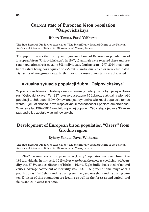# **Current state of European bison population "Osipovichskaya"**

#### **Rihory Yanuta, Pavel Velihurau**

The State Research-Production Association "The Scientifically-Practical Centre of the National Academy of Sciences of Belarus for Bio-resources" Mińska, Belarus

The paper presents the history and dynamic of one of Belarussian populations of European bison "Osipovichskaya". In 1997, 15 animals were released there and present population size is equal to 308 individuals. During years 1997–2014 total number of calves being born equaled to 295 but 30 individuals died or were eliminated. Dynamics of size, growth rate, birth index and causes of mortality are discussed..

# Aktualna sytuacja populacji żubra "Osipovichskaya"

W pracy przedstawiono historię oraz dynamikę populacji żubra bytującej w Białorusi "Osipovichskaya". W 1997 roku wypuszczono 15 żubrów, a aktualna wielkość populacji to 308 osobników. Omawiana jest dynamika wielkości populacji, tempo wzrostu jej liczebności oraz współczynniki rozrodczości i poziom śmiertelności. W okresie lat 1997–2014 urodziło się w tej populacji 295 cieląt a jedynie 30 zwierząt padło lub zostało wyeliminowanych.

# **Development of European bison population "Ozery" from Grodno region**

#### **Ryhory Yanuta, Pavel Velihurau**

The State Research-Production Association "The Scientifically-Practical Centre of the National Academy of Sciences of Belarus for Bio-resources" Minsk, Belarus

In 1998–2014, numbers of European bison "Ozery" population increased from 18 to 196 individuals. In this period 213 calves were born, the average coefficient of fecundity was 37.5%, and coefficient of births – 16.4%. Eight individuals died of natural causes. Average coefficient of mortality was 0.4%. The present home range of this population is 15–20 thousand ha during summer, and 6–8 thousand ha during winter. E. bison of this population are feeding as well in the forest as and agricultural fields and cultivated meadows.